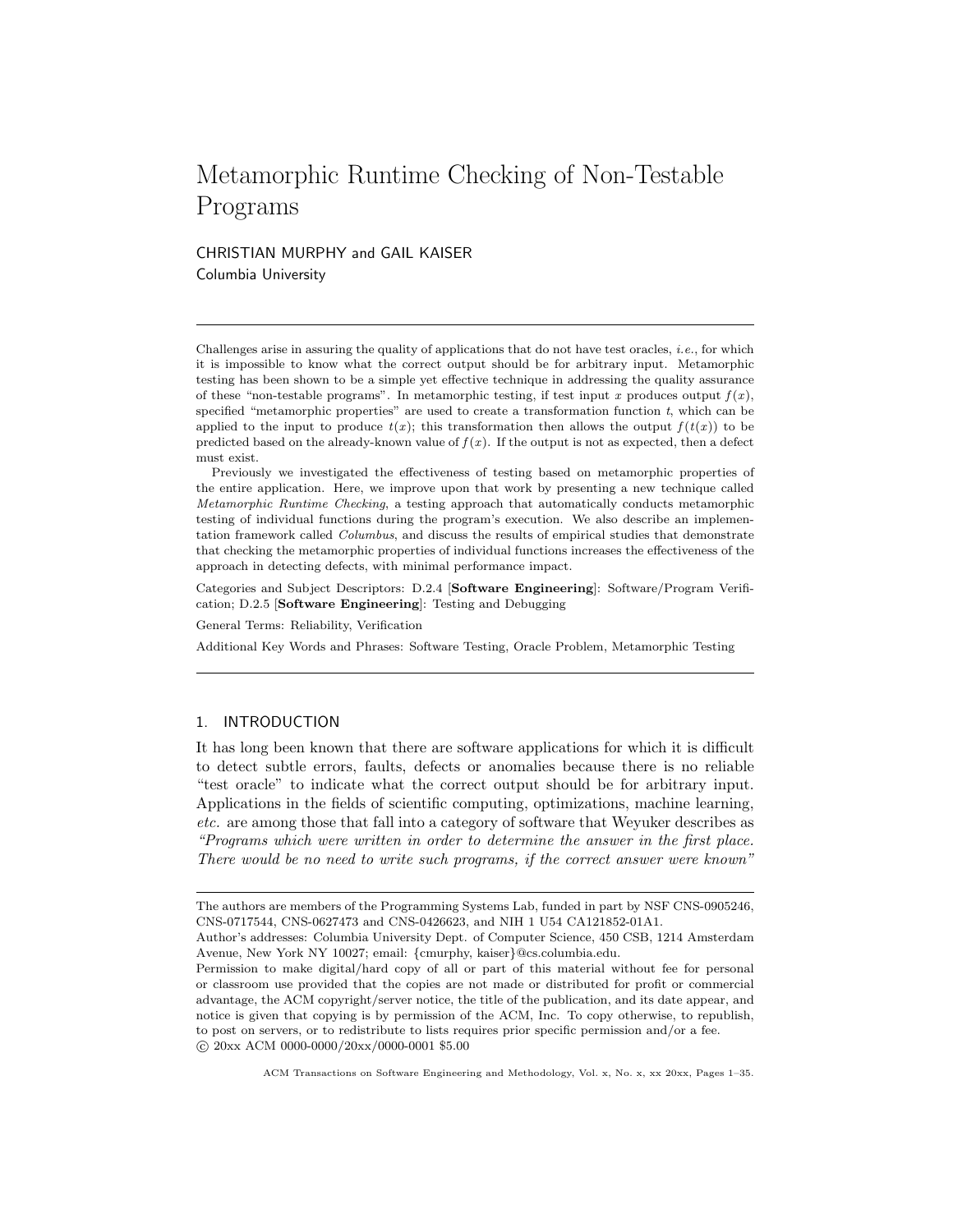# Metamorphic Runtime Checking of Non-Testable Programs

CHRISTIAN MURPHY and GAIL KAISER Columbia University

Challenges arise in assuring the quality of applications that do not have test oracles, *i.e.*, for which it is impossible to know what the correct output should be for arbitrary input. Metamorphic testing has been shown to be a simple yet effective technique in addressing the quality assurance of these "non-testable programs". In metamorphic testing, if test input x produces output  $f(x)$ , specified "metamorphic properties" are used to create a transformation function t, which can be applied to the input to produce  $t(x)$ ; this transformation then allows the output  $f(t(x))$  to be predicted based on the already-known value of  $f(x)$ . If the output is not as expected, then a defect must exist.

Previously we investigated the effectiveness of testing based on metamorphic properties of the entire application. Here, we improve upon that work by presenting a new technique called Metamorphic Runtime Checking, a testing approach that automatically conducts metamorphic testing of individual functions during the program's execution. We also describe an implementation framework called Columbus, and discuss the results of empirical studies that demonstrate that checking the metamorphic properties of individual functions increases the effectiveness of the approach in detecting defects, with minimal performance impact.

Categories and Subject Descriptors: D.2.4 [Software Engineering]: Software/Program Verification; D.2.5 [Software Engineering]: Testing and Debugging

General Terms: Reliability, Verification

Additional Key Words and Phrases: Software Testing, Oracle Problem, Metamorphic Testing

## 1. INTRODUCTION

It has long been known that there are software applications for which it is difficult to detect subtle errors, faults, defects or anomalies because there is no reliable "test oracle" to indicate what the correct output should be for arbitrary input. Applications in the fields of scientific computing, optimizations, machine learning, etc. are among those that fall into a category of software that Weyuker describes as "Programs which were written in order to determine the answer in the first place. There would be no need to write such programs, if the correct answer were known"

The authors are members of the Programming Systems Lab, funded in part by NSF CNS-0905246, CNS-0717544, CNS-0627473 and CNS-0426623, and NIH 1 U54 CA121852-01A1.

Author's addresses: Columbia University Dept. of Computer Science, 450 CSB, 1214 Amsterdam Avenue, New York NY 10027; email: {cmurphy, kaiser}@cs.columbia.edu.

Permission to make digital/hard copy of all or part of this material without fee for personal or classroom use provided that the copies are not made or distributed for profit or commercial advantage, the ACM copyright/server notice, the title of the publication, and its date appear, and notice is given that copying is by permission of the ACM, Inc. To copy otherwise, to republish, to post on servers, or to redistribute to lists requires prior specific permission and/or a fee. c 20xx ACM 0000-0000/20xx/0000-0001 \$5.00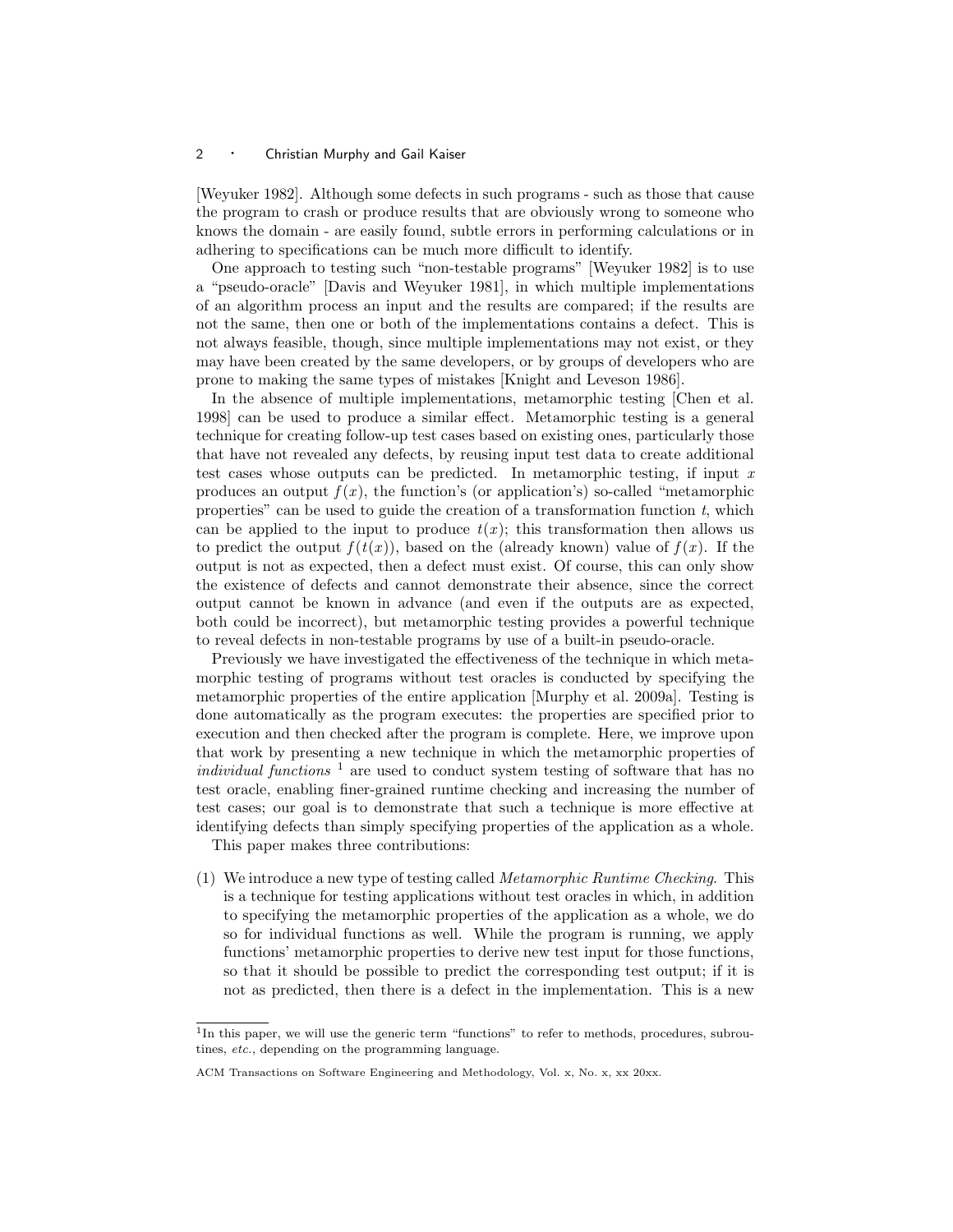[Weyuker 1982]. Although some defects in such programs - such as those that cause the program to crash or produce results that are obviously wrong to someone who knows the domain - are easily found, subtle errors in performing calculations or in adhering to specifications can be much more difficult to identify.

One approach to testing such "non-testable programs" [Weyuker 1982] is to use a "pseudo-oracle" [Davis and Weyuker 1981], in which multiple implementations of an algorithm process an input and the results are compared; if the results are not the same, then one or both of the implementations contains a defect. This is not always feasible, though, since multiple implementations may not exist, or they may have been created by the same developers, or by groups of developers who are prone to making the same types of mistakes [Knight and Leveson 1986].

In the absence of multiple implementations, metamorphic testing [Chen et al. 1998] can be used to produce a similar effect. Metamorphic testing is a general technique for creating follow-up test cases based on existing ones, particularly those that have not revealed any defects, by reusing input test data to create additional test cases whose outputs can be predicted. In metamorphic testing, if input  $x$ produces an output  $f(x)$ , the function's (or application's) so-called "metamorphic properties" can be used to guide the creation of a transformation function  $t$ , which can be applied to the input to produce  $t(x)$ ; this transformation then allows us to predict the output  $f(t(x))$ , based on the (already known) value of  $f(x)$ . If the output is not as expected, then a defect must exist. Of course, this can only show the existence of defects and cannot demonstrate their absence, since the correct output cannot be known in advance (and even if the outputs are as expected, both could be incorrect), but metamorphic testing provides a powerful technique to reveal defects in non-testable programs by use of a built-in pseudo-oracle.

Previously we have investigated the effectiveness of the technique in which metamorphic testing of programs without test oracles is conducted by specifying the metamorphic properties of the entire application [Murphy et al. 2009a]. Testing is done automatically as the program executes: the properties are specified prior to execution and then checked after the program is complete. Here, we improve upon that work by presenting a new technique in which the metamorphic properties of individual functions<sup>1</sup> are used to conduct system testing of software that has no test oracle, enabling finer-grained runtime checking and increasing the number of test cases; our goal is to demonstrate that such a technique is more effective at identifying defects than simply specifying properties of the application as a whole.

This paper makes three contributions:

(1) We introduce a new type of testing called *Metamorphic Runtime Checking*. This is a technique for testing applications without test oracles in which, in addition to specifying the metamorphic properties of the application as a whole, we do so for individual functions as well. While the program is running, we apply functions' metamorphic properties to derive new test input for those functions, so that it should be possible to predict the corresponding test output; if it is not as predicted, then there is a defect in the implementation. This is a new

<sup>&</sup>lt;sup>1</sup>In this paper, we will use the generic term "functions" to refer to methods, procedures, subroutines, etc., depending on the programming language.

ACM Transactions on Software Engineering and Methodology, Vol. x, No. x, xx 20xx.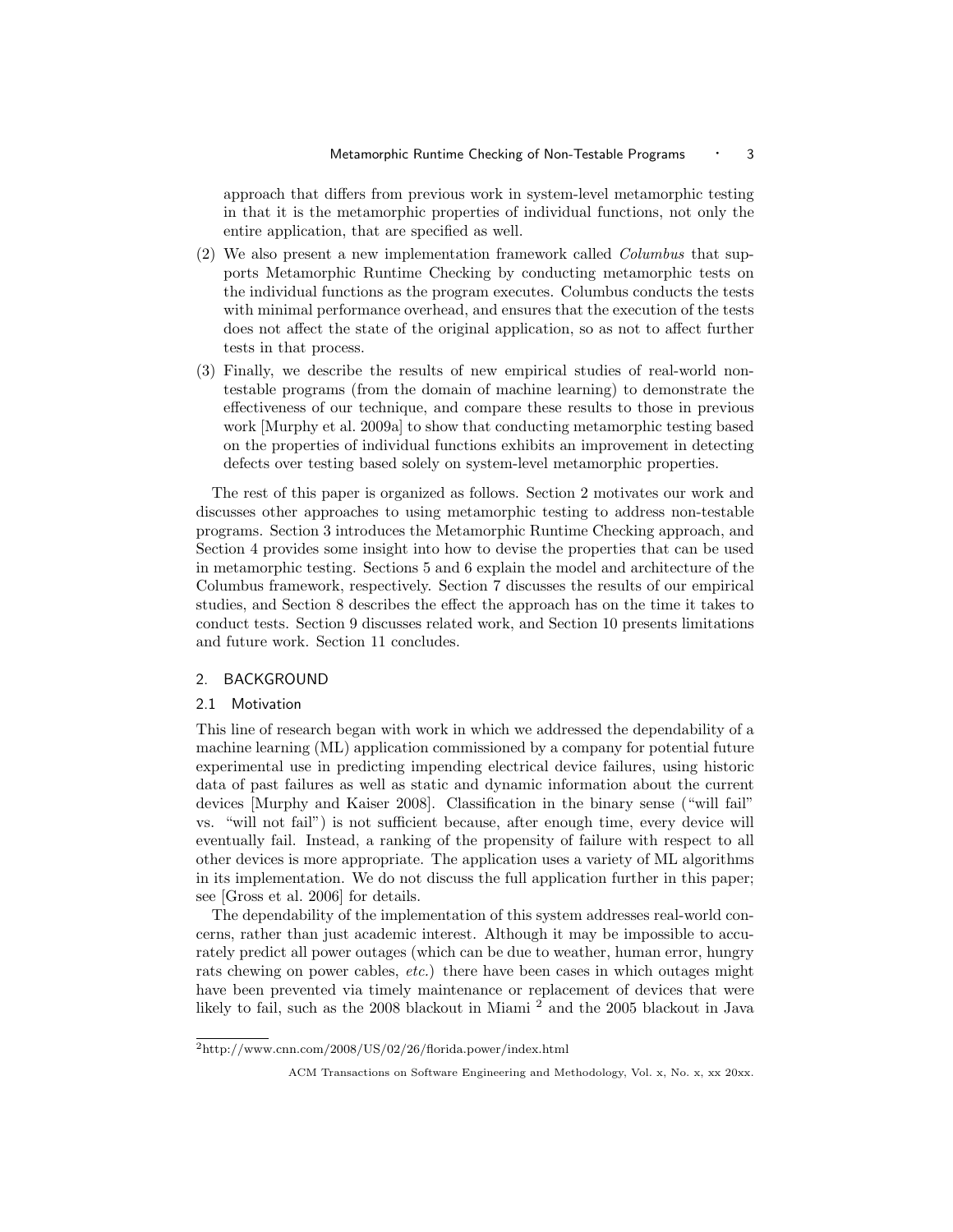approach that differs from previous work in system-level metamorphic testing in that it is the metamorphic properties of individual functions, not only the entire application, that are specified as well.

- (2) We also present a new implementation framework called Columbus that supports Metamorphic Runtime Checking by conducting metamorphic tests on the individual functions as the program executes. Columbus conducts the tests with minimal performance overhead, and ensures that the execution of the tests does not affect the state of the original application, so as not to affect further tests in that process.
- (3) Finally, we describe the results of new empirical studies of real-world nontestable programs (from the domain of machine learning) to demonstrate the effectiveness of our technique, and compare these results to those in previous work [Murphy et al. 2009a] to show that conducting metamorphic testing based on the properties of individual functions exhibits an improvement in detecting defects over testing based solely on system-level metamorphic properties.

The rest of this paper is organized as follows. Section 2 motivates our work and discusses other approaches to using metamorphic testing to address non-testable programs. Section 3 introduces the Metamorphic Runtime Checking approach, and Section 4 provides some insight into how to devise the properties that can be used in metamorphic testing. Sections 5 and 6 explain the model and architecture of the Columbus framework, respectively. Section 7 discusses the results of our empirical studies, and Section 8 describes the effect the approach has on the time it takes to conduct tests. Section 9 discusses related work, and Section 10 presents limitations and future work. Section 11 concludes.

# 2. BACKGROUND

#### 2.1 Motivation

This line of research began with work in which we addressed the dependability of a machine learning (ML) application commissioned by a company for potential future experimental use in predicting impending electrical device failures, using historic data of past failures as well as static and dynamic information about the current devices [Murphy and Kaiser 2008]. Classification in the binary sense ("will fail" vs. "will not fail") is not sufficient because, after enough time, every device will eventually fail. Instead, a ranking of the propensity of failure with respect to all other devices is more appropriate. The application uses a variety of ML algorithms in its implementation. We do not discuss the full application further in this paper; see [Gross et al. 2006] for details.

The dependability of the implementation of this system addresses real-world concerns, rather than just academic interest. Although it may be impossible to accurately predict all power outages (which can be due to weather, human error, hungry rats chewing on power cables, *etc.*) there have been cases in which outages might have been prevented via timely maintenance or replacement of devices that were likely to fail, such as the 2008 blackout in Miami<sup>2</sup> and the 2005 blackout in Java

 $^{2}$ http://www.cnn.com/2008/US/02/26/florida.power/index.html

ACM Transactions on Software Engineering and Methodology, Vol. x, No. x, xx 20xx.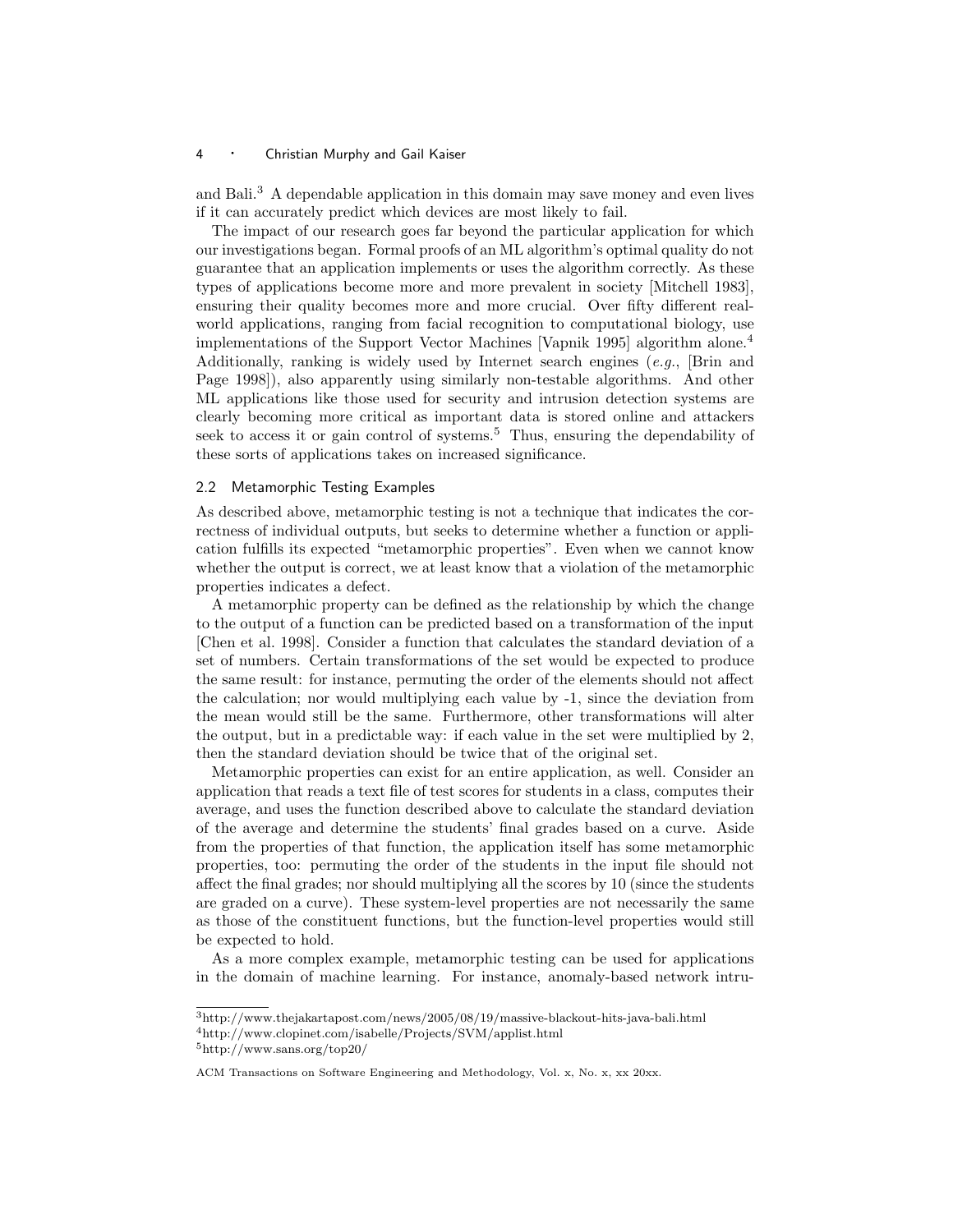and Bali.<sup>3</sup> A dependable application in this domain may save money and even lives if it can accurately predict which devices are most likely to fail.

The impact of our research goes far beyond the particular application for which our investigations began. Formal proofs of an ML algorithm's optimal quality do not guarantee that an application implements or uses the algorithm correctly. As these types of applications become more and more prevalent in society [Mitchell 1983], ensuring their quality becomes more and more crucial. Over fifty different realworld applications, ranging from facial recognition to computational biology, use implementations of the Support Vector Machines [Vapnik 1995] algorithm alone.<sup>4</sup> Additionally, ranking is widely used by Internet search engines  $(e.q., \Box B\text{rin and})$ Page 1998]), also apparently using similarly non-testable algorithms. And other ML applications like those used for security and intrusion detection systems are clearly becoming more critical as important data is stored online and attackers seek to access it or gain control of systems.<sup>5</sup> Thus, ensuring the dependability of these sorts of applications takes on increased significance.

## 2.2 Metamorphic Testing Examples

As described above, metamorphic testing is not a technique that indicates the correctness of individual outputs, but seeks to determine whether a function or application fulfills its expected "metamorphic properties". Even when we cannot know whether the output is correct, we at least know that a violation of the metamorphic properties indicates a defect.

A metamorphic property can be defined as the relationship by which the change to the output of a function can be predicted based on a transformation of the input [Chen et al. 1998]. Consider a function that calculates the standard deviation of a set of numbers. Certain transformations of the set would be expected to produce the same result: for instance, permuting the order of the elements should not affect the calculation; nor would multiplying each value by -1, since the deviation from the mean would still be the same. Furthermore, other transformations will alter the output, but in a predictable way: if each value in the set were multiplied by 2, then the standard deviation should be twice that of the original set.

Metamorphic properties can exist for an entire application, as well. Consider an application that reads a text file of test scores for students in a class, computes their average, and uses the function described above to calculate the standard deviation of the average and determine the students' final grades based on a curve. Aside from the properties of that function, the application itself has some metamorphic properties, too: permuting the order of the students in the input file should not affect the final grades; nor should multiplying all the scores by 10 (since the students are graded on a curve). These system-level properties are not necessarily the same as those of the constituent functions, but the function-level properties would still be expected to hold.

As a more complex example, metamorphic testing can be used for applications in the domain of machine learning. For instance, anomaly-based network intru-

<sup>3</sup>http://www.thejakartapost.com/news/2005/08/19/massive-blackout-hits-java-bali.html

<sup>4</sup>http://www.clopinet.com/isabelle/Projects/SVM/applist.html

<sup>5</sup>http://www.sans.org/top20/

ACM Transactions on Software Engineering and Methodology, Vol. x, No. x, xx 20xx.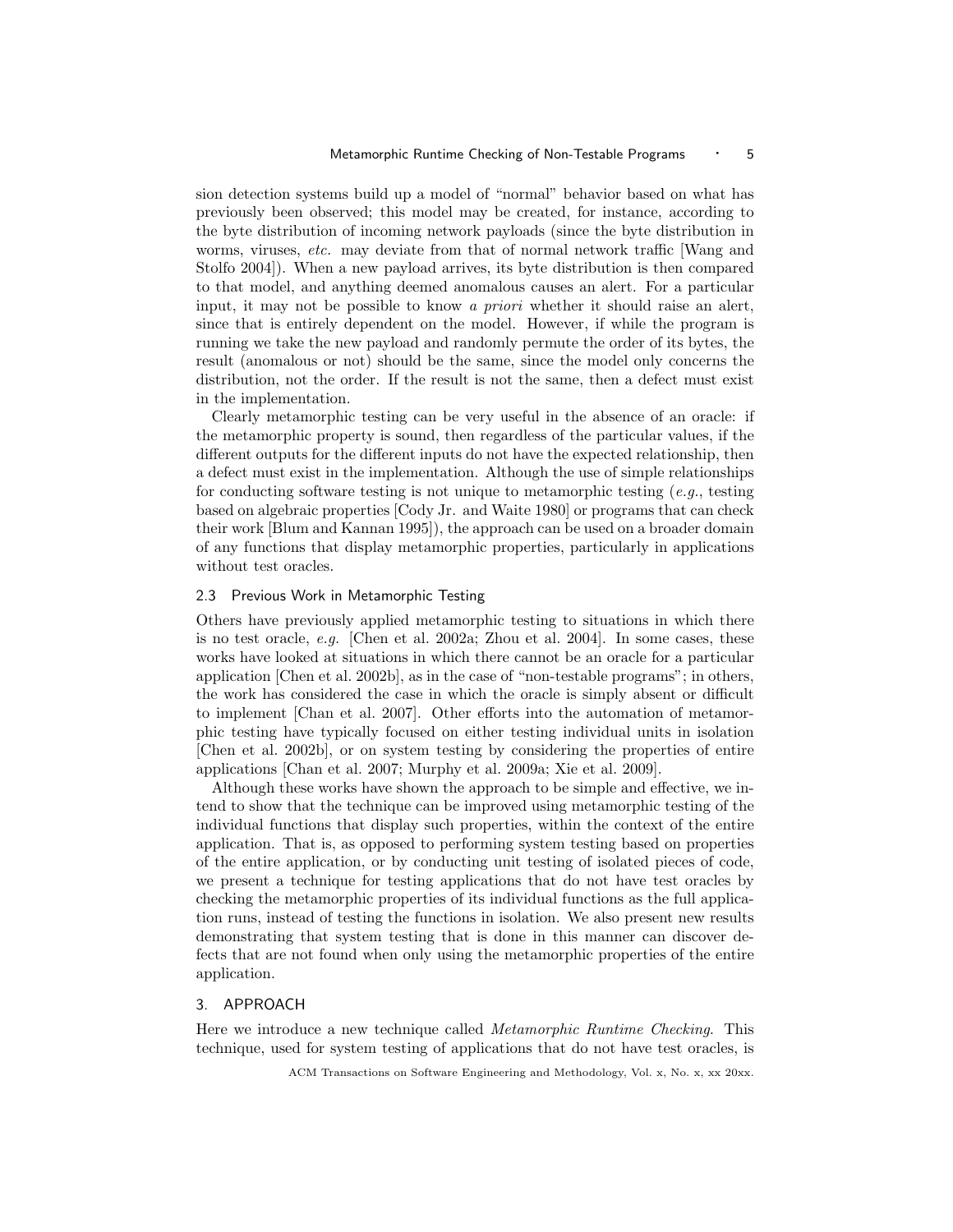sion detection systems build up a model of "normal" behavior based on what has previously been observed; this model may be created, for instance, according to the byte distribution of incoming network payloads (since the byte distribution in worms, viruses, etc. may deviate from that of normal network traffic [Wang and Stolfo 2004]). When a new payload arrives, its byte distribution is then compared to that model, and anything deemed anomalous causes an alert. For a particular input, it may not be possible to know a *priori* whether it should raise an alert, since that is entirely dependent on the model. However, if while the program is running we take the new payload and randomly permute the order of its bytes, the result (anomalous or not) should be the same, since the model only concerns the distribution, not the order. If the result is not the same, then a defect must exist in the implementation.

Clearly metamorphic testing can be very useful in the absence of an oracle: if the metamorphic property is sound, then regardless of the particular values, if the different outputs for the different inputs do not have the expected relationship, then a defect must exist in the implementation. Although the use of simple relationships for conducting software testing is not unique to metamorphic testing  $(e.g., t \text{esting})$ based on algebraic properties [Cody Jr. and Waite 1980] or programs that can check their work [Blum and Kannan 1995]), the approach can be used on a broader domain of any functions that display metamorphic properties, particularly in applications without test oracles.

#### 2.3 Previous Work in Metamorphic Testing

Others have previously applied metamorphic testing to situations in which there is no test oracle, e.g. [Chen et al. 2002a; Zhou et al. 2004]. In some cases, these works have looked at situations in which there cannot be an oracle for a particular application [Chen et al. 2002b], as in the case of "non-testable programs"; in others, the work has considered the case in which the oracle is simply absent or difficult to implement [Chan et al. 2007]. Other efforts into the automation of metamorphic testing have typically focused on either testing individual units in isolation [Chen et al. 2002b], or on system testing by considering the properties of entire applications [Chan et al. 2007; Murphy et al. 2009a; Xie et al. 2009].

Although these works have shown the approach to be simple and effective, we intend to show that the technique can be improved using metamorphic testing of the individual functions that display such properties, within the context of the entire application. That is, as opposed to performing system testing based on properties of the entire application, or by conducting unit testing of isolated pieces of code, we present a technique for testing applications that do not have test oracles by checking the metamorphic properties of its individual functions as the full application runs, instead of testing the functions in isolation. We also present new results demonstrating that system testing that is done in this manner can discover defects that are not found when only using the metamorphic properties of the entire application.

## 3. APPROACH

Here we introduce a new technique called Metamorphic Runtime Checking. This technique, used for system testing of applications that do not have test oracles, is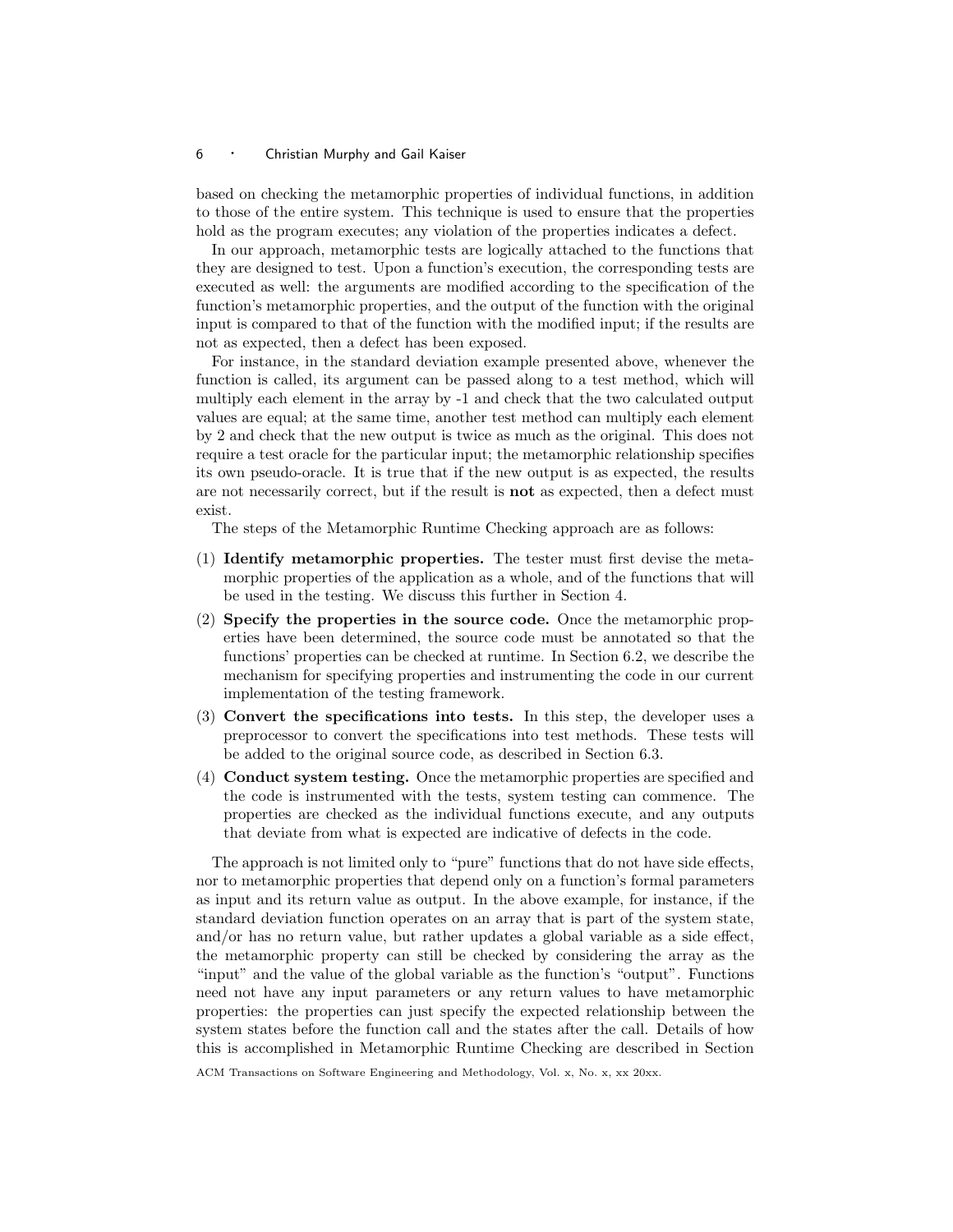based on checking the metamorphic properties of individual functions, in addition to those of the entire system. This technique is used to ensure that the properties hold as the program executes; any violation of the properties indicates a defect.

In our approach, metamorphic tests are logically attached to the functions that they are designed to test. Upon a function's execution, the corresponding tests are executed as well: the arguments are modified according to the specification of the function's metamorphic properties, and the output of the function with the original input is compared to that of the function with the modified input; if the results are not as expected, then a defect has been exposed.

For instance, in the standard deviation example presented above, whenever the function is called, its argument can be passed along to a test method, which will multiply each element in the array by -1 and check that the two calculated output values are equal; at the same time, another test method can multiply each element by 2 and check that the new output is twice as much as the original. This does not require a test oracle for the particular input; the metamorphic relationship specifies its own pseudo-oracle. It is true that if the new output is as expected, the results are not necessarily correct, but if the result is not as expected, then a defect must exist.

The steps of the Metamorphic Runtime Checking approach are as follows:

- (1) Identify metamorphic properties. The tester must first devise the metamorphic properties of the application as a whole, and of the functions that will be used in the testing. We discuss this further in Section 4.
- (2) Specify the properties in the source code. Once the metamorphic properties have been determined, the source code must be annotated so that the functions' properties can be checked at runtime. In Section 6.2, we describe the mechanism for specifying properties and instrumenting the code in our current implementation of the testing framework.
- (3) Convert the specifications into tests. In this step, the developer uses a preprocessor to convert the specifications into test methods. These tests will be added to the original source code, as described in Section 6.3.
- (4) Conduct system testing. Once the metamorphic properties are specified and the code is instrumented with the tests, system testing can commence. The properties are checked as the individual functions execute, and any outputs that deviate from what is expected are indicative of defects in the code.

The approach is not limited only to "pure" functions that do not have side effects, nor to metamorphic properties that depend only on a function's formal parameters as input and its return value as output. In the above example, for instance, if the standard deviation function operates on an array that is part of the system state, and/or has no return value, but rather updates a global variable as a side effect, the metamorphic property can still be checked by considering the array as the "input" and the value of the global variable as the function's "output". Functions need not have any input parameters or any return values to have metamorphic properties: the properties can just specify the expected relationship between the system states before the function call and the states after the call. Details of how this is accomplished in Metamorphic Runtime Checking are described in Section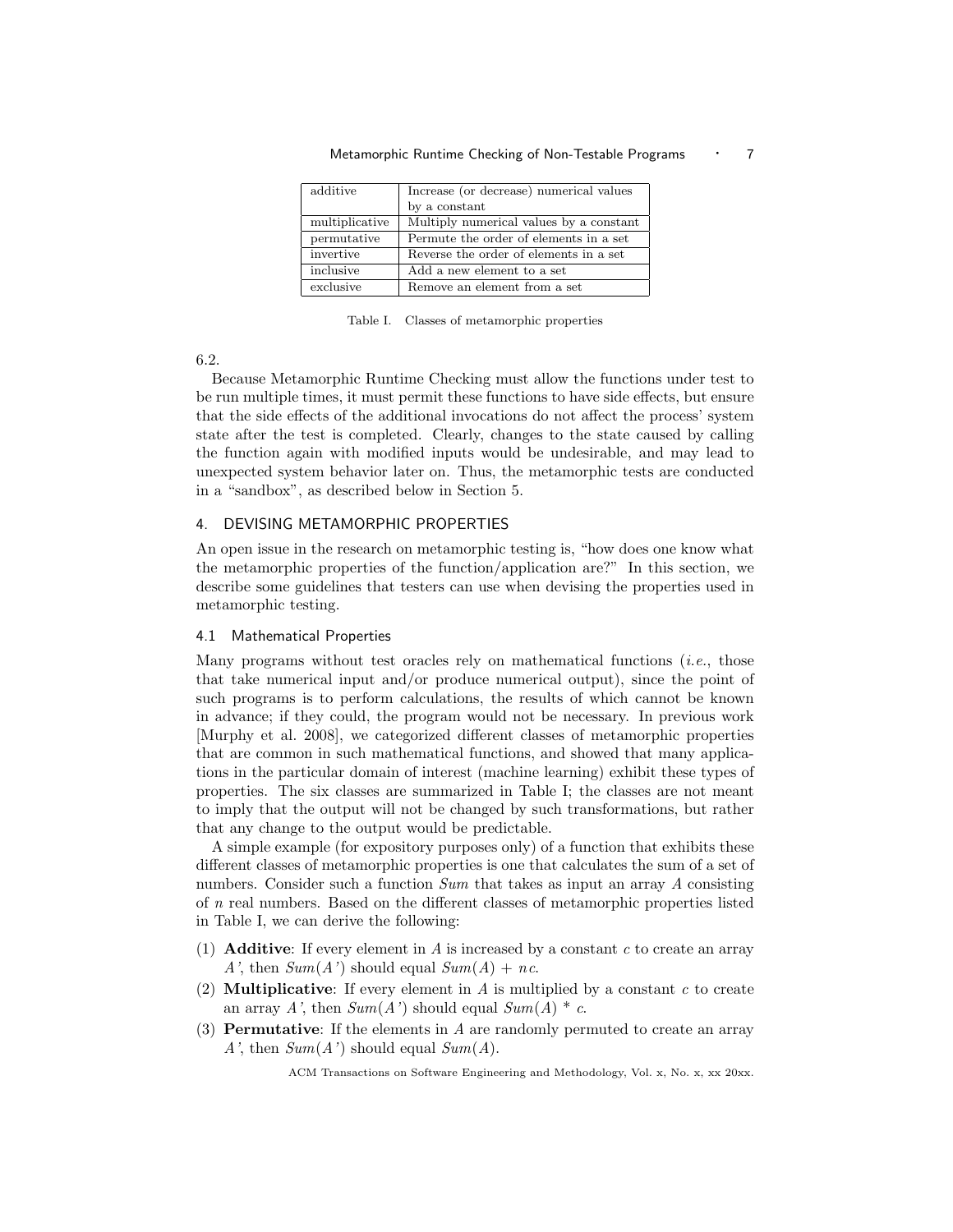| additive       | Increase (or decrease) numerical values |
|----------------|-----------------------------------------|
|                | by a constant                           |
| multiplicative | Multiply numerical values by a constant |
| permutative    | Permute the order of elements in a set  |
| invertive      | Reverse the order of elements in a set  |
| inclusive      | Add a new element to a set              |
| exclusive      | Remove an element from a set            |

Metamorphic Runtime Checking of Non-Testable Programs • 7

Table I. Classes of metamorphic properties

6.2.

Because Metamorphic Runtime Checking must allow the functions under test to be run multiple times, it must permit these functions to have side effects, but ensure that the side effects of the additional invocations do not affect the process' system state after the test is completed. Clearly, changes to the state caused by calling the function again with modified inputs would be undesirable, and may lead to unexpected system behavior later on. Thus, the metamorphic tests are conducted in a "sandbox", as described below in Section 5.

## 4. DEVISING METAMORPHIC PROPERTIES

An open issue in the research on metamorphic testing is, "how does one know what the metamorphic properties of the function/application are?" In this section, we describe some guidelines that testers can use when devising the properties used in metamorphic testing.

## 4.1 Mathematical Properties

Many programs without test oracles rely on mathematical functions (*i.e.*, those that take numerical input and/or produce numerical output), since the point of such programs is to perform calculations, the results of which cannot be known in advance; if they could, the program would not be necessary. In previous work [Murphy et al. 2008], we categorized different classes of metamorphic properties that are common in such mathematical functions, and showed that many applications in the particular domain of interest (machine learning) exhibit these types of properties. The six classes are summarized in Table I; the classes are not meant to imply that the output will not be changed by such transformations, but rather that any change to the output would be predictable.

A simple example (for expository purposes only) of a function that exhibits these different classes of metamorphic properties is one that calculates the sum of a set of numbers. Consider such a function Sum that takes as input an array A consisting of n real numbers. Based on the different classes of metamorphic properties listed in Table I, we can derive the following:

- (1) **Additive:** If every element in  $\vec{A}$  is increased by a constant  $\vec{c}$  to create an array A', then  $Sum(A')$  should equal  $Sum(A) + nc$ .
- (2) **Multiplicative:** If every element in A is multiplied by a constant c to create an array A', then  $Sum(A')$  should equal  $Sum(A) * c$ .
- (3) Permutative: If the elements in A are randomly permuted to create an array A', then  $Sum(A')$  should equal  $Sum(A)$ .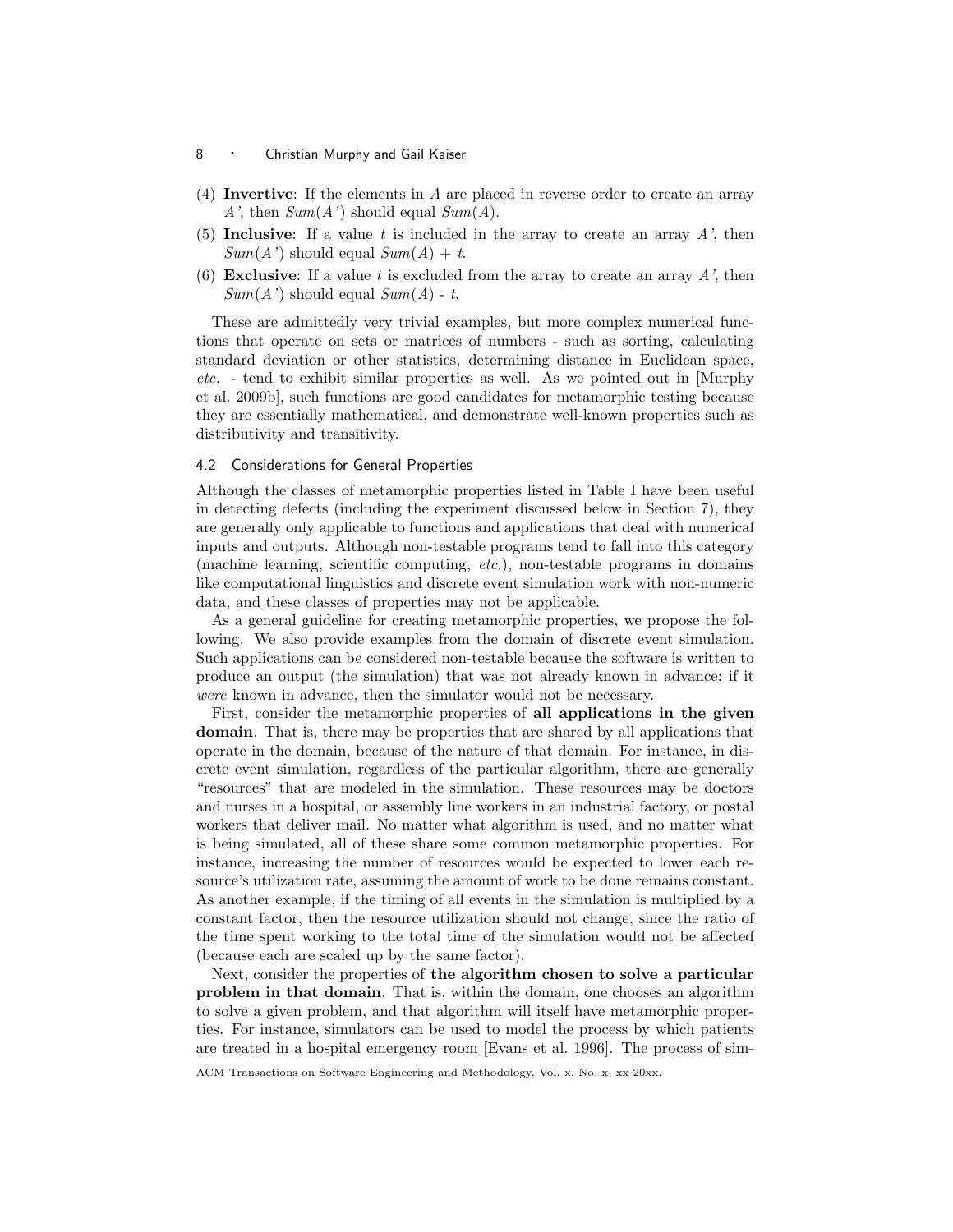- 8 **· Christian Murphy and Gail Kaiser**
- (4) Invertive: If the elements in A are placed in reverse order to create an array A', then  $Sum(A')$  should equal  $Sum(A)$ .
- (5) Inclusive: If a value t is included in the array to create an array  $A'$ , then  $Sum(A')$  should equal  $Sum(A) + t$ .
- (6) Exclusive: If a value t is excluded from the array to create an array  $A'$ , then  $Sum(A')$  should equal  $Sum(A)$  - t.

These are admittedly very trivial examples, but more complex numerical functions that operate on sets or matrices of numbers - such as sorting, calculating standard deviation or other statistics, determining distance in Euclidean space, etc. - tend to exhibit similar properties as well. As we pointed out in [Murphy et al. 2009b], such functions are good candidates for metamorphic testing because they are essentially mathematical, and demonstrate well-known properties such as distributivity and transitivity.

## 4.2 Considerations for General Properties

Although the classes of metamorphic properties listed in Table I have been useful in detecting defects (including the experiment discussed below in Section 7), they are generally only applicable to functions and applications that deal with numerical inputs and outputs. Although non-testable programs tend to fall into this category (machine learning, scientific computing, etc.), non-testable programs in domains like computational linguistics and discrete event simulation work with non-numeric data, and these classes of properties may not be applicable.

As a general guideline for creating metamorphic properties, we propose the following. We also provide examples from the domain of discrete event simulation. Such applications can be considered non-testable because the software is written to produce an output (the simulation) that was not already known in advance; if it were known in advance, then the simulator would not be necessary.

First, consider the metamorphic properties of all applications in the given domain. That is, there may be properties that are shared by all applications that operate in the domain, because of the nature of that domain. For instance, in discrete event simulation, regardless of the particular algorithm, there are generally "resources" that are modeled in the simulation. These resources may be doctors and nurses in a hospital, or assembly line workers in an industrial factory, or postal workers that deliver mail. No matter what algorithm is used, and no matter what is being simulated, all of these share some common metamorphic properties. For instance, increasing the number of resources would be expected to lower each resource's utilization rate, assuming the amount of work to be done remains constant. As another example, if the timing of all events in the simulation is multiplied by a constant factor, then the resource utilization should not change, since the ratio of the time spent working to the total time of the simulation would not be affected (because each are scaled up by the same factor).

Next, consider the properties of the algorithm chosen to solve a particular problem in that domain. That is, within the domain, one chooses an algorithm to solve a given problem, and that algorithm will itself have metamorphic properties. For instance, simulators can be used to model the process by which patients are treated in a hospital emergency room [Evans et al. 1996]. The process of sim-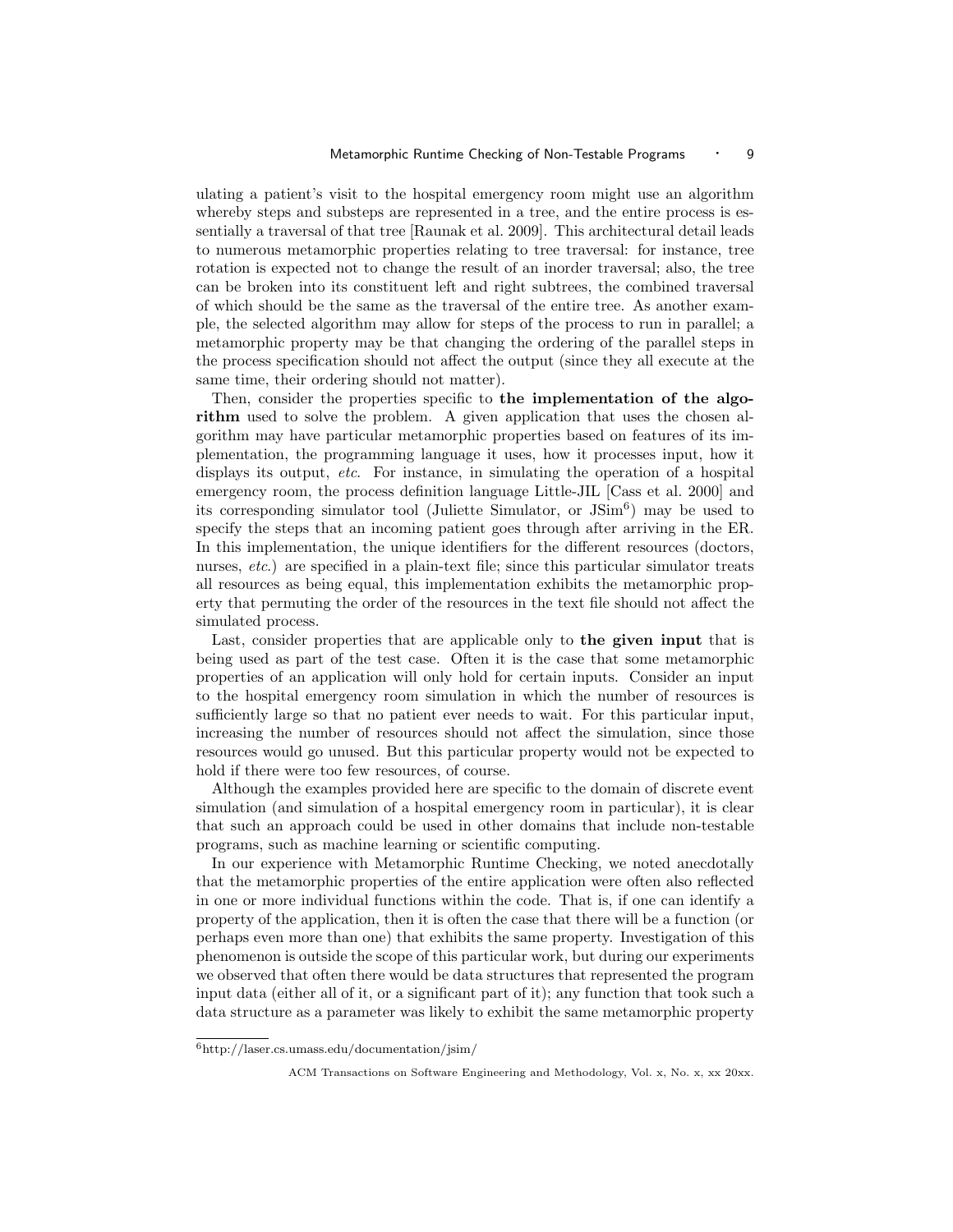ulating a patient's visit to the hospital emergency room might use an algorithm whereby steps and substeps are represented in a tree, and the entire process is essentially a traversal of that tree [Raunak et al. 2009]. This architectural detail leads to numerous metamorphic properties relating to tree traversal: for instance, tree rotation is expected not to change the result of an inorder traversal; also, the tree can be broken into its constituent left and right subtrees, the combined traversal of which should be the same as the traversal of the entire tree. As another example, the selected algorithm may allow for steps of the process to run in parallel; a metamorphic property may be that changing the ordering of the parallel steps in the process specification should not affect the output (since they all execute at the same time, their ordering should not matter).

Then, consider the properties specific to the implementation of the algorithm used to solve the problem. A given application that uses the chosen algorithm may have particular metamorphic properties based on features of its implementation, the programming language it uses, how it processes input, how it displays its output, etc. For instance, in simulating the operation of a hospital emergency room, the process definition language Little-JIL [Cass et al. 2000] and its corresponding simulator tool (Juliette Simulator, or  $\text{JSim}^6$ ) may be used to specify the steps that an incoming patient goes through after arriving in the ER. In this implementation, the unique identifiers for the different resources (doctors, nurses, *etc.*) are specified in a plain-text file; since this particular simulator treats all resources as being equal, this implementation exhibits the metamorphic property that permuting the order of the resources in the text file should not affect the simulated process.

Last, consider properties that are applicable only to the given input that is being used as part of the test case. Often it is the case that some metamorphic properties of an application will only hold for certain inputs. Consider an input to the hospital emergency room simulation in which the number of resources is sufficiently large so that no patient ever needs to wait. For this particular input, increasing the number of resources should not affect the simulation, since those resources would go unused. But this particular property would not be expected to hold if there were too few resources, of course.

Although the examples provided here are specific to the domain of discrete event simulation (and simulation of a hospital emergency room in particular), it is clear that such an approach could be used in other domains that include non-testable programs, such as machine learning or scientific computing.

In our experience with Metamorphic Runtime Checking, we noted anecdotally that the metamorphic properties of the entire application were often also reflected in one or more individual functions within the code. That is, if one can identify a property of the application, then it is often the case that there will be a function (or perhaps even more than one) that exhibits the same property. Investigation of this phenomenon is outside the scope of this particular work, but during our experiments we observed that often there would be data structures that represented the program input data (either all of it, or a significant part of it); any function that took such a data structure as a parameter was likely to exhibit the same metamorphic property

<sup>6</sup>http://laser.cs.umass.edu/documentation/jsim/

ACM Transactions on Software Engineering and Methodology, Vol. x, No. x, xx 20xx.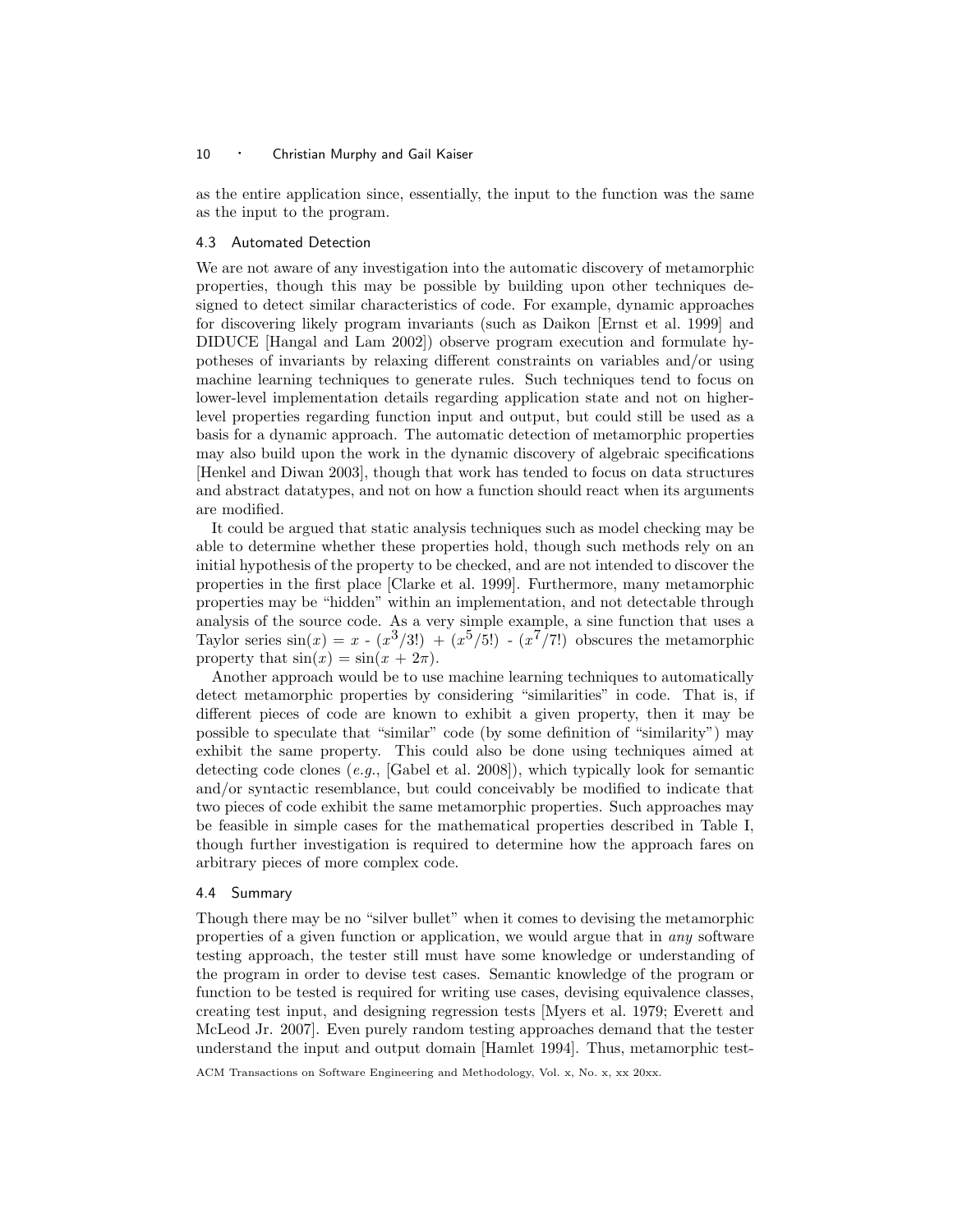as the entire application since, essentially, the input to the function was the same as the input to the program.

## 4.3 Automated Detection

We are not aware of any investigation into the automatic discovery of metamorphic properties, though this may be possible by building upon other techniques designed to detect similar characteristics of code. For example, dynamic approaches for discovering likely program invariants (such as Daikon [Ernst et al. 1999] and DIDUCE [Hangal and Lam 2002]) observe program execution and formulate hypotheses of invariants by relaxing different constraints on variables and/or using machine learning techniques to generate rules. Such techniques tend to focus on lower-level implementation details regarding application state and not on higherlevel properties regarding function input and output, but could still be used as a basis for a dynamic approach. The automatic detection of metamorphic properties may also build upon the work in the dynamic discovery of algebraic specifications [Henkel and Diwan 2003], though that work has tended to focus on data structures and abstract datatypes, and not on how a function should react when its arguments are modified.

It could be argued that static analysis techniques such as model checking may be able to determine whether these properties hold, though such methods rely on an initial hypothesis of the property to be checked, and are not intended to discover the properties in the first place [Clarke et al. 1999]. Furthermore, many metamorphic properties may be "hidden" within an implementation, and not detectable through analysis of the source code. As a very simple example, a sine function that uses a Taylor series  $sin(x) = x - (x^3/3!) + (x^5/5!) - (x^7/7!)$  obscures the metamorphic property that  $sin(x) = sin(x + 2\pi)$ .

Another approach would be to use machine learning techniques to automatically detect metamorphic properties by considering "similarities" in code. That is, if different pieces of code are known to exhibit a given property, then it may be possible to speculate that "similar" code (by some definition of "similarity") may exhibit the same property. This could also be done using techniques aimed at detecting code clones (e.g., [Gabel et al. 2008]), which typically look for semantic and/or syntactic resemblance, but could conceivably be modified to indicate that two pieces of code exhibit the same metamorphic properties. Such approaches may be feasible in simple cases for the mathematical properties described in Table I, though further investigation is required to determine how the approach fares on arbitrary pieces of more complex code.

#### 4.4 Summary

Though there may be no "silver bullet" when it comes to devising the metamorphic properties of a given function or application, we would argue that in any software testing approach, the tester still must have some knowledge or understanding of the program in order to devise test cases. Semantic knowledge of the program or function to be tested is required for writing use cases, devising equivalence classes, creating test input, and designing regression tests [Myers et al. 1979; Everett and McLeod Jr. 2007]. Even purely random testing approaches demand that the tester understand the input and output domain [Hamlet 1994]. Thus, metamorphic test-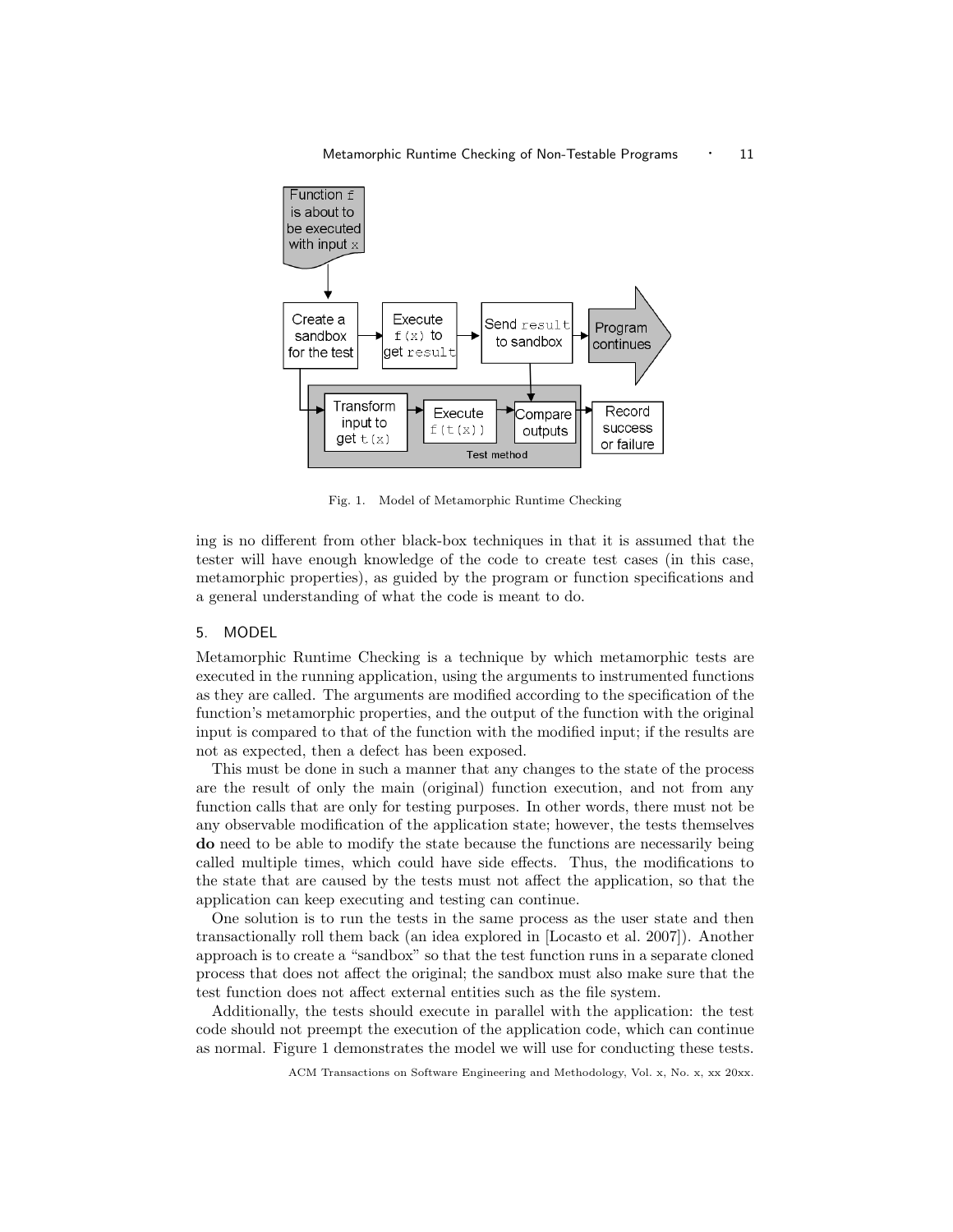

Fig. 1. Model of Metamorphic Runtime Checking

ing is no different from other black-box techniques in that it is assumed that the tester will have enough knowledge of the code to create test cases (in this case, metamorphic properties), as guided by the program or function specifications and a general understanding of what the code is meant to do.

# 5. MODEL

Metamorphic Runtime Checking is a technique by which metamorphic tests are executed in the running application, using the arguments to instrumented functions as they are called. The arguments are modified according to the specification of the function's metamorphic properties, and the output of the function with the original input is compared to that of the function with the modified input; if the results are not as expected, then a defect has been exposed.

This must be done in such a manner that any changes to the state of the process are the result of only the main (original) function execution, and not from any function calls that are only for testing purposes. In other words, there must not be any observable modification of the application state; however, the tests themselves do need to be able to modify the state because the functions are necessarily being called multiple times, which could have side effects. Thus, the modifications to the state that are caused by the tests must not affect the application, so that the application can keep executing and testing can continue.

One solution is to run the tests in the same process as the user state and then transactionally roll them back (an idea explored in [Locasto et al. 2007]). Another approach is to create a "sandbox" so that the test function runs in a separate cloned process that does not affect the original; the sandbox must also make sure that the test function does not affect external entities such as the file system.

Additionally, the tests should execute in parallel with the application: the test code should not preempt the execution of the application code, which can continue as normal. Figure 1 demonstrates the model we will use for conducting these tests.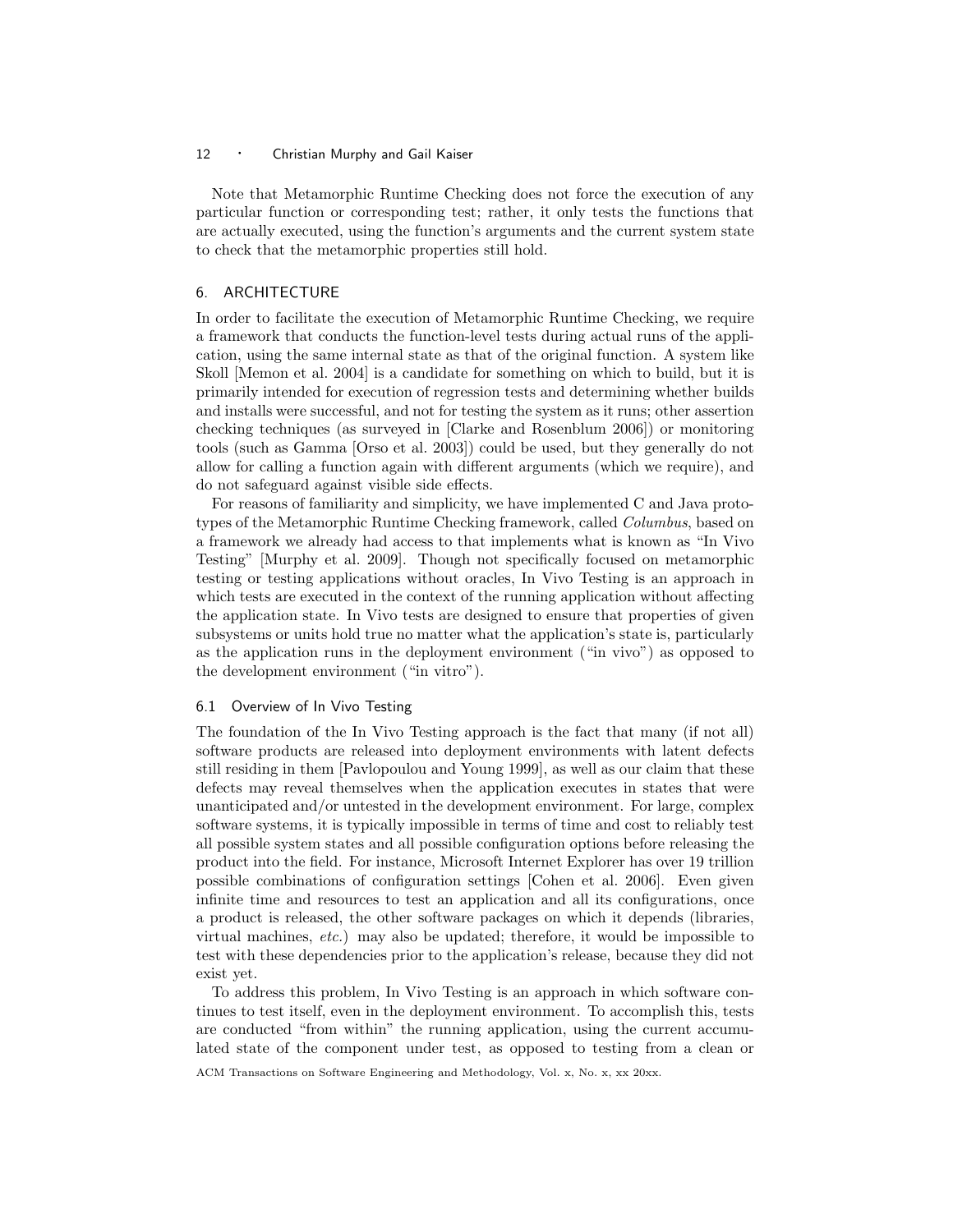Note that Metamorphic Runtime Checking does not force the execution of any particular function or corresponding test; rather, it only tests the functions that are actually executed, using the function's arguments and the current system state to check that the metamorphic properties still hold.

# 6. ARCHITECTURE

In order to facilitate the execution of Metamorphic Runtime Checking, we require a framework that conducts the function-level tests during actual runs of the application, using the same internal state as that of the original function. A system like Skoll [Memon et al. 2004] is a candidate for something on which to build, but it is primarily intended for execution of regression tests and determining whether builds and installs were successful, and not for testing the system as it runs; other assertion checking techniques (as surveyed in [Clarke and Rosenblum 2006]) or monitoring tools (such as Gamma [Orso et al. 2003]) could be used, but they generally do not allow for calling a function again with different arguments (which we require), and do not safeguard against visible side effects.

For reasons of familiarity and simplicity, we have implemented C and Java prototypes of the Metamorphic Runtime Checking framework, called *Columbus*, based on a framework we already had access to that implements what is known as "In Vivo Testing" [Murphy et al. 2009]. Though not specifically focused on metamorphic testing or testing applications without oracles, In Vivo Testing is an approach in which tests are executed in the context of the running application without affecting the application state. In Vivo tests are designed to ensure that properties of given subsystems or units hold true no matter what the application's state is, particularly as the application runs in the deployment environment ("in vivo") as opposed to the development environment ("in vitro").

## 6.1 Overview of In Vivo Testing

The foundation of the In Vivo Testing approach is the fact that many (if not all) software products are released into deployment environments with latent defects still residing in them [Pavlopoulou and Young 1999], as well as our claim that these defects may reveal themselves when the application executes in states that were unanticipated and/or untested in the development environment. For large, complex software systems, it is typically impossible in terms of time and cost to reliably test all possible system states and all possible configuration options before releasing the product into the field. For instance, Microsoft Internet Explorer has over 19 trillion possible combinations of configuration settings [Cohen et al. 2006]. Even given infinite time and resources to test an application and all its configurations, once a product is released, the other software packages on which it depends (libraries, virtual machines, etc.) may also be updated; therefore, it would be impossible to test with these dependencies prior to the application's release, because they did not exist yet.

To address this problem, In Vivo Testing is an approach in which software continues to test itself, even in the deployment environment. To accomplish this, tests are conducted "from within" the running application, using the current accumulated state of the component under test, as opposed to testing from a clean or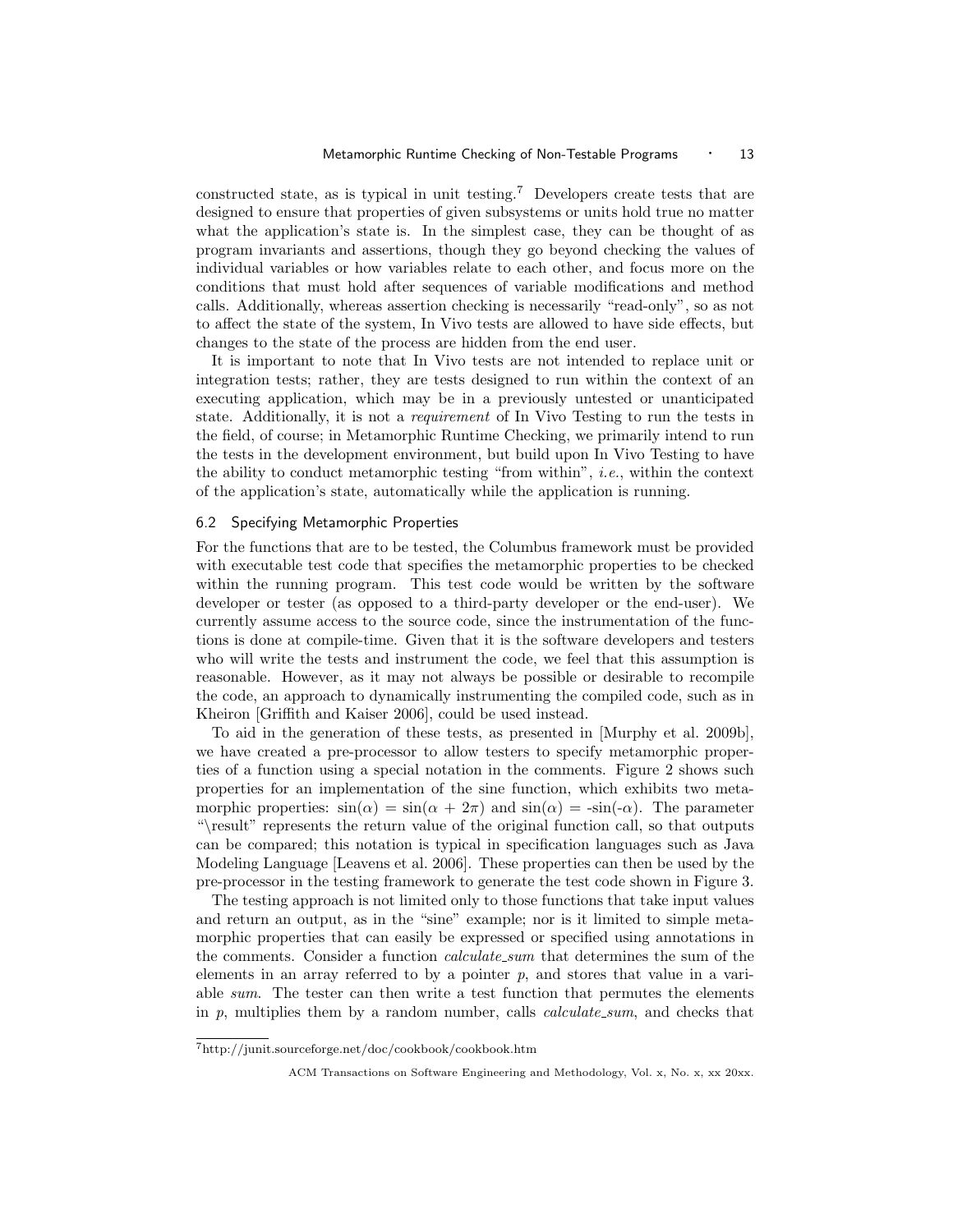constructed state, as is typical in unit testing.<sup>7</sup> Developers create tests that are designed to ensure that properties of given subsystems or units hold true no matter what the application's state is. In the simplest case, they can be thought of as program invariants and assertions, though they go beyond checking the values of individual variables or how variables relate to each other, and focus more on the conditions that must hold after sequences of variable modifications and method calls. Additionally, whereas assertion checking is necessarily "read-only", so as not to affect the state of the system, In Vivo tests are allowed to have side effects, but changes to the state of the process are hidden from the end user.

It is important to note that In Vivo tests are not intended to replace unit or integration tests; rather, they are tests designed to run within the context of an executing application, which may be in a previously untested or unanticipated state. Additionally, it is not a *requirement* of In Vivo Testing to run the tests in the field, of course; in Metamorphic Runtime Checking, we primarily intend to run the tests in the development environment, but build upon In Vivo Testing to have the ability to conduct metamorphic testing "from within", i.e., within the context of the application's state, automatically while the application is running.

## 6.2 Specifying Metamorphic Properties

For the functions that are to be tested, the Columbus framework must be provided with executable test code that specifies the metamorphic properties to be checked within the running program. This test code would be written by the software developer or tester (as opposed to a third-party developer or the end-user). We currently assume access to the source code, since the instrumentation of the functions is done at compile-time. Given that it is the software developers and testers who will write the tests and instrument the code, we feel that this assumption is reasonable. However, as it may not always be possible or desirable to recompile the code, an approach to dynamically instrumenting the compiled code, such as in Kheiron [Griffith and Kaiser 2006], could be used instead.

To aid in the generation of these tests, as presented in [Murphy et al. 2009b], we have created a pre-processor to allow testers to specify metamorphic properties of a function using a special notation in the comments. Figure 2 shows such properties for an implementation of the sine function, which exhibits two metamorphic properties:  $sin(\alpha) = sin(\alpha + 2\pi)$  and  $sin(\alpha) = -sin(-\alpha)$ . The parameter "\result" represents the return value of the original function call, so that outputs can be compared; this notation is typical in specification languages such as Java Modeling Language [Leavens et al. 2006]. These properties can then be used by the pre-processor in the testing framework to generate the test code shown in Figure 3.

The testing approach is not limited only to those functions that take input values and return an output, as in the "sine" example; nor is it limited to simple metamorphic properties that can easily be expressed or specified using annotations in the comments. Consider a function *calculate\_sum* that determines the sum of the elements in an array referred to by a pointer  $p$ , and stores that value in a variable sum. The tester can then write a test function that permutes the elements in  $p$ , multiplies them by a random number, calls *calculate\_sum*, and checks that

 $7\mathrm{http://junit.source}$  for  $\mathrm{get}/\mathrm{doc}/\mathrm{cookbook}/\mathrm{cookbook}$  .htm

ACM Transactions on Software Engineering and Methodology, Vol. x, No. x, xx 20xx.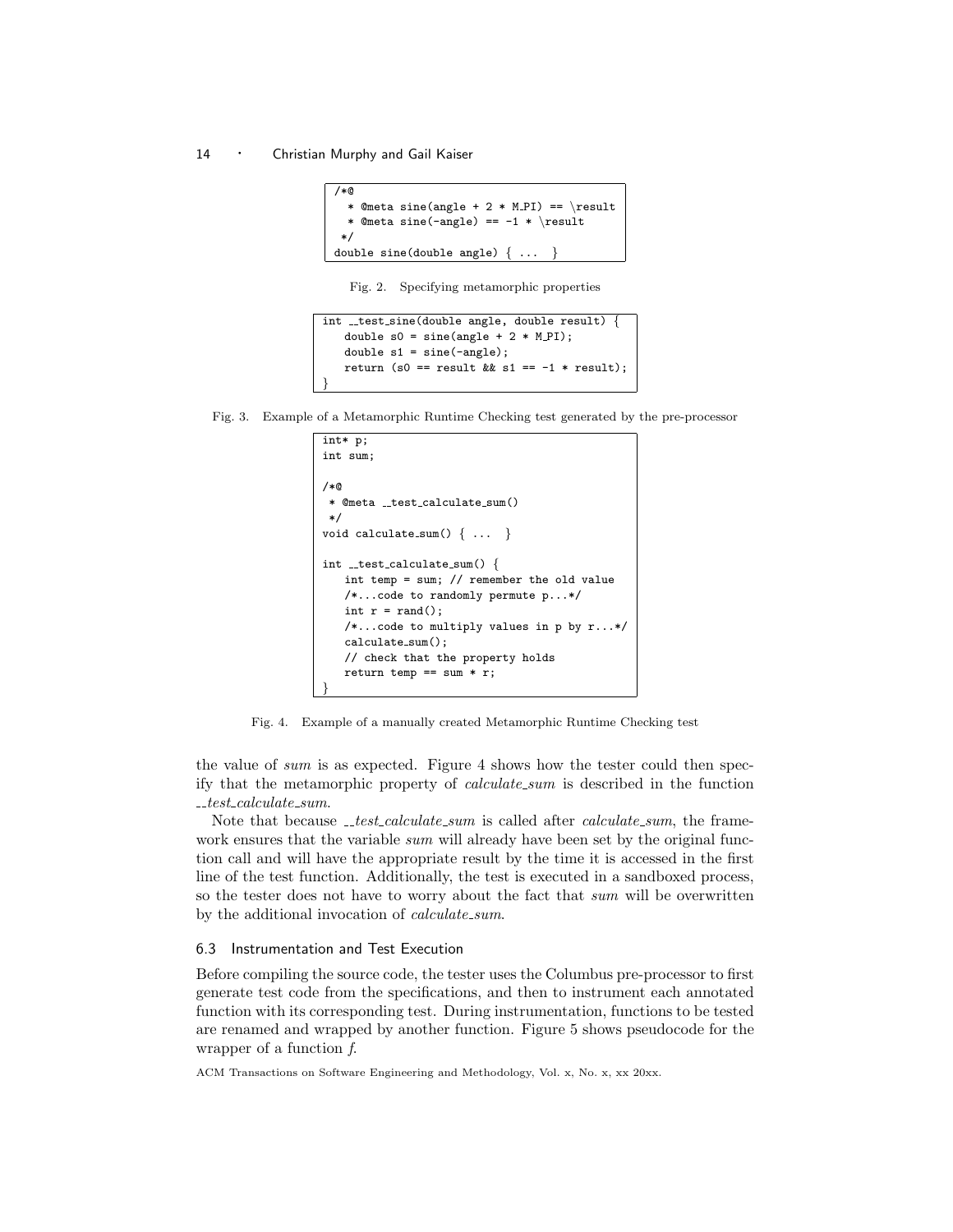```
/*@
  * @meta sine(angle + 2 * M_PI) == \result
 * @meta sine(-angle) == -1 * \result
 */
double sine(double angle) { ... }
```
Fig. 2. Specifying metamorphic properties

```
int _test_sine(double angle, double result)
   double s0 = sine(angle + 2 * M_PI);
   double s1 = sine(-angle);
   return (s0 == result && s1 == -1 * result);
}
```
Fig. 3. Example of a Metamorphic Runtime Checking test generated by the pre-processor

```
int* p;
int sum;
/*@
 * @meta __test_calculate_sum()
*/
void calculate_sum() \{ \ldots \}int _test_calculate_sum() {
   int temp = sum; // remember the old value
   /*...code to randomly permute p...*/
   int r = rand();
   /*...code to multiply values in p by r...*/
   calculate_sum();
   // check that the property holds
   return temp == sum * r;
}
```
Fig. 4. Example of a manually created Metamorphic Runtime Checking test

the value of sum is as expected. Figure 4 shows how the tester could then specify that the metamorphic property of calculate sum is described in the function  $\_test\_calculate\_sum.$ 

Note that because  ${\_}test\_calculate\_sum$  is called after *calculate\_sum*, the framework ensures that the variable sum will already have been set by the original function call and will have the appropriate result by the time it is accessed in the first line of the test function. Additionally, the test is executed in a sandboxed process, so the tester does not have to worry about the fact that sum will be overwritten by the additional invocation of *calculate\_sum*.

# 6.3 Instrumentation and Test Execution

Before compiling the source code, the tester uses the Columbus pre-processor to first generate test code from the specifications, and then to instrument each annotated function with its corresponding test. During instrumentation, functions to be tested are renamed and wrapped by another function. Figure 5 shows pseudocode for the wrapper of a function f.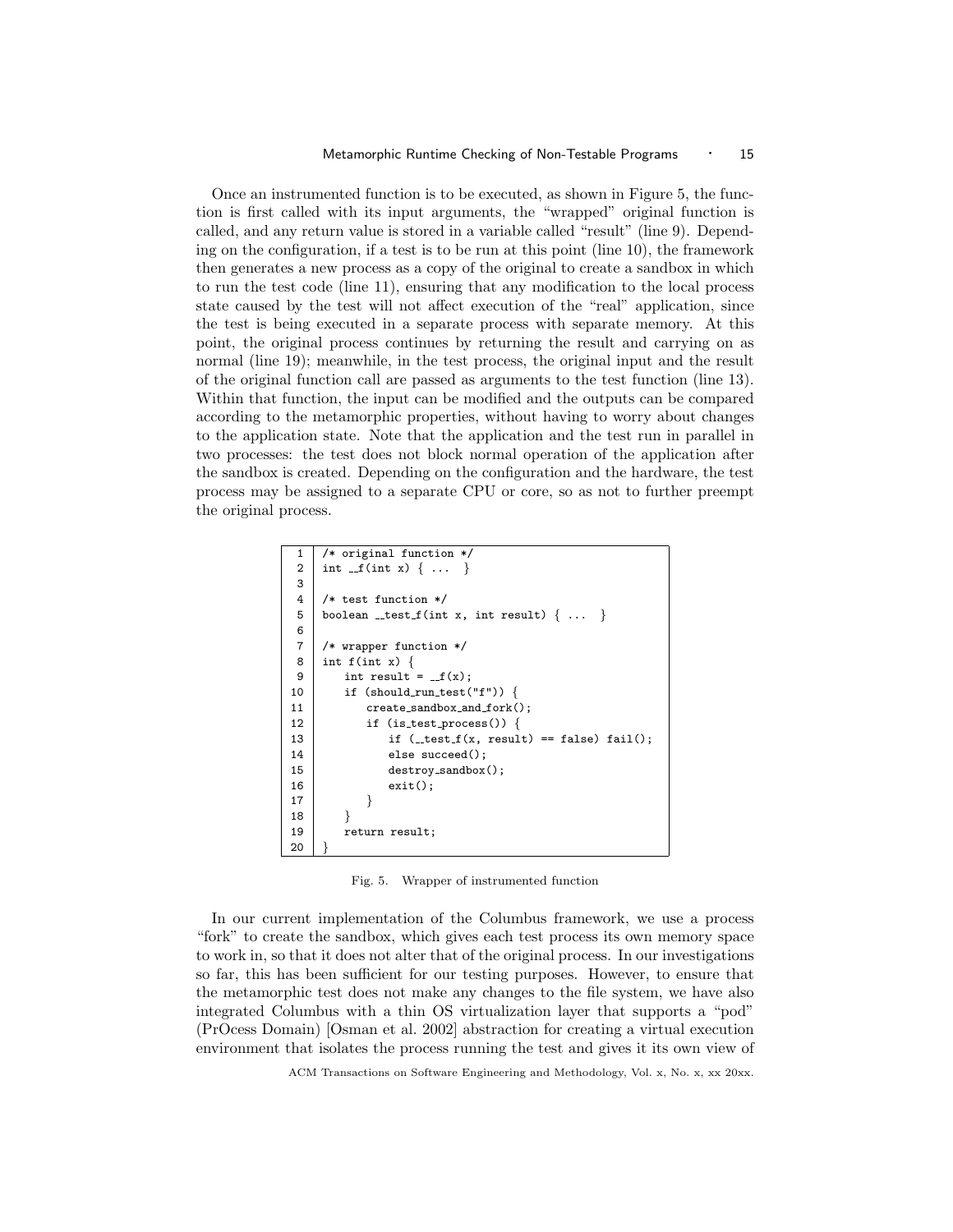Once an instrumented function is to be executed, as shown in Figure 5, the function is first called with its input arguments, the "wrapped" original function is called, and any return value is stored in a variable called "result" (line 9). Depending on the configuration, if a test is to be run at this point (line 10), the framework then generates a new process as a copy of the original to create a sandbox in which to run the test code (line 11), ensuring that any modification to the local process state caused by the test will not affect execution of the "real" application, since the test is being executed in a separate process with separate memory. At this point, the original process continues by returning the result and carrying on as normal (line 19); meanwhile, in the test process, the original input and the result of the original function call are passed as arguments to the test function (line 13). Within that function, the input can be modified and the outputs can be compared according to the metamorphic properties, without having to worry about changes to the application state. Note that the application and the test run in parallel in two processes: the test does not block normal operation of the application after the sandbox is created. Depending on the configuration and the hardware, the test process may be assigned to a separate CPU or core, so as not to further preempt the original process.

```
1 /* original function */
2 | int _{-}f(int x) { ... }3
4 /* test function */
5 boolean _test f(int x, int result) \{ \ldots \}6
7 /* wrapper function */
8 \mid \text{int } f(\text{int } x) \nmid9 int result = _f(x);
10 | if (should_run_test("f")) {
11 create_sandbox_and_fork();
12 if (is test process()) {
13 if (\_test_f(x, result) == false) fail();
14 else succeed();
15 destroy_sandbox();
16 exit();
17 }
18 }
19 return result;
20 }
```
Fig. 5. Wrapper of instrumented function

In our current implementation of the Columbus framework, we use a process "fork" to create the sandbox, which gives each test process its own memory space to work in, so that it does not alter that of the original process. In our investigations so far, this has been sufficient for our testing purposes. However, to ensure that the metamorphic test does not make any changes to the file system, we have also integrated Columbus with a thin OS virtualization layer that supports a "pod" (PrOcess Domain) [Osman et al. 2002] abstraction for creating a virtual execution environment that isolates the process running the test and gives it its own view of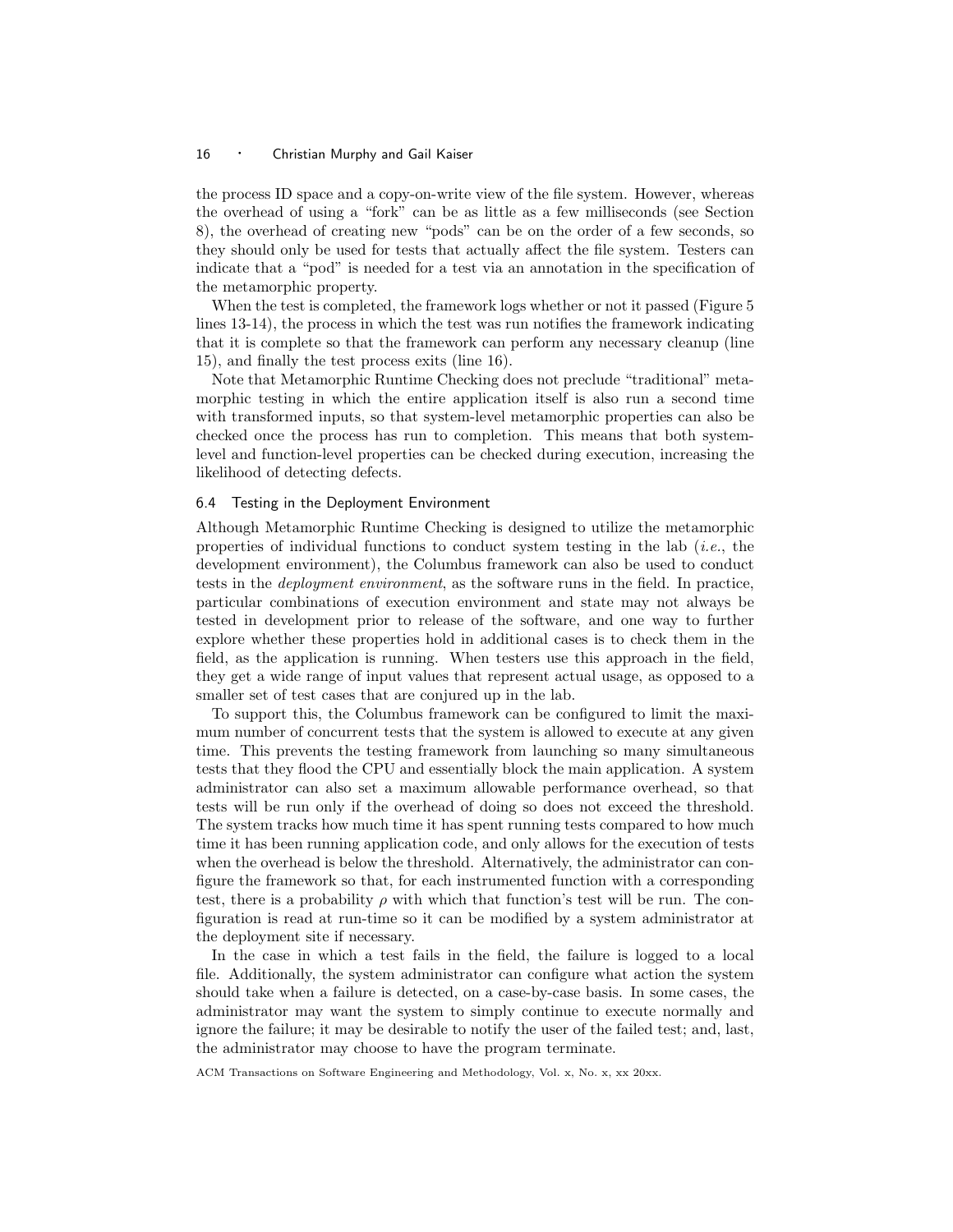the process ID space and a copy-on-write view of the file system. However, whereas the overhead of using a "fork" can be as little as a few milliseconds (see Section 8), the overhead of creating new "pods" can be on the order of a few seconds, so they should only be used for tests that actually affect the file system. Testers can indicate that a "pod" is needed for a test via an annotation in the specification of the metamorphic property.

When the test is completed, the framework logs whether or not it passed (Figure 5 lines 13-14), the process in which the test was run notifies the framework indicating that it is complete so that the framework can perform any necessary cleanup (line 15), and finally the test process exits (line 16).

Note that Metamorphic Runtime Checking does not preclude "traditional" metamorphic testing in which the entire application itself is also run a second time with transformed inputs, so that system-level metamorphic properties can also be checked once the process has run to completion. This means that both systemlevel and function-level properties can be checked during execution, increasing the likelihood of detecting defects.

## 6.4 Testing in the Deployment Environment

Although Metamorphic Runtime Checking is designed to utilize the metamorphic properties of individual functions to conduct system testing in the lab (*i.e.*, the development environment), the Columbus framework can also be used to conduct tests in the deployment environment, as the software runs in the field. In practice, particular combinations of execution environment and state may not always be tested in development prior to release of the software, and one way to further explore whether these properties hold in additional cases is to check them in the field, as the application is running. When testers use this approach in the field, they get a wide range of input values that represent actual usage, as opposed to a smaller set of test cases that are conjured up in the lab.

To support this, the Columbus framework can be configured to limit the maximum number of concurrent tests that the system is allowed to execute at any given time. This prevents the testing framework from launching so many simultaneous tests that they flood the CPU and essentially block the main application. A system administrator can also set a maximum allowable performance overhead, so that tests will be run only if the overhead of doing so does not exceed the threshold. The system tracks how much time it has spent running tests compared to how much time it has been running application code, and only allows for the execution of tests when the overhead is below the threshold. Alternatively, the administrator can configure the framework so that, for each instrumented function with a corresponding test, there is a probability  $\rho$  with which that function's test will be run. The configuration is read at run-time so it can be modified by a system administrator at the deployment site if necessary.

In the case in which a test fails in the field, the failure is logged to a local file. Additionally, the system administrator can configure what action the system should take when a failure is detected, on a case-by-case basis. In some cases, the administrator may want the system to simply continue to execute normally and ignore the failure; it may be desirable to notify the user of the failed test; and, last, the administrator may choose to have the program terminate.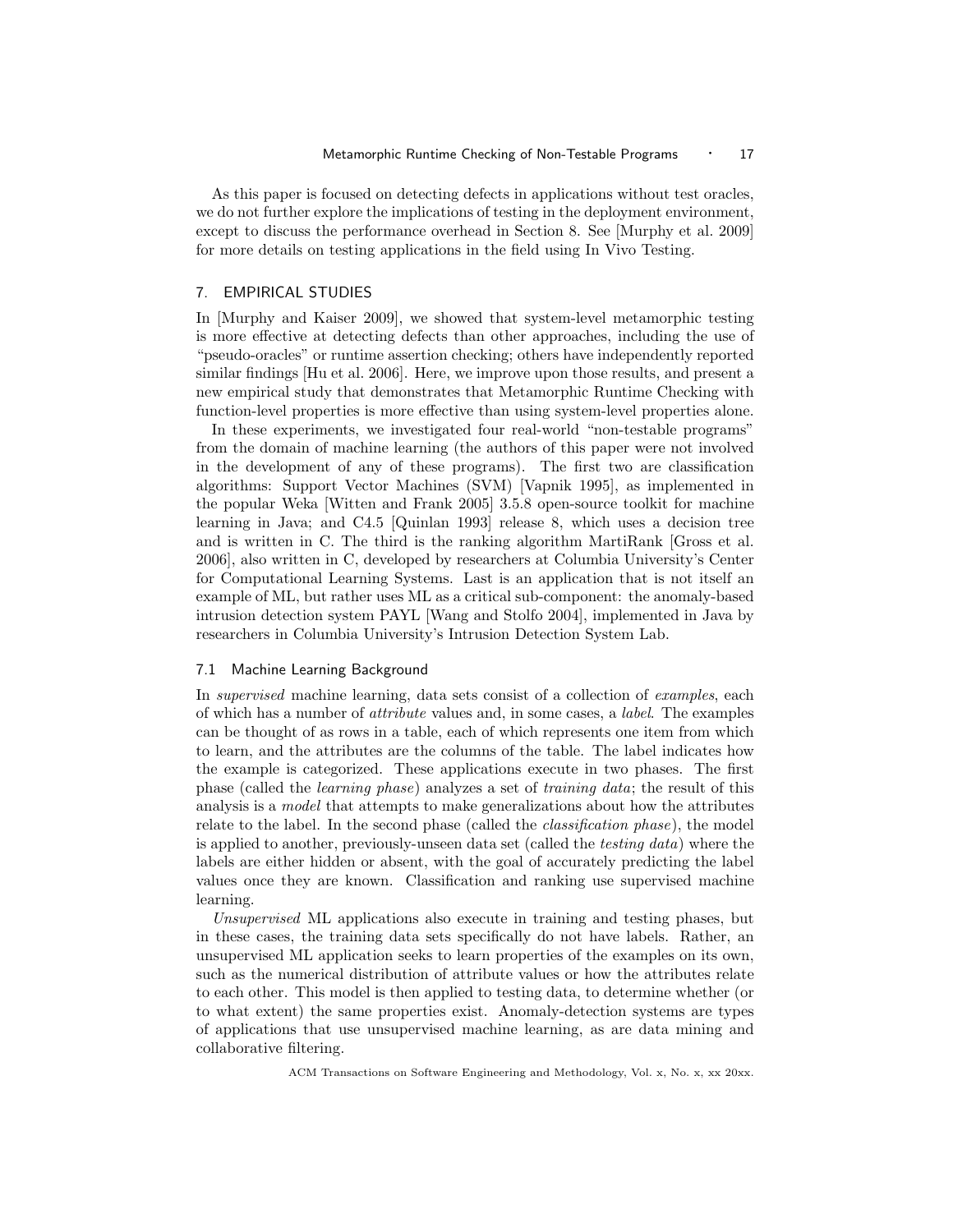As this paper is focused on detecting defects in applications without test oracles, we do not further explore the implications of testing in the deployment environment, except to discuss the performance overhead in Section 8. See [Murphy et al. 2009] for more details on testing applications in the field using In Vivo Testing.

# 7. EMPIRICAL STUDIES

In [Murphy and Kaiser 2009], we showed that system-level metamorphic testing is more effective at detecting defects than other approaches, including the use of "pseudo-oracles" or runtime assertion checking; others have independently reported similar findings [Hu et al. 2006]. Here, we improve upon those results, and present a new empirical study that demonstrates that Metamorphic Runtime Checking with function-level properties is more effective than using system-level properties alone.

In these experiments, we investigated four real-world "non-testable programs" from the domain of machine learning (the authors of this paper were not involved in the development of any of these programs). The first two are classification algorithms: Support Vector Machines (SVM) [Vapnik 1995], as implemented in the popular Weka [Witten and Frank 2005] 3.5.8 open-source toolkit for machine learning in Java; and C4.5 [Quinlan 1993] release 8, which uses a decision tree and is written in C. The third is the ranking algorithm MartiRank [Gross et al. 2006], also written in C, developed by researchers at Columbia University's Center for Computational Learning Systems. Last is an application that is not itself an example of ML, but rather uses ML as a critical sub-component: the anomaly-based intrusion detection system PAYL [Wang and Stolfo 2004], implemented in Java by researchers in Columbia University's Intrusion Detection System Lab.

## 7.1 Machine Learning Background

In supervised machine learning, data sets consist of a collection of examples, each of which has a number of attribute values and, in some cases, a label. The examples can be thought of as rows in a table, each of which represents one item from which to learn, and the attributes are the columns of the table. The label indicates how the example is categorized. These applications execute in two phases. The first phase (called the learning phase) analyzes a set of training data; the result of this analysis is a *model* that attempts to make generalizations about how the attributes relate to the label. In the second phase (called the *classification phase*), the model is applied to another, previously-unseen data set (called the testing data) where the labels are either hidden or absent, with the goal of accurately predicting the label values once they are known. Classification and ranking use supervised machine learning.

Unsupervised ML applications also execute in training and testing phases, but in these cases, the training data sets specifically do not have labels. Rather, an unsupervised ML application seeks to learn properties of the examples on its own, such as the numerical distribution of attribute values or how the attributes relate to each other. This model is then applied to testing data, to determine whether (or to what extent) the same properties exist. Anomaly-detection systems are types of applications that use unsupervised machine learning, as are data mining and collaborative filtering.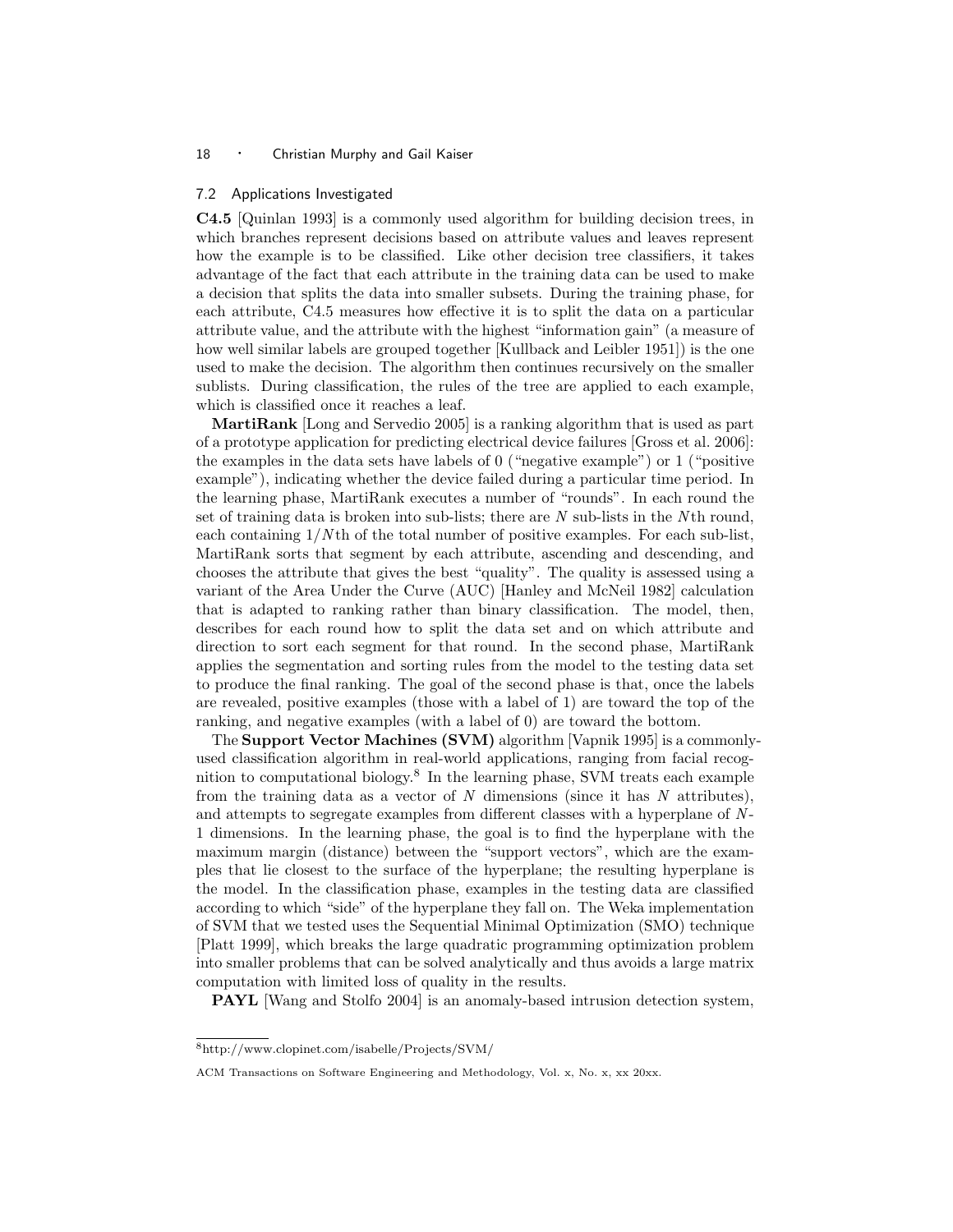#### 7.2 Applications Investigated

C4.5 [Quinlan 1993] is a commonly used algorithm for building decision trees, in which branches represent decisions based on attribute values and leaves represent how the example is to be classified. Like other decision tree classifiers, it takes advantage of the fact that each attribute in the training data can be used to make a decision that splits the data into smaller subsets. During the training phase, for each attribute, C4.5 measures how effective it is to split the data on a particular attribute value, and the attribute with the highest "information gain" (a measure of how well similar labels are grouped together [Kullback and Leibler 1951]) is the one used to make the decision. The algorithm then continues recursively on the smaller sublists. During classification, the rules of the tree are applied to each example, which is classified once it reaches a leaf.

MartiRank [Long and Servedio 2005] is a ranking algorithm that is used as part of a prototype application for predicting electrical device failures [Gross et al. 2006]: the examples in the data sets have labels of 0 ("negative example") or 1 ("positive example"), indicating whether the device failed during a particular time period. In the learning phase, MartiRank executes a number of "rounds". In each round the set of training data is broken into sub-lists; there are  $N$  sub-lists in the  $N$ th round, each containing  $1/N$ th of the total number of positive examples. For each sub-list, MartiRank sorts that segment by each attribute, ascending and descending, and chooses the attribute that gives the best "quality". The quality is assessed using a variant of the Area Under the Curve (AUC) [Hanley and McNeil 1982] calculation that is adapted to ranking rather than binary classification. The model, then, describes for each round how to split the data set and on which attribute and direction to sort each segment for that round. In the second phase, MartiRank applies the segmentation and sorting rules from the model to the testing data set to produce the final ranking. The goal of the second phase is that, once the labels are revealed, positive examples (those with a label of 1) are toward the top of the ranking, and negative examples (with a label of 0) are toward the bottom.

The Support Vector Machines (SVM) algorithm [Vapnik 1995] is a commonlyused classification algorithm in real-world applications, ranging from facial recognition to computational biology.<sup>8</sup> In the learning phase, SVM treats each example from the training data as a vector of  $N$  dimensions (since it has  $N$  attributes), and attempts to segregate examples from different classes with a hyperplane of N-1 dimensions. In the learning phase, the goal is to find the hyperplane with the maximum margin (distance) between the "support vectors", which are the examples that lie closest to the surface of the hyperplane; the resulting hyperplane is the model. In the classification phase, examples in the testing data are classified according to which "side" of the hyperplane they fall on. The Weka implementation of SVM that we tested uses the Sequential Minimal Optimization (SMO) technique [Platt 1999], which breaks the large quadratic programming optimization problem into smaller problems that can be solved analytically and thus avoids a large matrix computation with limited loss of quality in the results.

PAYL [Wang and Stolfo 2004] is an anomaly-based intrusion detection system,

<sup>8</sup>http://www.clopinet.com/isabelle/Projects/SVM/

ACM Transactions on Software Engineering and Methodology, Vol. x, No. x, xx 20xx.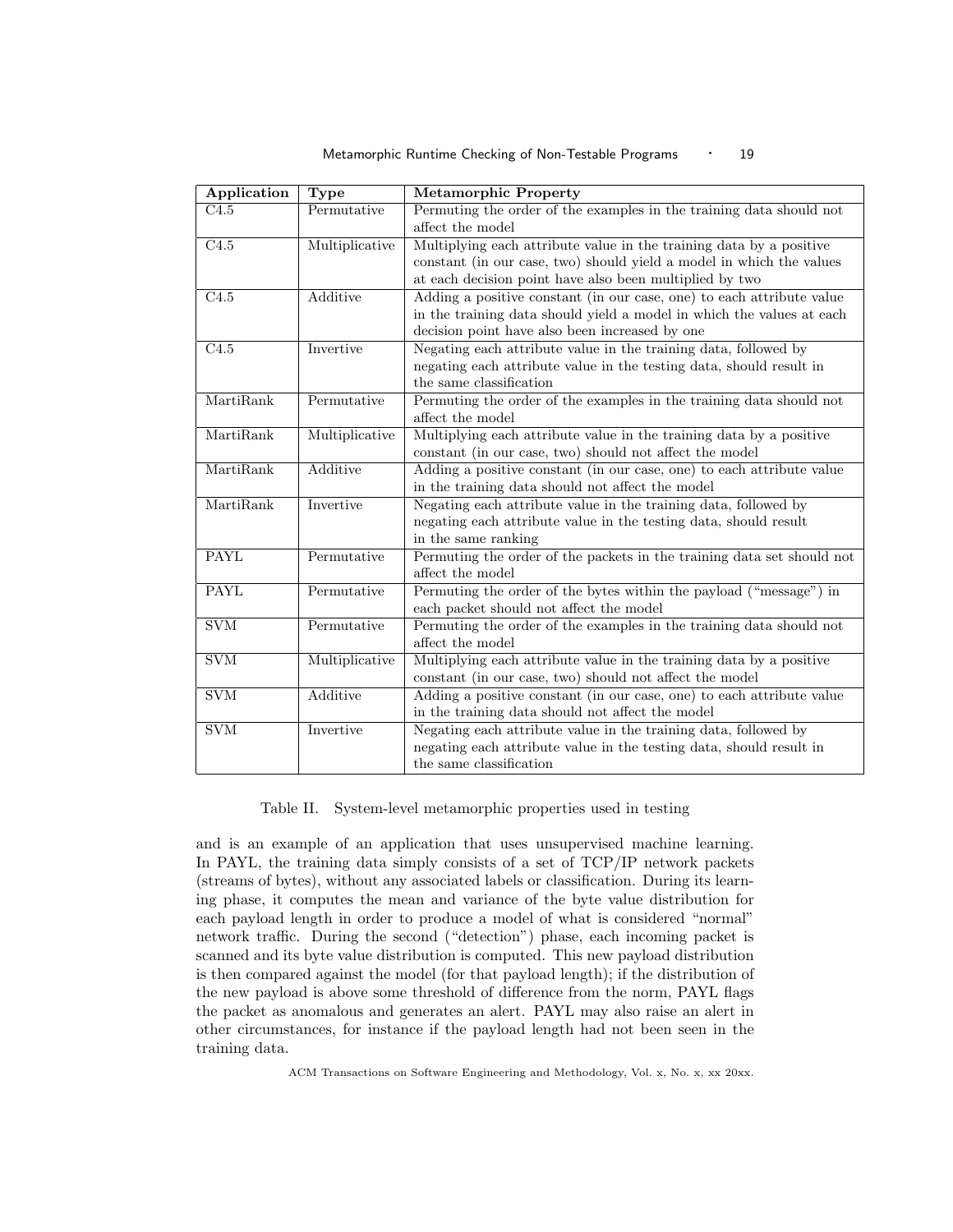Metamorphic Runtime Checking of Non-Testable Programs • 19

| <b>Type</b>     | <b>Metamorphic Property</b>                                                                       |  |  |  |
|-----------------|---------------------------------------------------------------------------------------------------|--|--|--|
| Permutative     | Permuting the order of the examples in the training data should not                               |  |  |  |
|                 | affect the model                                                                                  |  |  |  |
|                 | Multiplying each attribute value in the training data by a positive                               |  |  |  |
|                 | constant (in our case, two) should yield a model in which the values                              |  |  |  |
|                 | at each decision point have also been multiplied by two                                           |  |  |  |
|                 | Adding a positive constant (in our case, one) to each attribute value                             |  |  |  |
|                 | in the training data should yield a model in which the values at each                             |  |  |  |
|                 | decision point have also been increased by one                                                    |  |  |  |
|                 | Negating each attribute value in the training data, followed by                                   |  |  |  |
|                 | negating each attribute value in the testing data, should result in                               |  |  |  |
|                 | the same classification                                                                           |  |  |  |
| Permutative     | Permuting the order of the examples in the training data should not                               |  |  |  |
|                 | affect the model                                                                                  |  |  |  |
|                 | Multiplying each attribute value in the training data by a positive                               |  |  |  |
|                 | constant (in our case, two) should not affect the model                                           |  |  |  |
| Additive        | Adding a positive constant (in our case, one) to each attribute value                             |  |  |  |
|                 | in the training data should not affect the model                                                  |  |  |  |
| Invertive       | Negating each attribute value in the training data, followed by                                   |  |  |  |
|                 | negating each attribute value in the testing data, should result                                  |  |  |  |
|                 | in the same ranking                                                                               |  |  |  |
| Permutative     | Permuting the order of the packets in the training data set should not                            |  |  |  |
|                 | affect the model                                                                                  |  |  |  |
| Permutative     | Permuting the order of the bytes within the payload ("message") in                                |  |  |  |
|                 | each packet should not affect the model                                                           |  |  |  |
|                 | Permuting the order of the examples in the training data should not                               |  |  |  |
|                 | affect the model                                                                                  |  |  |  |
|                 | Multiplying each attribute value in the training data by a positive                               |  |  |  |
|                 | constant (in our case, two) should not affect the model                                           |  |  |  |
| <b>Additive</b> | Adding a positive constant (in our case, one) to each attribute value                             |  |  |  |
|                 | in the training data should not affect the model                                                  |  |  |  |
| Invertive       | Negating each attribute value in the training data, followed by                                   |  |  |  |
|                 | negating each attribute value in the testing data, should result in                               |  |  |  |
|                 | the same classification                                                                           |  |  |  |
|                 | Multiplicative<br><b>Additive</b><br>Invertive<br>Multiplicative<br>Permutative<br>Multiplicative |  |  |  |

Table II. System-level metamorphic properties used in testing

and is an example of an application that uses unsupervised machine learning. In PAYL, the training data simply consists of a set of TCP/IP network packets (streams of bytes), without any associated labels or classification. During its learning phase, it computes the mean and variance of the byte value distribution for each payload length in order to produce a model of what is considered "normal" network traffic. During the second ("detection") phase, each incoming packet is scanned and its byte value distribution is computed. This new payload distribution is then compared against the model (for that payload length); if the distribution of the new payload is above some threshold of difference from the norm, PAYL flags the packet as anomalous and generates an alert. PAYL may also raise an alert in other circumstances, for instance if the payload length had not been seen in the training data.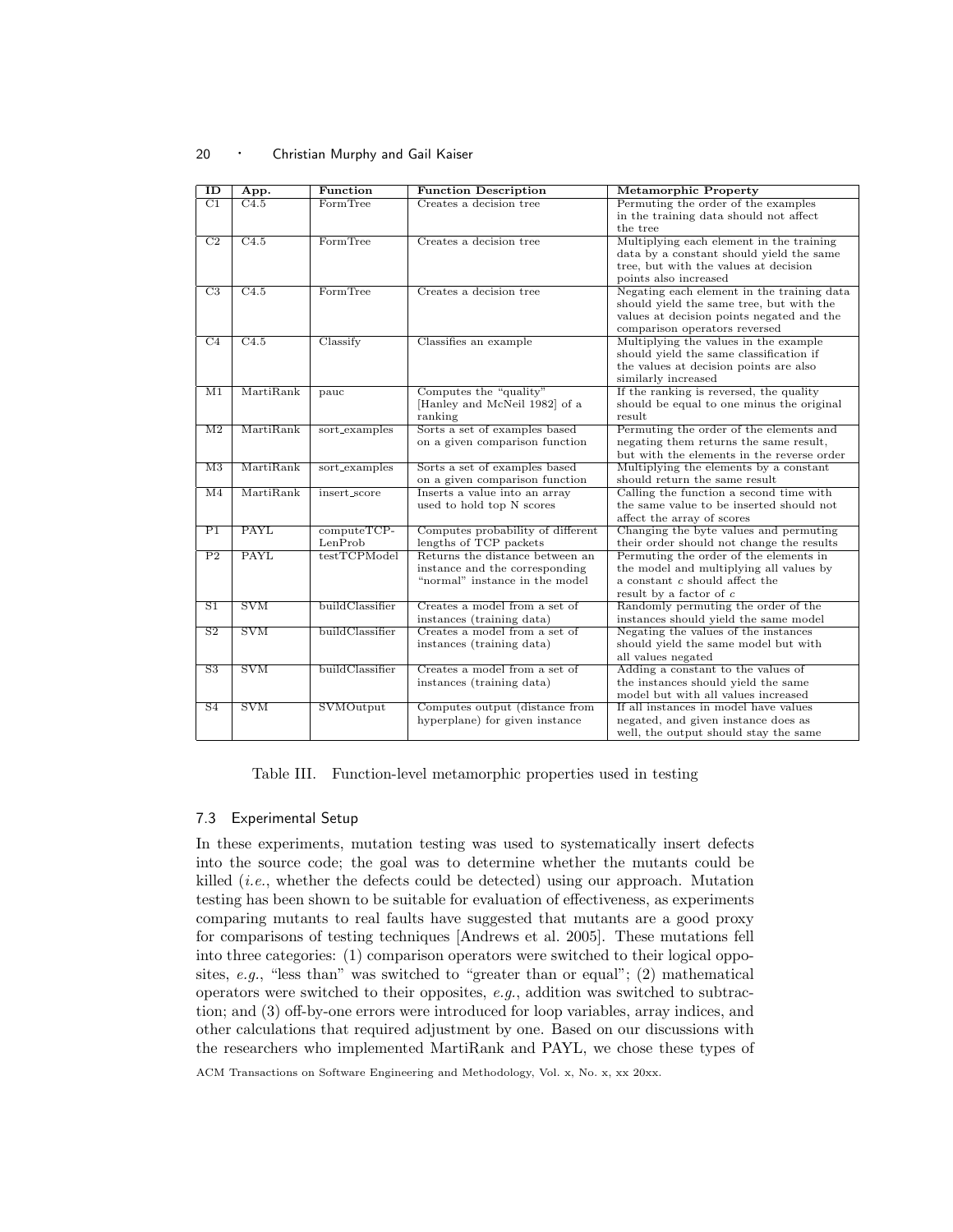| ID                       | App.                      | Function        | <b>Function Description</b>       | <b>Metamorphic Property</b>                |  |  |
|--------------------------|---------------------------|-----------------|-----------------------------------|--------------------------------------------|--|--|
| $\overline{C1}$          | $\overline{C4.5}$         | FormTree        | Creates a decision tree           | Permuting the order of the examples        |  |  |
|                          |                           |                 |                                   | in the training data should not affect     |  |  |
|                          |                           |                 |                                   | the tree                                   |  |  |
| C2                       | C4.5                      | FormTree        | Creates a decision tree           | Multiplying each element in the training   |  |  |
|                          |                           |                 |                                   | data by a constant should yield the same   |  |  |
|                          |                           |                 |                                   | tree, but with the values at decision      |  |  |
|                          |                           |                 |                                   | points also increased                      |  |  |
| $\overline{C3}$          | C4.5                      | FormTree        | Creates a decision tree           | Negating each element in the training data |  |  |
|                          |                           |                 |                                   | should yield the same tree, but with the   |  |  |
|                          |                           |                 |                                   | values at decision points negated and the  |  |  |
|                          |                           |                 |                                   | comparison operators reversed              |  |  |
| $\overline{C4}$          | $\overline{C4.5}$         | Classify        | Classifies an example             | Multiplying the values in the example      |  |  |
|                          |                           |                 |                                   | should yield the same classification if    |  |  |
|                          |                           |                 |                                   | the values at decision points are also     |  |  |
|                          |                           |                 |                                   | similarly increased                        |  |  |
| $\overline{\mathrm{M1}}$ | MartiRank                 | pauc            | Computes the "quality"            | If the ranking is reversed, the quality    |  |  |
|                          |                           |                 | [Hanley and McNeil 1982] of a     | should be equal to one minus the original  |  |  |
|                          |                           |                 | ranking                           | result                                     |  |  |
| $\overline{M2}$          | MartiRank                 | sort_examples   | Sorts a set of examples based     | Permuting the order of the elements and    |  |  |
|                          |                           |                 | on a given comparison function    | negating them returns the same result,     |  |  |
|                          |                           |                 |                                   | but with the elements in the reverse order |  |  |
| M <sub>3</sub>           | MartiRank                 | sort_examples   | Sorts a set of examples based     | Multiplying the elements by a constant     |  |  |
|                          |                           |                 | on a given comparison function    | should return the same result              |  |  |
| $\overline{M4}$          | MartiRank                 | insert_score    | Inserts a value into an array     | Calling the function a second time with    |  |  |
|                          |                           |                 | used to hold top N scores         | the same value to be inserted should not   |  |  |
|                          |                           |                 |                                   | affect the array of scores                 |  |  |
| $\overline{P1}$          | <b>PAYL</b>               | $computerCP-$   | Computes probability of different | Changing the byte values and permuting     |  |  |
|                          |                           | LenProb         | lengths of TCP packets            | their order should not change the results  |  |  |
| P <sub>2</sub>           | <b>PAYL</b>               | testTCPModel    | Returns the distance between an   | Permuting the order of the elements in     |  |  |
|                          |                           |                 | instance and the corresponding    | the model and multiplying all values by    |  |  |
|                          |                           |                 | "normal" instance in the model    | a constant c should affect the             |  |  |
|                          |                           |                 |                                   | result by a factor of $c$                  |  |  |
| $\overline{S1}$          | <b>SVM</b>                | buildClassifier | Creates a model from a set of     | Randomly permuting the order of the        |  |  |
|                          |                           |                 | instances (training data)         | instances should yield the same model      |  |  |
| $\overline{S2}$          | $\overline{\mathrm{SVM}}$ | buildClassifier | Creates a model from a set of     | Negating the values of the instances       |  |  |
|                          |                           |                 | instances (training data)         | should yield the same model but with       |  |  |
|                          |                           |                 |                                   | all values negated                         |  |  |
| $\overline{S3}$          | $\overline{\mathrm{SVM}}$ | buildClassifier | Creates a model from a set of     | Adding a constant to the values of         |  |  |
|                          |                           |                 | instances (training data)         | the instances should yield the same        |  |  |
|                          |                           |                 |                                   | model but with all values increased        |  |  |
| $\overline{S4}$          | $\overline{\mathrm{SVM}}$ | SVMOutput       | Computes output (distance from    | If all instances in model have values      |  |  |
|                          |                           |                 | hyperplane) for given instance    | negated, and given instance does as        |  |  |
|                          |                           |                 |                                   | well, the output should stay the same      |  |  |

Table III. Function-level metamorphic properties used in testing

## 7.3 Experimental Setup

In these experiments, mutation testing was used to systematically insert defects into the source code; the goal was to determine whether the mutants could be killed (i.e., whether the defects could be detected) using our approach. Mutation testing has been shown to be suitable for evaluation of effectiveness, as experiments comparing mutants to real faults have suggested that mutants are a good proxy for comparisons of testing techniques [Andrews et al. 2005]. These mutations fell into three categories: (1) comparison operators were switched to their logical opposites, e.g., "less than" was switched to "greater than or equal"; (2) mathematical operators were switched to their opposites,  $e.g.,$  addition was switched to subtraction; and (3) off-by-one errors were introduced for loop variables, array indices, and other calculations that required adjustment by one. Based on our discussions with the researchers who implemented MartiRank and PAYL, we chose these types of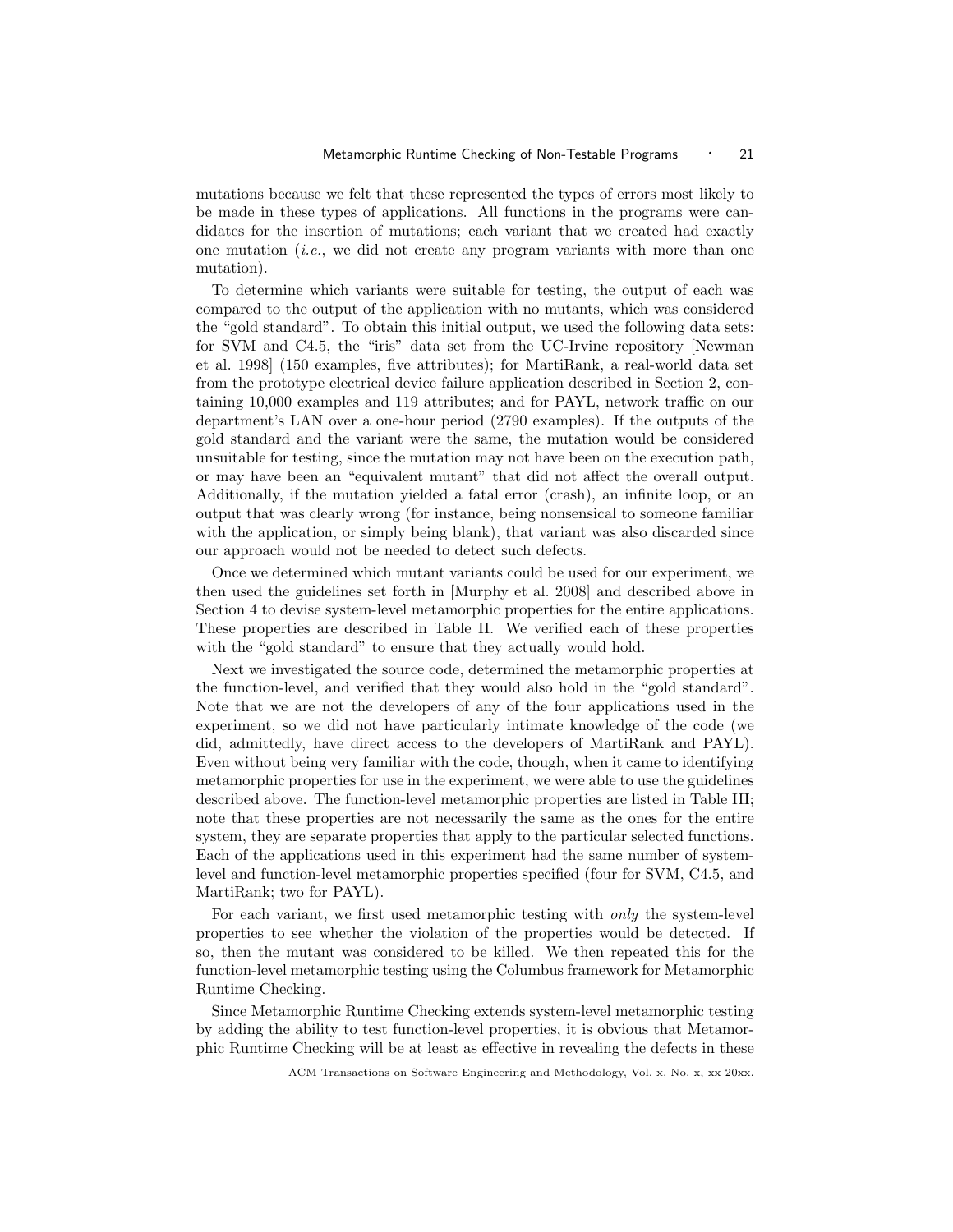mutations because we felt that these represented the types of errors most likely to be made in these types of applications. All functions in the programs were candidates for the insertion of mutations; each variant that we created had exactly one mutation  $(i.e.,$  we did not create any program variants with more than one mutation).

To determine which variants were suitable for testing, the output of each was compared to the output of the application with no mutants, which was considered the "gold standard". To obtain this initial output, we used the following data sets: for SVM and C4.5, the "iris" data set from the UC-Irvine repository [Newman et al. 1998] (150 examples, five attributes); for MartiRank, a real-world data set from the prototype electrical device failure application described in Section 2, containing 10,000 examples and 119 attributes; and for PAYL, network traffic on our department's LAN over a one-hour period (2790 examples). If the outputs of the gold standard and the variant were the same, the mutation would be considered unsuitable for testing, since the mutation may not have been on the execution path, or may have been an "equivalent mutant" that did not affect the overall output. Additionally, if the mutation yielded a fatal error (crash), an infinite loop, or an output that was clearly wrong (for instance, being nonsensical to someone familiar with the application, or simply being blank), that variant was also discarded since our approach would not be needed to detect such defects.

Once we determined which mutant variants could be used for our experiment, we then used the guidelines set forth in [Murphy et al. 2008] and described above in Section 4 to devise system-level metamorphic properties for the entire applications. These properties are described in Table II. We verified each of these properties with the "gold standard" to ensure that they actually would hold.

Next we investigated the source code, determined the metamorphic properties at the function-level, and verified that they would also hold in the "gold standard". Note that we are not the developers of any of the four applications used in the experiment, so we did not have particularly intimate knowledge of the code (we did, admittedly, have direct access to the developers of MartiRank and PAYL). Even without being very familiar with the code, though, when it came to identifying metamorphic properties for use in the experiment, we were able to use the guidelines described above. The function-level metamorphic properties are listed in Table III; note that these properties are not necessarily the same as the ones for the entire system, they are separate properties that apply to the particular selected functions. Each of the applications used in this experiment had the same number of systemlevel and function-level metamorphic properties specified (four for SVM, C4.5, and MartiRank; two for PAYL).

For each variant, we first used metamorphic testing with only the system-level properties to see whether the violation of the properties would be detected. If so, then the mutant was considered to be killed. We then repeated this for the function-level metamorphic testing using the Columbus framework for Metamorphic Runtime Checking.

Since Metamorphic Runtime Checking extends system-level metamorphic testing by adding the ability to test function-level properties, it is obvious that Metamorphic Runtime Checking will be at least as effective in revealing the defects in these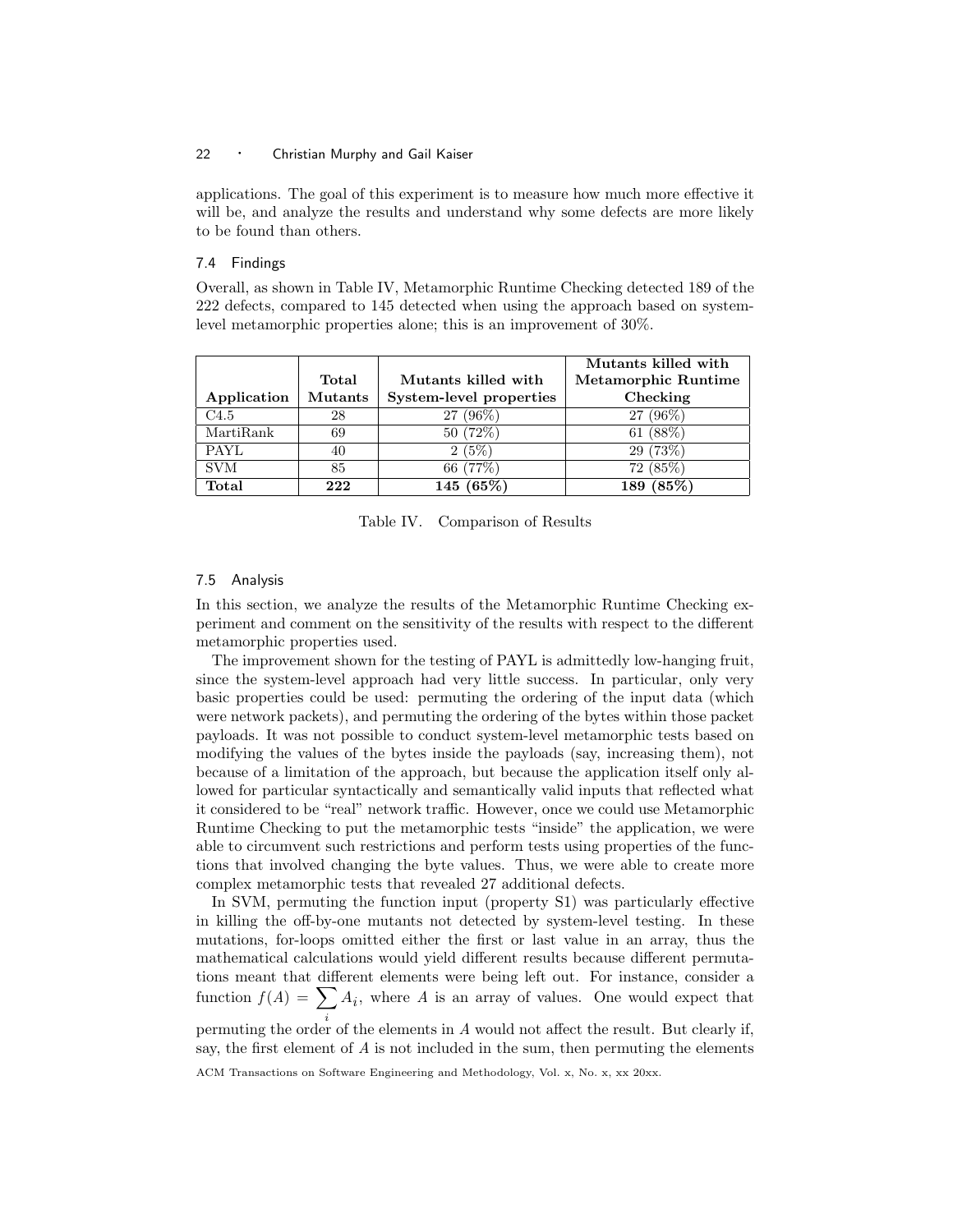applications. The goal of this experiment is to measure how much more effective it will be, and analyze the results and understand why some defects are more likely to be found than others.

## 7.4 Findings

Overall, as shown in Table IV, Metamorphic Runtime Checking detected 189 of the 222 defects, compared to 145 detected when using the approach based on systemlevel metamorphic properties alone; this is an improvement of 30%.

|             |                |                                            | Mutants killed with |  |  |
|-------------|----------------|--------------------------------------------|---------------------|--|--|
|             | Total          | Metamorphic Runtime<br>Mutants killed with |                     |  |  |
| Application | <b>Mutants</b> | System-level properties                    | Checking            |  |  |
| C4.5        | 28             | 27 (96%)                                   | 27 (96%)            |  |  |
| MartiRank   | 69             | 50(72%)                                    | 61 $(88%)$          |  |  |
| <b>PAYL</b> | 40             | 2(5%)                                      | 29(73%)             |  |  |
| <b>SVM</b>  | 85             | 66 (77%)                                   | 72(85%)             |  |  |
| Total       | 222            | 145 $(65%)$                                | 189 (85%)           |  |  |

Table IV. Comparison of Results

## 7.5 Analysis

In this section, we analyze the results of the Metamorphic Runtime Checking experiment and comment on the sensitivity of the results with respect to the different metamorphic properties used.

The improvement shown for the testing of PAYL is admittedly low-hanging fruit, since the system-level approach had very little success. In particular, only very basic properties could be used: permuting the ordering of the input data (which were network packets), and permuting the ordering of the bytes within those packet payloads. It was not possible to conduct system-level metamorphic tests based on modifying the values of the bytes inside the payloads (say, increasing them), not because of a limitation of the approach, but because the application itself only allowed for particular syntactically and semantically valid inputs that reflected what it considered to be "real" network traffic. However, once we could use Metamorphic Runtime Checking to put the metamorphic tests "inside" the application, we were able to circumvent such restrictions and perform tests using properties of the functions that involved changing the byte values. Thus, we were able to create more complex metamorphic tests that revealed 27 additional defects.

In SVM, permuting the function input (property S1) was particularly effective in killing the off-by-one mutants not detected by system-level testing. In these mutations, for-loops omitted either the first or last value in an array, thus the mathematical calculations would yield different results because different permutations meant that different elements were being left out. For instance, consider a function  $f(A) = \sum$ i  $A_i$ , where  $A$  is an array of values. One would expect that

permuting the order of the elements in A would not affect the result. But clearly if, say, the first element of A is not included in the sum, then permuting the elements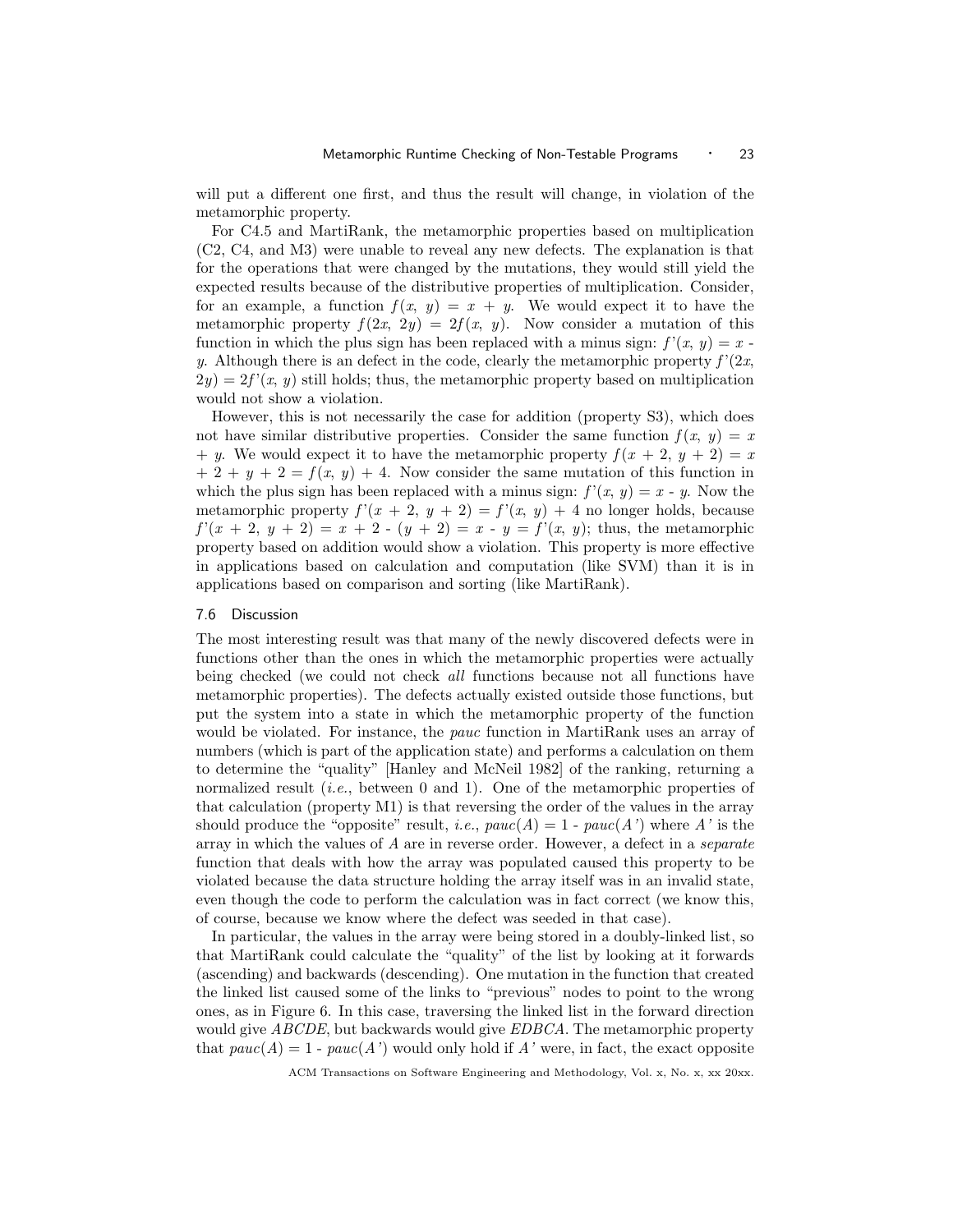will put a different one first, and thus the result will change, in violation of the metamorphic property.

For C4.5 and MartiRank, the metamorphic properties based on multiplication (C2, C4, and M3) were unable to reveal any new defects. The explanation is that for the operations that were changed by the mutations, they would still yield the expected results because of the distributive properties of multiplication. Consider, for an example, a function  $f(x, y) = x + y$ . We would expect it to have the metamorphic property  $f(2x, 2y) = 2f(x, y)$ . Now consider a mutation of this function in which the plus sign has been replaced with a minus sign:  $f'(x, y) = x$ . y. Although there is an defect in the code, clearly the metamorphic property  $f'(2x, \theta)$  $2y = 2f'(x, y)$  still holds; thus, the metamorphic property based on multiplication would not show a violation.

However, this is not necessarily the case for addition (property S3), which does not have similar distributive properties. Consider the same function  $f(x, y) = x$ + y. We would expect it to have the metamorphic property  $f(x + 2, y + 2) = x$  $+ 2 + y + 2 = f(x, y) + 4$ . Now consider the same mutation of this function in which the plus sign has been replaced with a minus sign:  $f'(x, y) = x - y$ . Now the metamorphic property  $f'(x + 2, y + 2) = f'(x, y) + 4$  no longer holds, because  $f'(x + 2, y + 2) = x + 2 - (y + 2) = x - y = f'(x, y);$  thus, the metamorphic property based on addition would show a violation. This property is more effective in applications based on calculation and computation (like SVM) than it is in applications based on comparison and sorting (like MartiRank).

#### 7.6 Discussion

The most interesting result was that many of the newly discovered defects were in functions other than the ones in which the metamorphic properties were actually being checked (we could not check all functions because not all functions have metamorphic properties). The defects actually existed outside those functions, but put the system into a state in which the metamorphic property of the function would be violated. For instance, the *pauc* function in MartiRank uses an array of numbers (which is part of the application state) and performs a calculation on them to determine the "quality" [Hanley and McNeil 1982] of the ranking, returning a normalized result *(i.e., between 0 and 1)*. One of the metamorphic properties of that calculation (property M1) is that reversing the order of the values in the array should produce the "opposite" result, *i.e.*,  $pace(A) = 1$  -  $pace(A')$  where A' is the array in which the values of A are in reverse order. However, a defect in a separate function that deals with how the array was populated caused this property to be violated because the data structure holding the array itself was in an invalid state, even though the code to perform the calculation was in fact correct (we know this, of course, because we know where the defect was seeded in that case).

In particular, the values in the array were being stored in a doubly-linked list, so that MartiRank could calculate the "quality" of the list by looking at it forwards (ascending) and backwards (descending). One mutation in the function that created the linked list caused some of the links to "previous" nodes to point to the wrong ones, as in Figure 6. In this case, traversing the linked list in the forward direction would give ABCDE, but backwards would give EDBCA. The metamorphic property that  $pace(A) = 1$  -  $pace(A')$  would only hold if A' were, in fact, the exact opposite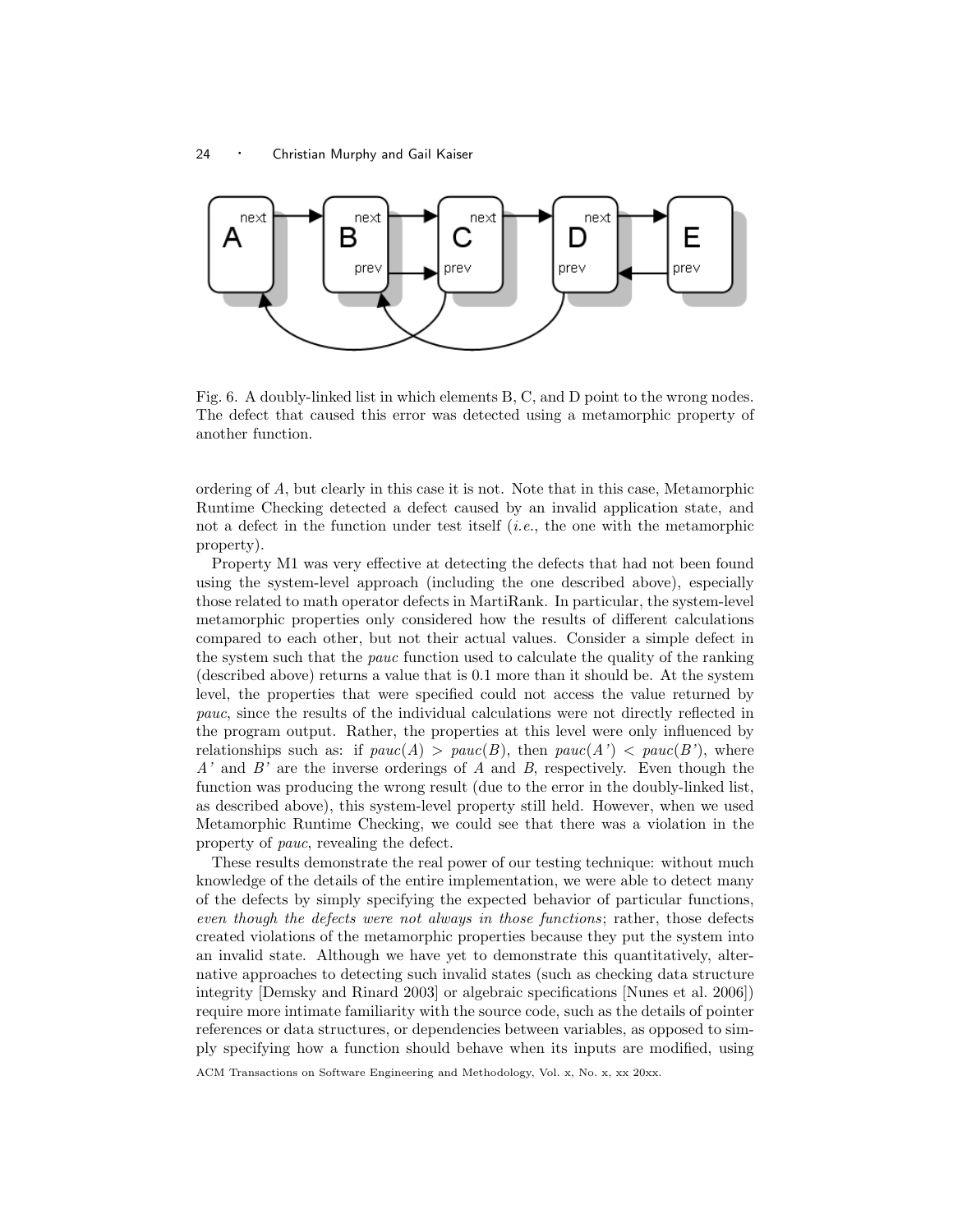

Fig. 6. A doubly-linked list in which elements B, C, and D point to the wrong nodes. The defect that caused this error was detected using a metamorphic property of another function.

ordering of A, but clearly in this case it is not. Note that in this case, Metamorphic Runtime Checking detected a defect caused by an invalid application state, and not a defect in the function under test itself (i.e., the one with the metamorphic property).

Property M1 was very effective at detecting the defects that had not been found using the system-level approach (including the one described above), especially those related to math operator defects in MartiRank. In particular, the system-level metamorphic properties only considered how the results of different calculations compared to each other, but not their actual values. Consider a simple defect in the system such that the *pauc* function used to calculate the quality of the ranking (described above) returns a value that is 0.1 more than it should be. At the system level, the properties that were specified could not access the value returned by pauc, since the results of the individual calculations were not directly reflected in the program output. Rather, the properties at this level were only influenced by relationships such as: if  $pauc(A) > pauc(B)$ , then  $pauc(A') < pauc(B')$ , where  $A'$  and  $B'$  are the inverse orderings of A and B, respectively. Even though the function was producing the wrong result (due to the error in the doubly-linked list, as described above), this system-level property still held. However, when we used Metamorphic Runtime Checking, we could see that there was a violation in the property of pauc, revealing the defect.

These results demonstrate the real power of our testing technique: without much knowledge of the details of the entire implementation, we were able to detect many of the defects by simply specifying the expected behavior of particular functions, even though the defects were not always in those functions; rather, those defects created violations of the metamorphic properties because they put the system into an invalid state. Although we have yet to demonstrate this quantitatively, alternative approaches to detecting such invalid states (such as checking data structure integrity [Demsky and Rinard 2003] or algebraic specifications [Nunes et al. 2006]) require more intimate familiarity with the source code, such as the details of pointer references or data structures, or dependencies between variables, as opposed to simply specifying how a function should behave when its inputs are modified, using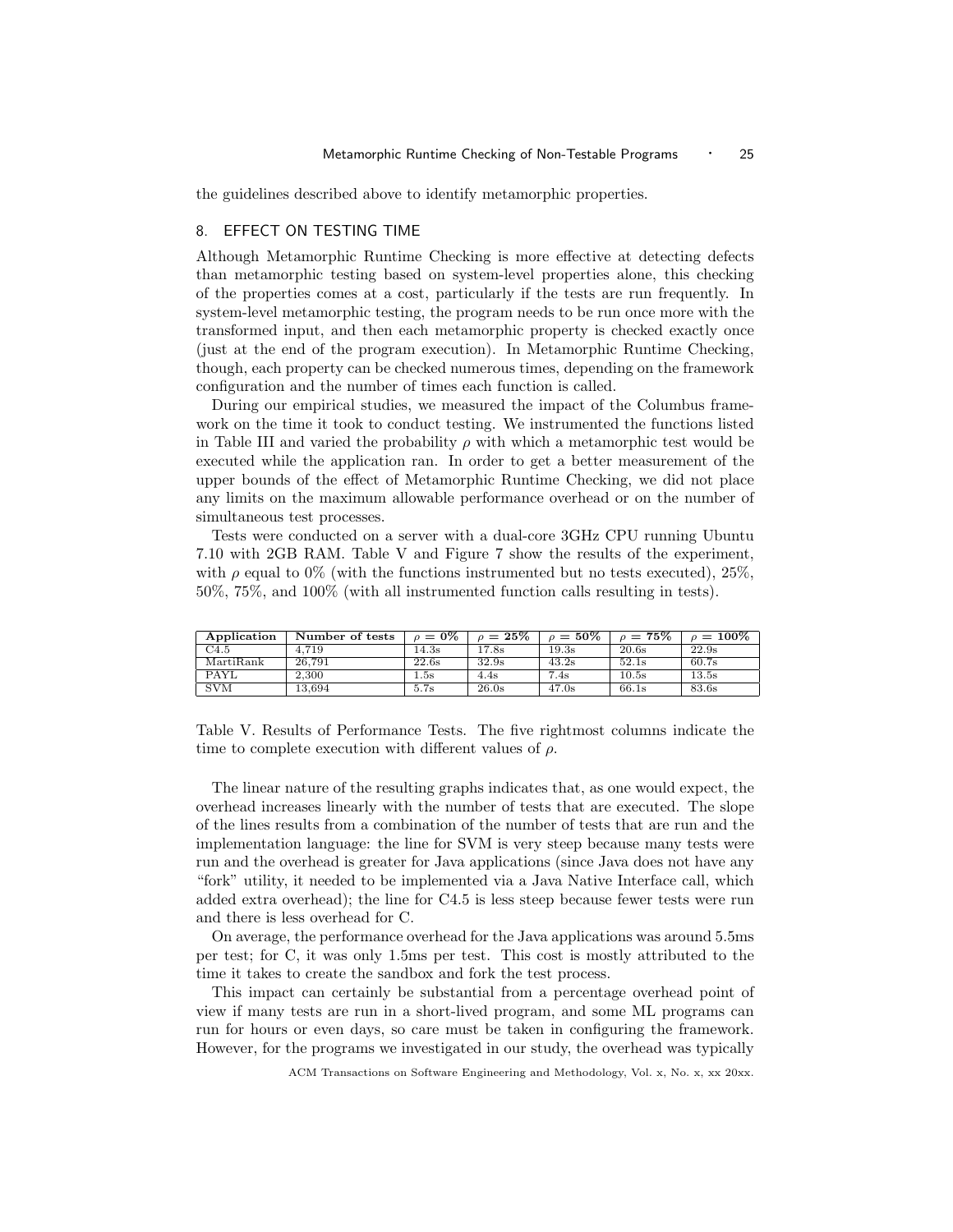the guidelines described above to identify metamorphic properties.

# 8. EFFECT ON TESTING TIME

Although Metamorphic Runtime Checking is more effective at detecting defects than metamorphic testing based on system-level properties alone, this checking of the properties comes at a cost, particularly if the tests are run frequently. In system-level metamorphic testing, the program needs to be run once more with the transformed input, and then each metamorphic property is checked exactly once (just at the end of the program execution). In Metamorphic Runtime Checking, though, each property can be checked numerous times, depending on the framework configuration and the number of times each function is called.

During our empirical studies, we measured the impact of the Columbus framework on the time it took to conduct testing. We instrumented the functions listed in Table III and varied the probability  $\rho$  with which a metamorphic test would be executed while the application ran. In order to get a better measurement of the upper bounds of the effect of Metamorphic Runtime Checking, we did not place any limits on the maximum allowable performance overhead or on the number of simultaneous test processes.

Tests were conducted on a server with a dual-core 3GHz CPU running Ubuntu 7.10 with 2GB RAM. Table V and Figure 7 show the results of the experiment, with  $\rho$  equal to 0% (with the functions instrumented but no tests executed), 25%, 50%, 75%, and 100% (with all instrumented function calls resulting in tests).

| Application               | Number of tests | $\rho = 0\%$ | $\rho = 25\%$ | $\rho = 50\%$ | $\rho = 75\%$ | $\rho = 100\%$ |
|---------------------------|-----------------|--------------|---------------|---------------|---------------|----------------|
| C4.5                      | 4.719           | 14.3s        | 17.8s         | 19.3s         | 20.6s         | 22.9s          |
| MartiRank                 | 26.791          | 22.6s        | 32.9s         | 43.2s         | 52.1s         | 60.7s          |
| PAYL                      | 2.300           | 1.5s         | 4.4s          | 7.4s          | 10.5s         | 13.5s          |
| $\overline{\mathrm{SVM}}$ | 13.694          | 5.7s         | 26.0s         | 47.0s         | 66.1s         | 83.6s          |

Table V. Results of Performance Tests. The five rightmost columns indicate the time to complete execution with different values of  $\rho$ .

The linear nature of the resulting graphs indicates that, as one would expect, the overhead increases linearly with the number of tests that are executed. The slope of the lines results from a combination of the number of tests that are run and the implementation language: the line for SVM is very steep because many tests were run and the overhead is greater for Java applications (since Java does not have any "fork" utility, it needed to be implemented via a Java Native Interface call, which added extra overhead); the line for C4.5 is less steep because fewer tests were run and there is less overhead for C.

On average, the performance overhead for the Java applications was around 5.5ms per test; for C, it was only 1.5ms per test. This cost is mostly attributed to the time it takes to create the sandbox and fork the test process.

This impact can certainly be substantial from a percentage overhead point of view if many tests are run in a short-lived program, and some ML programs can run for hours or even days, so care must be taken in configuring the framework. However, for the programs we investigated in our study, the overhead was typically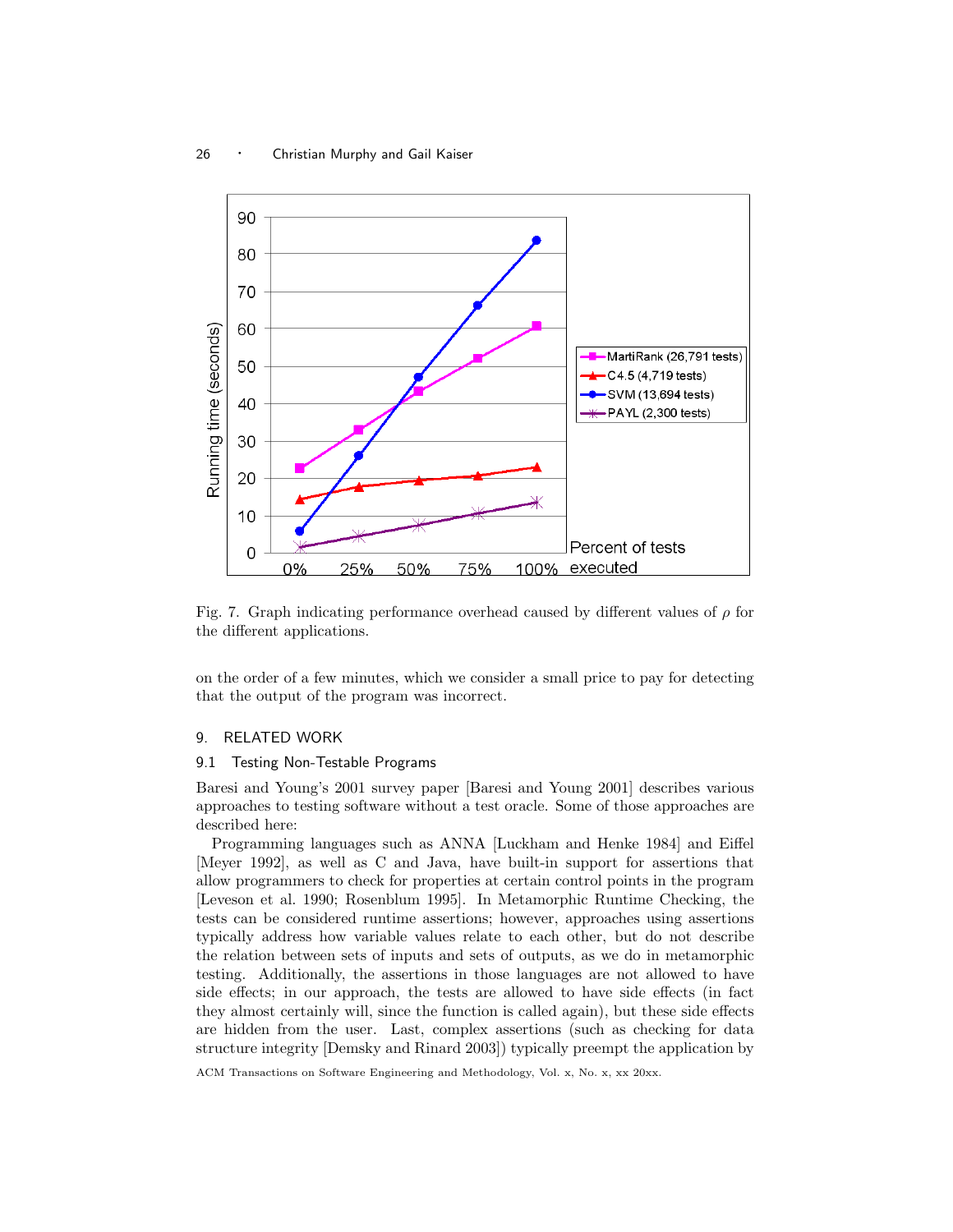

Fig. 7. Graph indicating performance overhead caused by different values of  $\rho$  for the different applications.

on the order of a few minutes, which we consider a small price to pay for detecting that the output of the program was incorrect.

# 9. RELATED WORK

#### 9.1 Testing Non-Testable Programs

Baresi and Young's 2001 survey paper [Baresi and Young 2001] describes various approaches to testing software without a test oracle. Some of those approaches are described here:

Programming languages such as ANNA [Luckham and Henke 1984] and Eiffel [Meyer 1992], as well as C and Java, have built-in support for assertions that allow programmers to check for properties at certain control points in the program [Leveson et al. 1990; Rosenblum 1995]. In Metamorphic Runtime Checking, the tests can be considered runtime assertions; however, approaches using assertions typically address how variable values relate to each other, but do not describe the relation between sets of inputs and sets of outputs, as we do in metamorphic testing. Additionally, the assertions in those languages are not allowed to have side effects; in our approach, the tests are allowed to have side effects (in fact they almost certainly will, since the function is called again), but these side effects are hidden from the user. Last, complex assertions (such as checking for data structure integrity [Demsky and Rinard 2003]) typically preempt the application by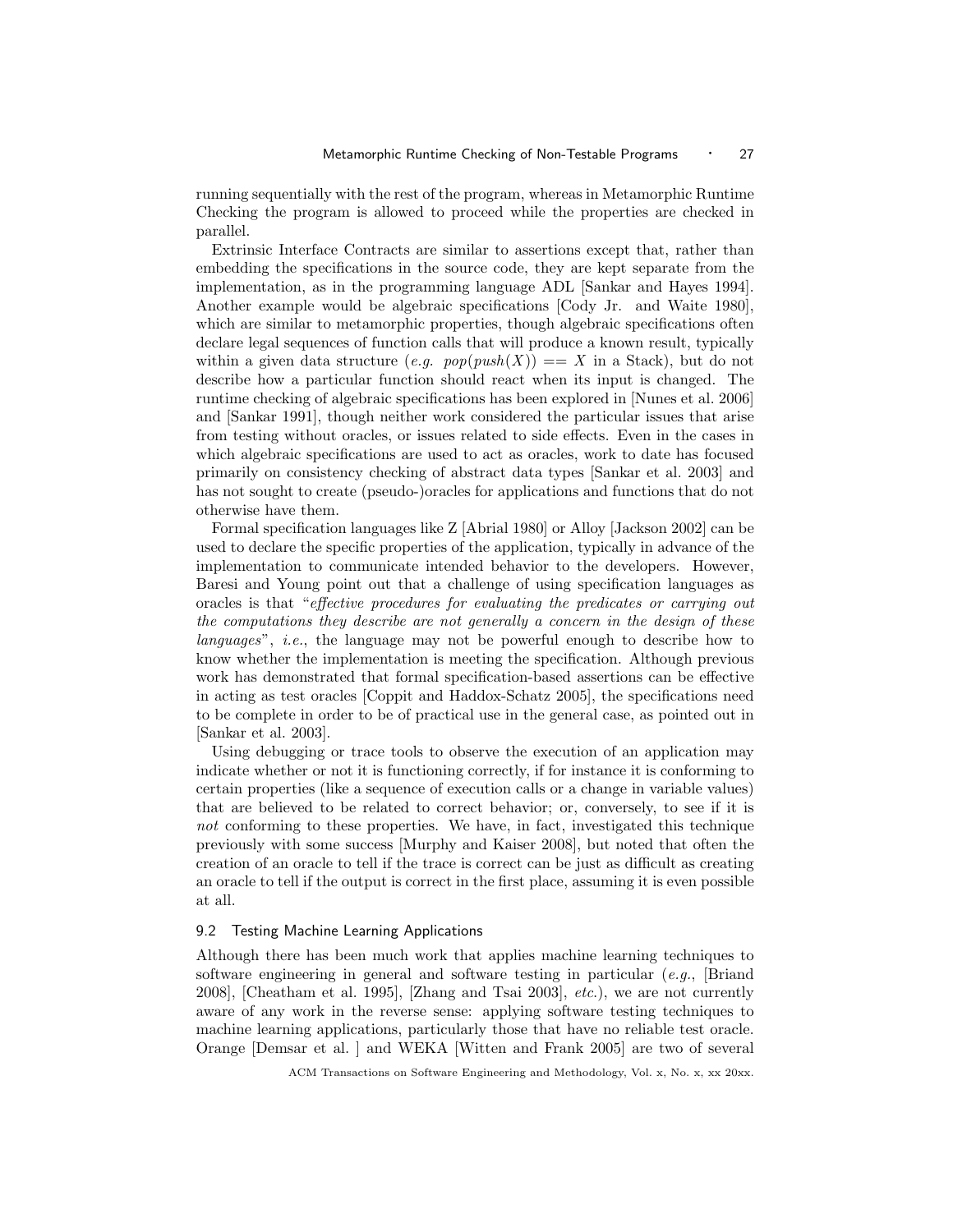running sequentially with the rest of the program, whereas in Metamorphic Runtime Checking the program is allowed to proceed while the properties are checked in parallel.

Extrinsic Interface Contracts are similar to assertions except that, rather than embedding the specifications in the source code, they are kept separate from the implementation, as in the programming language ADL [Sankar and Hayes 1994]. Another example would be algebraic specifications [Cody Jr. and Waite 1980], which are similar to metamorphic properties, though algebraic specifications often declare legal sequences of function calls that will produce a known result, typically within a given data structure  $(e,q. pop(push(X)) == X$  in a Stack), but do not describe how a particular function should react when its input is changed. The runtime checking of algebraic specifications has been explored in [Nunes et al. 2006] and [Sankar 1991], though neither work considered the particular issues that arise from testing without oracles, or issues related to side effects. Even in the cases in which algebraic specifications are used to act as oracles, work to date has focused primarily on consistency checking of abstract data types [Sankar et al. 2003] and has not sought to create (pseudo-)oracles for applications and functions that do not otherwise have them.

Formal specification languages like Z [Abrial 1980] or Alloy [Jackson 2002] can be used to declare the specific properties of the application, typically in advance of the implementation to communicate intended behavior to the developers. However, Baresi and Young point out that a challenge of using specification languages as oracles is that "effective procedures for evaluating the predicates or carrying out the computations they describe are not generally a concern in the design of these languages", i.e., the language may not be powerful enough to describe how to know whether the implementation is meeting the specification. Although previous work has demonstrated that formal specification-based assertions can be effective in acting as test oracles [Coppit and Haddox-Schatz 2005], the specifications need to be complete in order to be of practical use in the general case, as pointed out in [Sankar et al. 2003].

Using debugging or trace tools to observe the execution of an application may indicate whether or not it is functioning correctly, if for instance it is conforming to certain properties (like a sequence of execution calls or a change in variable values) that are believed to be related to correct behavior; or, conversely, to see if it is not conforming to these properties. We have, in fact, investigated this technique previously with some success [Murphy and Kaiser 2008], but noted that often the creation of an oracle to tell if the trace is correct can be just as difficult as creating an oracle to tell if the output is correct in the first place, assuming it is even possible at all.

## 9.2 Testing Machine Learning Applications

Although there has been much work that applies machine learning techniques to software engineering in general and software testing in particular  $(e.g.,$  [Briand 2008], [Cheatham et al. 1995], [Zhang and Tsai 2003], etc.), we are not currently aware of any work in the reverse sense: applying software testing techniques to machine learning applications, particularly those that have no reliable test oracle. Orange [Demsar et al. ] and WEKA [Witten and Frank 2005] are two of several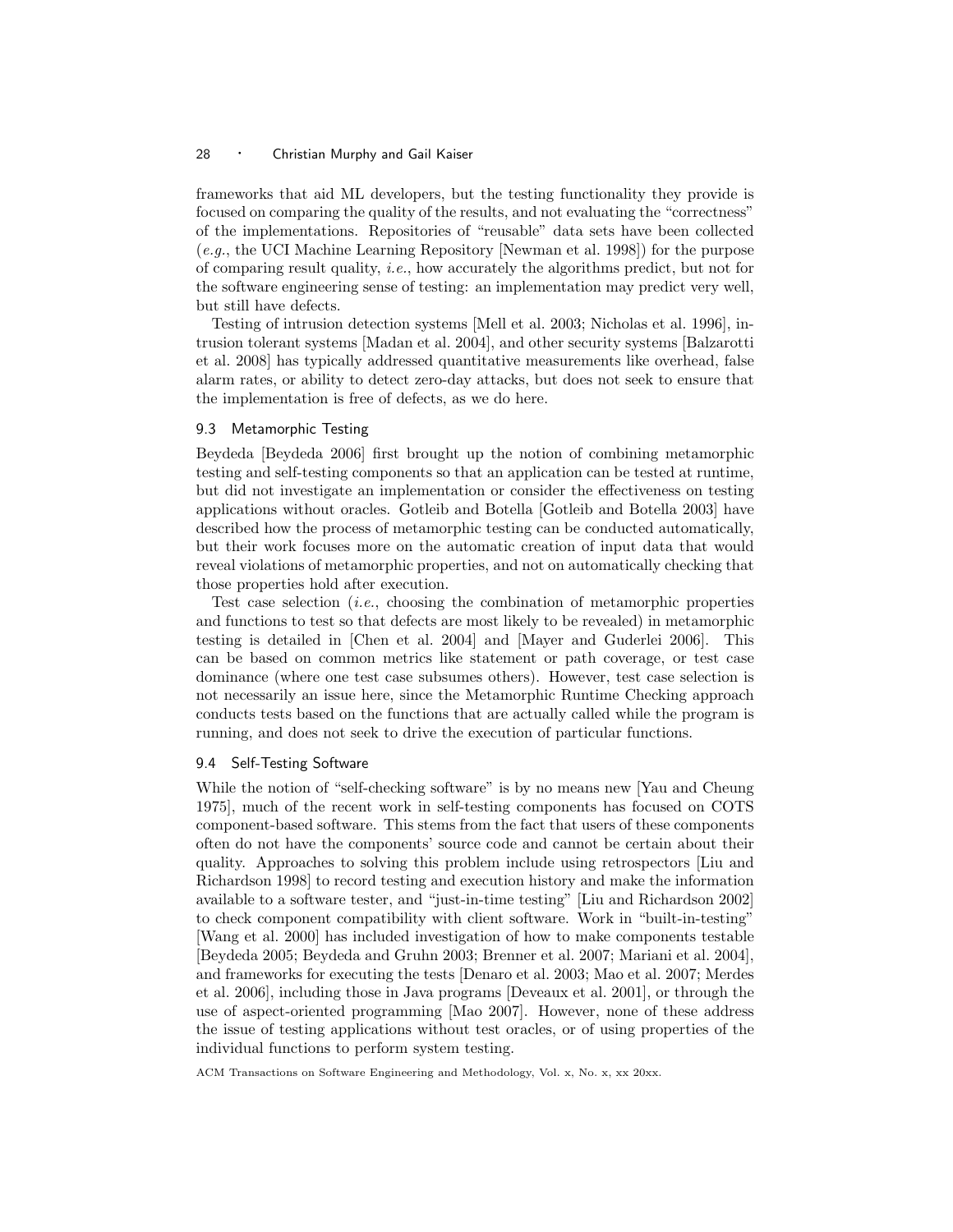frameworks that aid ML developers, but the testing functionality they provide is focused on comparing the quality of the results, and not evaluating the "correctness" of the implementations. Repositories of "reusable" data sets have been collected (e.g., the UCI Machine Learning Repository [Newman et al. 1998]) for the purpose of comparing result quality, *i.e.*, how accurately the algorithms predict, but not for the software engineering sense of testing: an implementation may predict very well, but still have defects.

Testing of intrusion detection systems [Mell et al. 2003; Nicholas et al. 1996], intrusion tolerant systems [Madan et al. 2004], and other security systems [Balzarotti et al. 2008] has typically addressed quantitative measurements like overhead, false alarm rates, or ability to detect zero-day attacks, but does not seek to ensure that the implementation is free of defects, as we do here.

## 9.3 Metamorphic Testing

Beydeda [Beydeda 2006] first brought up the notion of combining metamorphic testing and self-testing components so that an application can be tested at runtime, but did not investigate an implementation or consider the effectiveness on testing applications without oracles. Gotleib and Botella [Gotleib and Botella 2003] have described how the process of metamorphic testing can be conducted automatically, but their work focuses more on the automatic creation of input data that would reveal violations of metamorphic properties, and not on automatically checking that those properties hold after execution.

Test case selection (i.e., choosing the combination of metamorphic properties and functions to test so that defects are most likely to be revealed) in metamorphic testing is detailed in [Chen et al. 2004] and [Mayer and Guderlei 2006]. This can be based on common metrics like statement or path coverage, or test case dominance (where one test case subsumes others). However, test case selection is not necessarily an issue here, since the Metamorphic Runtime Checking approach conducts tests based on the functions that are actually called while the program is running, and does not seek to drive the execution of particular functions.

#### 9.4 Self-Testing Software

While the notion of "self-checking software" is by no means new [Yau and Cheung 1975], much of the recent work in self-testing components has focused on COTS component-based software. This stems from the fact that users of these components often do not have the components' source code and cannot be certain about their quality. Approaches to solving this problem include using retrospectors [Liu and Richardson 1998] to record testing and execution history and make the information available to a software tester, and "just-in-time testing" [Liu and Richardson 2002] to check component compatibility with client software. Work in "built-in-testing" [Wang et al. 2000] has included investigation of how to make components testable [Beydeda 2005; Beydeda and Gruhn 2003; Brenner et al. 2007; Mariani et al. 2004], and frameworks for executing the tests [Denaro et al. 2003; Mao et al. 2007; Merdes et al. 2006], including those in Java programs [Deveaux et al. 2001], or through the use of aspect-oriented programming [Mao 2007]. However, none of these address the issue of testing applications without test oracles, or of using properties of the individual functions to perform system testing.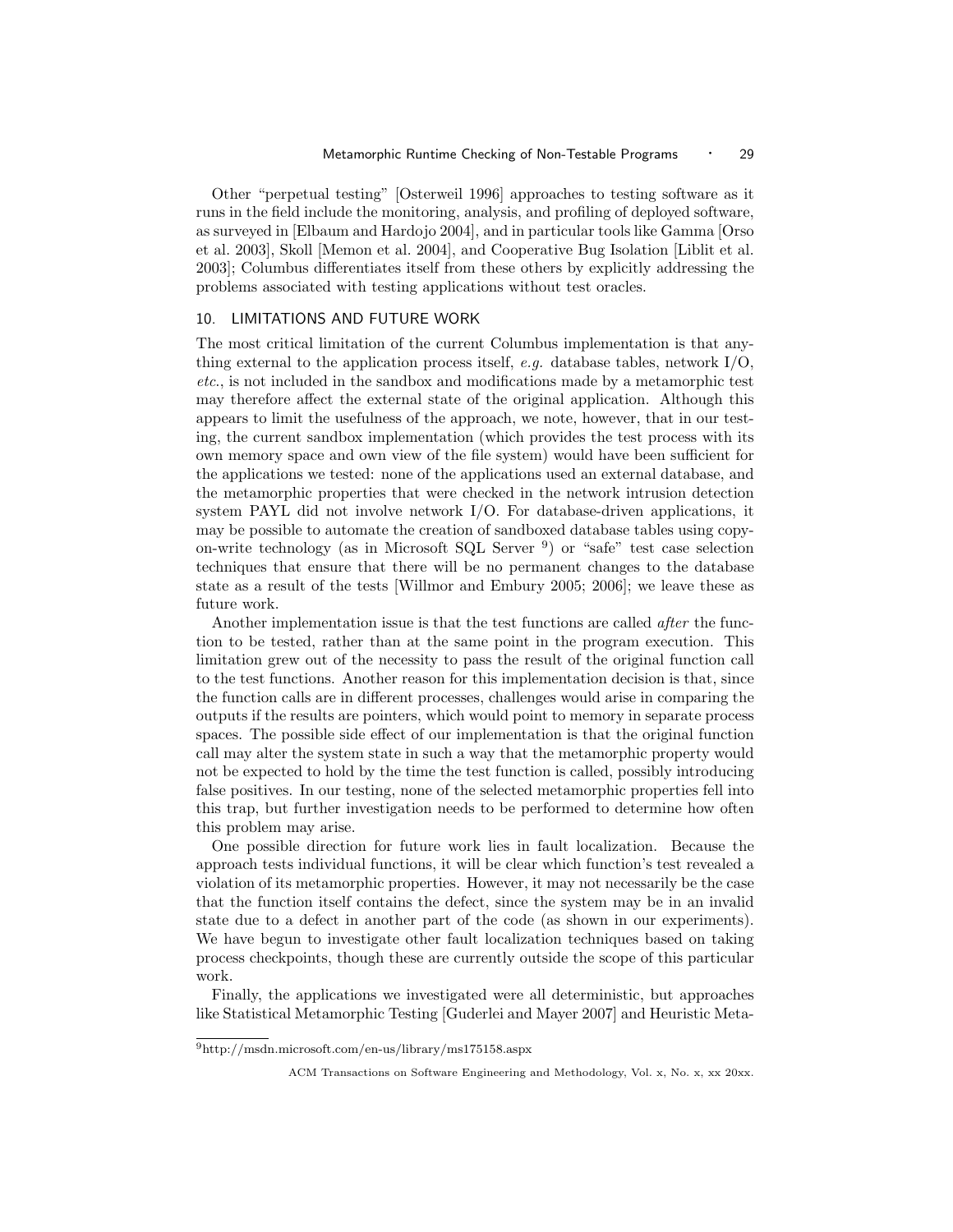Other "perpetual testing" [Osterweil 1996] approaches to testing software as it runs in the field include the monitoring, analysis, and profiling of deployed software, as surveyed in [Elbaum and Hardojo 2004], and in particular tools like Gamma [Orso et al. 2003], Skoll [Memon et al. 2004], and Cooperative Bug Isolation [Liblit et al. 2003]; Columbus differentiates itself from these others by explicitly addressing the problems associated with testing applications without test oracles.

## 10. LIMITATIONS AND FUTURE WORK

The most critical limitation of the current Columbus implementation is that anything external to the application process itself, e.g. database tables, network  $I/O$ , etc., is not included in the sandbox and modifications made by a metamorphic test may therefore affect the external state of the original application. Although this appears to limit the usefulness of the approach, we note, however, that in our testing, the current sandbox implementation (which provides the test process with its own memory space and own view of the file system) would have been sufficient for the applications we tested: none of the applications used an external database, and the metamorphic properties that were checked in the network intrusion detection system PAYL did not involve network I/O. For database-driven applications, it may be possible to automate the creation of sandboxed database tables using copyon-write technology (as in Microsoft SQL Server <sup>9</sup>) or "safe" test case selection techniques that ensure that there will be no permanent changes to the database state as a result of the tests [Willmor and Embury 2005; 2006]; we leave these as future work.

Another implementation issue is that the test functions are called *after* the function to be tested, rather than at the same point in the program execution. This limitation grew out of the necessity to pass the result of the original function call to the test functions. Another reason for this implementation decision is that, since the function calls are in different processes, challenges would arise in comparing the outputs if the results are pointers, which would point to memory in separate process spaces. The possible side effect of our implementation is that the original function call may alter the system state in such a way that the metamorphic property would not be expected to hold by the time the test function is called, possibly introducing false positives. In our testing, none of the selected metamorphic properties fell into this trap, but further investigation needs to be performed to determine how often this problem may arise.

One possible direction for future work lies in fault localization. Because the approach tests individual functions, it will be clear which function's test revealed a violation of its metamorphic properties. However, it may not necessarily be the case that the function itself contains the defect, since the system may be in an invalid state due to a defect in another part of the code (as shown in our experiments). We have begun to investigate other fault localization techniques based on taking process checkpoints, though these are currently outside the scope of this particular work.

Finally, the applications we investigated were all deterministic, but approaches like Statistical Metamorphic Testing [Guderlei and Mayer 2007] and Heuristic Meta-

<sup>9</sup>http://msdn.microsoft.com/en-us/library/ms175158.aspx

ACM Transactions on Software Engineering and Methodology, Vol. x, No. x, xx 20xx.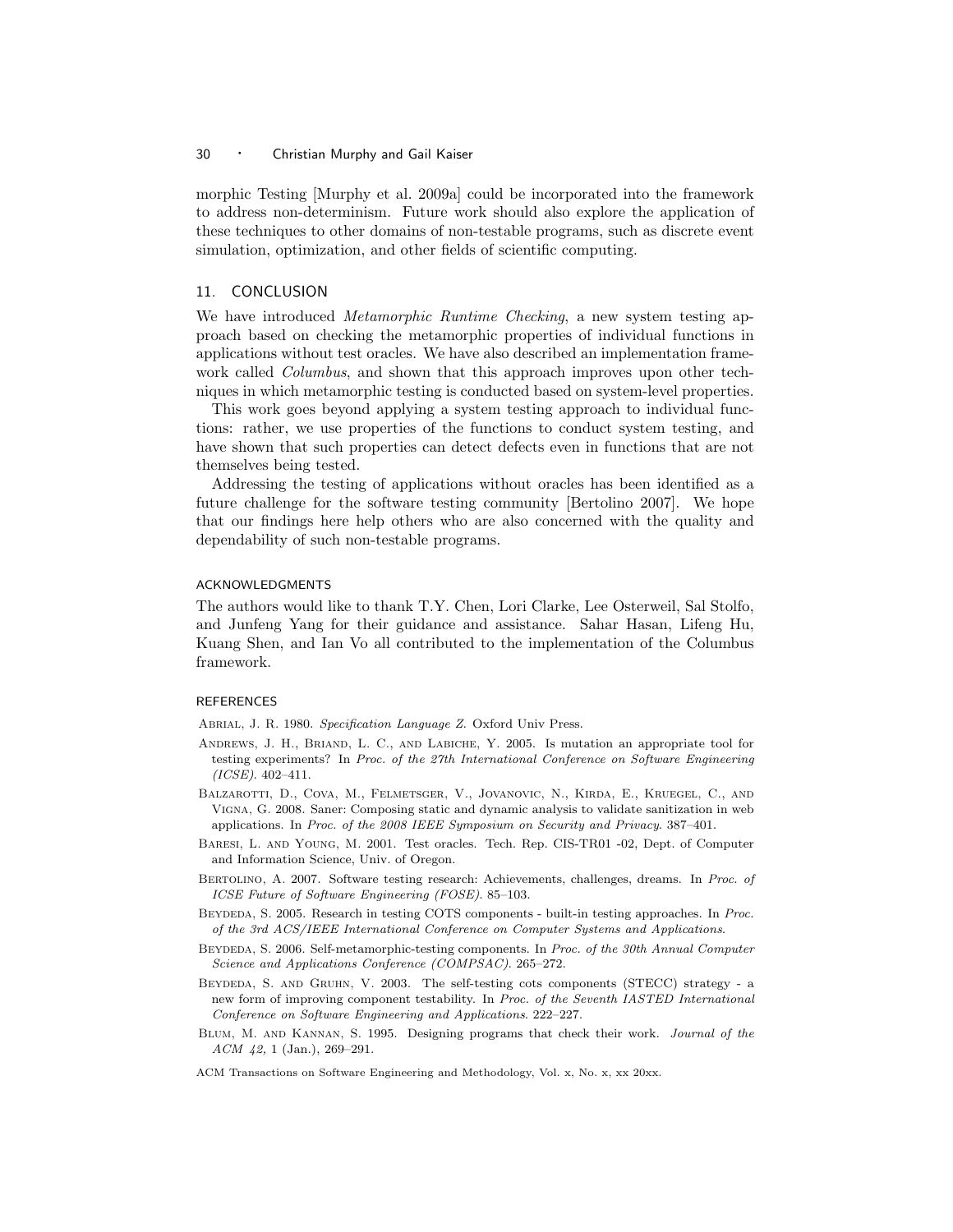morphic Testing [Murphy et al. 2009a] could be incorporated into the framework to address non-determinism. Future work should also explore the application of these techniques to other domains of non-testable programs, such as discrete event simulation, optimization, and other fields of scientific computing.

## 11. CONCLUSION

We have introduced *Metamorphic Runtime Checking*, a new system testing approach based on checking the metamorphic properties of individual functions in applications without test oracles. We have also described an implementation framework called *Columbus*, and shown that this approach improves upon other techniques in which metamorphic testing is conducted based on system-level properties.

This work goes beyond applying a system testing approach to individual functions: rather, we use properties of the functions to conduct system testing, and have shown that such properties can detect defects even in functions that are not themselves being tested.

Addressing the testing of applications without oracles has been identified as a future challenge for the software testing community [Bertolino 2007]. We hope that our findings here help others who are also concerned with the quality and dependability of such non-testable programs.

## ACKNOWLEDGMENTS

The authors would like to thank T.Y. Chen, Lori Clarke, Lee Osterweil, Sal Stolfo, and Junfeng Yang for their guidance and assistance. Sahar Hasan, Lifeng Hu, Kuang Shen, and Ian Vo all contributed to the implementation of the Columbus framework.

#### REFERENCES

Abrial, J. R. 1980. Specification Language Z. Oxford Univ Press.

- Andrews, J. H., Briand, L. C., and Labiche, Y. 2005. Is mutation an appropriate tool for testing experiments? In Proc. of the 27th International Conference on Software Engineering  $(ICSE)$ . 402–411.
- Balzarotti, D., Cova, M., Felmetsger, V., Jovanovic, N., Kirda, E., Kruegel, C., and Vigna, G. 2008. Saner: Composing static and dynamic analysis to validate sanitization in web applications. In Proc. of the 2008 IEEE Symposium on Security and Privacy. 387–401.
- Baresi, L. and Young, M. 2001. Test oracles. Tech. Rep. CIS-TR01 -02, Dept. of Computer and Information Science, Univ. of Oregon.
- Bertolino, A. 2007. Software testing research: Achievements, challenges, dreams. In Proc. of ICSE Future of Software Engineering (FOSE). 85–103.
- Beydeda, S. 2005. Research in testing COTS components built-in testing approaches. In Proc. of the 3rd ACS/IEEE International Conference on Computer Systems and Applications.
- Beydeda, S. 2006. Self-metamorphic-testing components. In Proc. of the 30th Annual Computer Science and Applications Conference (COMPSAC). 265–272.
- Beydeda, S. and Gruhn, V. 2003. The self-testing cots components (STECC) strategy a new form of improving component testability. In Proc. of the Seventh IASTED International Conference on Software Engineering and Applications. 222–227.
- Blum, M. and Kannan, S. 1995. Designing programs that check their work. Journal of the ACM 42, 1 (Jan.), 269–291.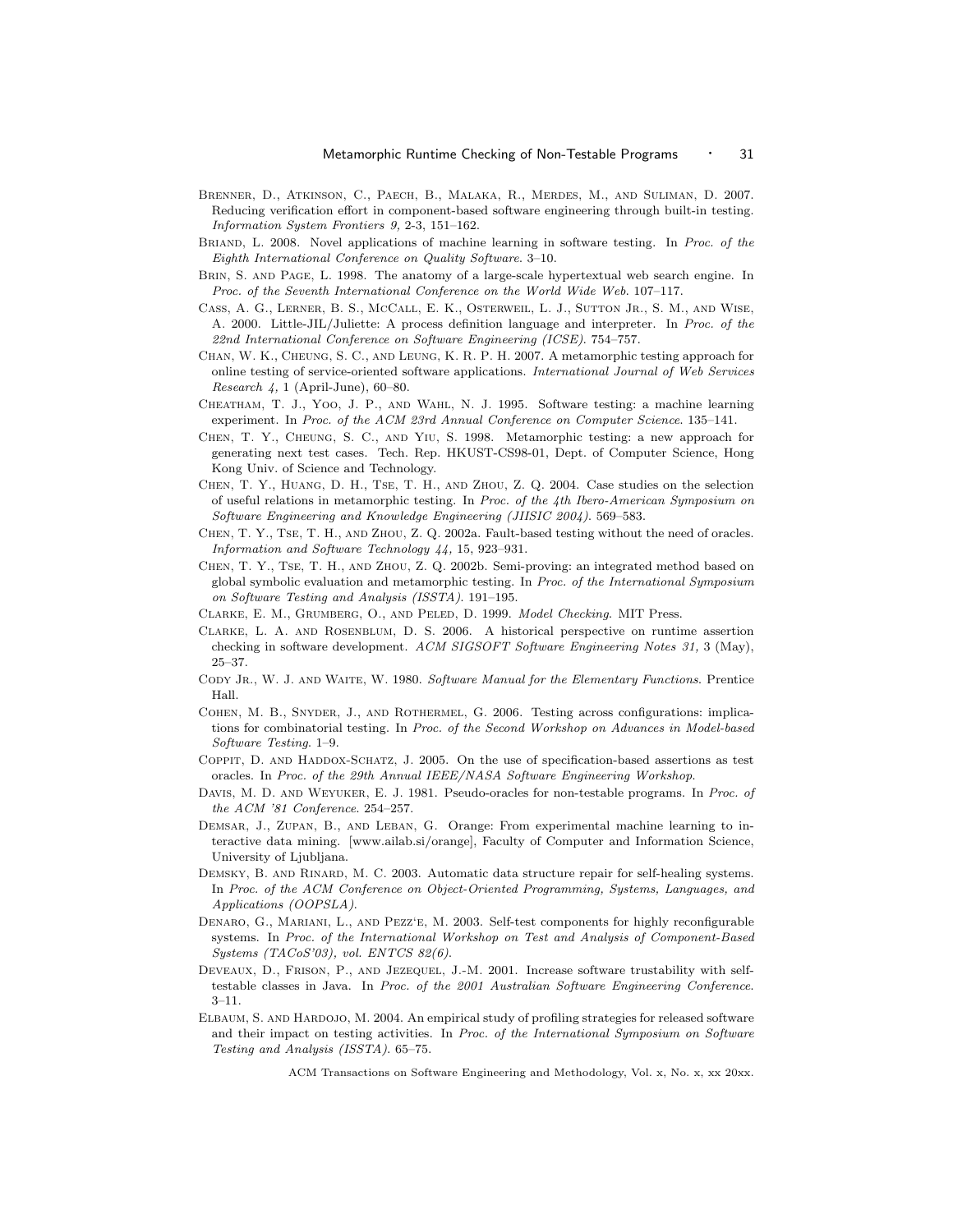- Brenner, D., Atkinson, C., Paech, B., Malaka, R., Merdes, M., and Suliman, D. 2007. Reducing verification effort in component-based software engineering through built-in testing. Information System Frontiers 9, 2-3, 151–162.
- BRIAND, L. 2008. Novel applications of machine learning in software testing. In Proc. of the Eighth International Conference on Quality Software. 3–10.
- BRIN, S. AND PAGE, L. 1998. The anatomy of a large-scale hypertextual web search engine. In Proc. of the Seventh International Conference on the World Wide Web. 107–117.
- Cass, A. G., Lerner, B. S., McCall, E. K., Osterweil, L. J., Sutton Jr., S. M., and Wise, A. 2000. Little-JIL/Juliette: A process definition language and interpreter. In Proc. of the 22nd International Conference on Software Engineering (ICSE). 754–757.
- Chan, W. K., Cheung, S. C., and Leung, K. R. P. H. 2007. A metamorphic testing approach for online testing of service-oriented software applications. International Journal of Web Services Research 4, 1 (April-June), 60–80.
- Cheatham, T. J., Yoo, J. P., and Wahl, N. J. 1995. Software testing: a machine learning experiment. In Proc. of the ACM 23rd Annual Conference on Computer Science. 135–141.
- Chen, T. Y., Cheung, S. C., and Yiu, S. 1998. Metamorphic testing: a new approach for generating next test cases. Tech. Rep. HKUST-CS98-01, Dept. of Computer Science, Hong Kong Univ. of Science and Technology.
- Chen, T. Y., Huang, D. H., Tse, T. H., and Zhou, Z. Q. 2004. Case studies on the selection of useful relations in metamorphic testing. In Proc. of the 4th Ibero-American Symposium on Software Engineering and Knowledge Engineering (JIISIC 2004). 569–583.
- Chen, T. Y., Tse, T. H., and Zhou, Z. Q. 2002a. Fault-based testing without the need of oracles. Information and Software Technology 44, 15, 923–931.
- Chen, T. Y., Tse, T. H., and Zhou, Z. Q. 2002b. Semi-proving: an integrated method based on global symbolic evaluation and metamorphic testing. In Proc. of the International Symposium on Software Testing and Analysis (ISSTA). 191–195.
- Clarke, E. M., Grumberg, O., and Peled, D. 1999. Model Checking. MIT Press.
- Clarke, L. A. and Rosenblum, D. S. 2006. A historical perspective on runtime assertion checking in software development. ACM SIGSOFT Software Engineering Notes 31, 3 (May), 25–37.
- CODY JR., W. J. AND WAITE, W. 1980. Software Manual for the Elementary Functions. Prentice Hall.
- Cohen, M. B., Snyder, J., and Rothermel, G. 2006. Testing across configurations: implications for combinatorial testing. In Proc. of the Second Workshop on Advances in Model-based Software Testing. 1–9.
- COPPIT, D. AND HADDOX-SCHATZ, J. 2005. On the use of specification-based assertions as test oracles. In Proc. of the 29th Annual IEEE/NASA Software Engineering Workshop.
- DAVIS, M. D. AND WEYUKER, E. J. 1981. Pseudo-oracles for non-testable programs. In Proc. of the ACM '81 Conference. 254–257.
- DEMSAR, J., ZUPAN, B., AND LEBAN, G. Orange: From experimental machine learning to interactive data mining. [www.ailab.si/orange], Faculty of Computer and Information Science, University of Ljubljana.
- DEMSKY, B. AND RINARD, M. C. 2003. Automatic data structure repair for self-healing systems. In Proc. of the ACM Conference on Object-Oriented Programming, Systems, Languages, and Applications (OOPSLA).
- Denaro, G., Mariani, L., and Pezz'e, M. 2003. Self-test components for highly reconfigurable systems. In Proc. of the International Workshop on Test and Analysis of Component-Based Systems (TACoS'03), vol. ENTCS 82(6).
- Deveaux, D., Frison, P., and Jezequel, J.-M. 2001. Increase software trustability with selftestable classes in Java. In Proc. of the 2001 Australian Software Engineering Conference. 3–11.
- Elbaum, S. and Hardojo, M. 2004. An empirical study of profiling strategies for released software and their impact on testing activities. In Proc. of the International Symposium on Software Testing and Analysis (ISSTA). 65–75.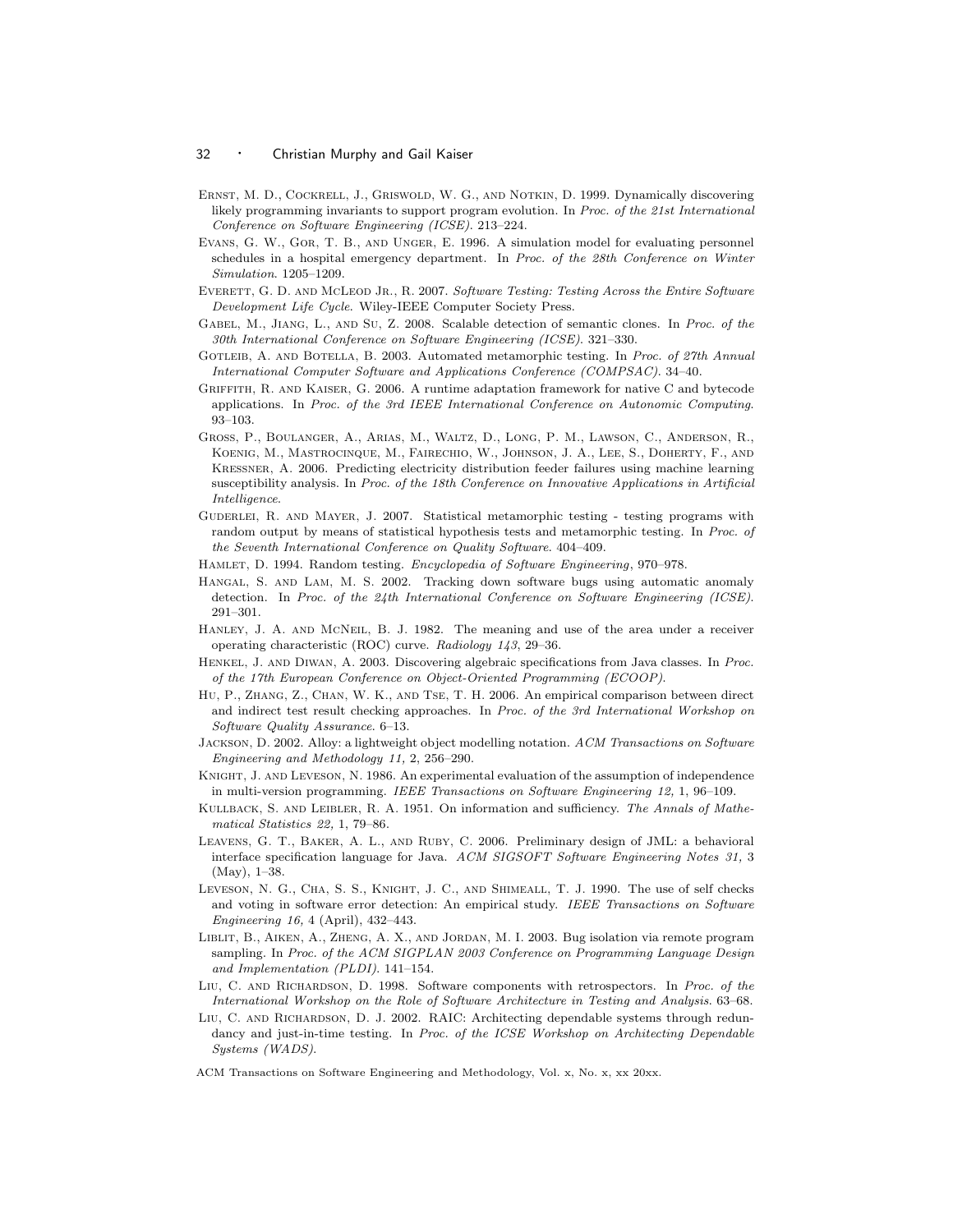- Ernst, M. D., Cockrell, J., Griswold, W. G., and Notkin, D. 1999. Dynamically discovering likely programming invariants to support program evolution. In Proc. of the 21st International Conference on Software Engineering (ICSE). 213–224.
- Evans, G. W., Gor, T. B., and Unger, E. 1996. A simulation model for evaluating personnel schedules in a hospital emergency department. In Proc. of the 28th Conference on Winter Simulation. 1205–1209.
- EVERETT, G. D. AND MCLEOD JR., R. 2007. Software Testing: Testing Across the Entire Software Development Life Cycle. Wiley-IEEE Computer Society Press.
- GABEL, M., JIANG, L., AND SU, Z. 2008. Scalable detection of semantic clones. In Proc. of the 30th International Conference on Software Engineering (ICSE). 321–330.
- GOTLEIB, A. AND BOTELLA, B. 2003. Automated metamorphic testing. In Proc. of 27th Annual International Computer Software and Applications Conference (COMPSAC). 34–40.
- Griffith, R. and Kaiser, G. 2006. A runtime adaptation framework for native C and bytecode applications. In Proc. of the 3rd IEEE International Conference on Autonomic Computing. 93–103.
- Gross, P., Boulanger, A., Arias, M., Waltz, D., Long, P. M., Lawson, C., Anderson, R., Koenig, M., Mastrocinque, M., Fairechio, W., Johnson, J. A., Lee, S., Doherty, F., and Kressner, A. 2006. Predicting electricity distribution feeder failures using machine learning susceptibility analysis. In Proc. of the 18th Conference on Innovative Applications in Artificial Intelligence.
- GUDERLEI, R. AND MAYER, J. 2007. Statistical metamorphic testing testing programs with random output by means of statistical hypothesis tests and metamorphic testing. In Proc. of the Seventh International Conference on Quality Software. 404–409.
- Hamlet, D. 1994. Random testing. Encyclopedia of Software Engineering, 970–978.
- Hangal, S. and Lam, M. S. 2002. Tracking down software bugs using automatic anomaly detection. In Proc. of the 24th International Conference on Software Engineering (ICSE). 291–301.
- HANLEY, J. A. AND MCNEIL, B. J. 1982. The meaning and use of the area under a receiver operating characteristic (ROC) curve. Radiology 143, 29–36.
- Henkel, J. and Diwan, A. 2003. Discovering algebraic specifications from Java classes. In Proc. of the 17th European Conference on Object-Oriented Programming (ECOOP).
- Hu, P., Zhang, Z., Chan, W. K., and Tse, T. H. 2006. An empirical comparison between direct and indirect test result checking approaches. In Proc. of the 3rd International Workshop on Software Quality Assurance. 6–13.
- Jackson, D. 2002. Alloy: a lightweight object modelling notation. ACM Transactions on Software Engineering and Methodology 11, 2, 256–290.
- KNIGHT, J. AND LEVESON, N. 1986. An experimental evaluation of the assumption of independence in multi-version programming. IEEE Transactions on Software Engineering 12, 1, 96–109.
- KULLBACK, S. AND LEIBLER, R. A. 1951. On information and sufficiency. The Annals of Mathematical Statistics 22, 1, 79–86.
- Leavens, G. T., Baker, A. L., and Ruby, C. 2006. Preliminary design of JML: a behavioral interface specification language for Java. ACM SIGSOFT Software Engineering Notes 31, 3 (May), 1–38.
- Leveson, N. G., Cha, S. S., Knight, J. C., and Shimeall, T. J. 1990. The use of self checks and voting in software error detection: An empirical study. IEEE Transactions on Software Engineering 16, 4 (April), 432–443.
- Liblit, B., Aiken, A., Zheng, A. X., and Jordan, M. I. 2003. Bug isolation via remote program sampling. In Proc. of the ACM SIGPLAN 2003 Conference on Programming Language Design and Implementation (PLDI). 141–154.
- LIU, C. AND RICHARDSON, D. 1998. Software components with retrospectors. In Proc. of the International Workshop on the Role of Software Architecture in Testing and Analysis. 63–68.
- Liu, C. and Richardson, D. J. 2002. RAIC: Architecting dependable systems through redundancy and just-in-time testing. In Proc. of the ICSE Workshop on Architecting Dependable Systems (WADS).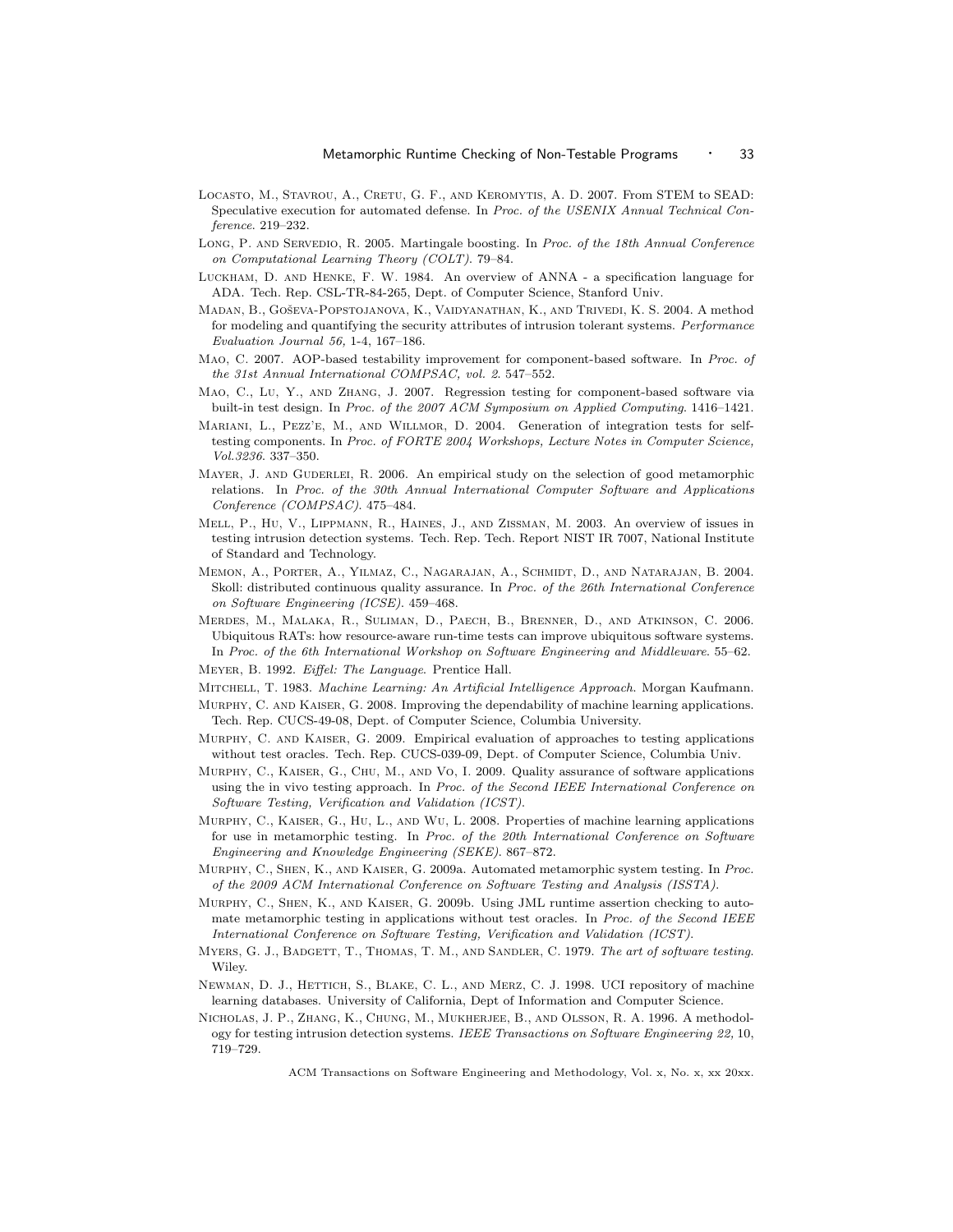- LOCASTO, M., STAVROU, A., CRETU, G. F., AND KEROMYTIS, A. D. 2007. From STEM to SEAD: Speculative execution for automated defense. In Proc. of the USENIX Annual Technical Conference. 219–232.
- LONG, P. AND SERVEDIO, R. 2005. Martingale boosting. In Proc. of the 18th Annual Conference on Computational Learning Theory (COLT). 79–84.
- Luckham, D. and Henke, F. W. 1984. An overview of ANNA a specification language for ADA. Tech. Rep. CSL-TR-84-265, Dept. of Computer Science, Stanford Univ.
- MADAN, B., GOŠEVA-POPSTOJANOVA, K., VAIDYANATHAN, K., AND TRIVEDI, K. S. 2004. A method for modeling and quantifying the security attributes of intrusion tolerant systems. Performance Evaluation Journal 56, 1-4, 167–186.
- Mao, C. 2007. AOP-based testability improvement for component-based software. In Proc. of the 31st Annual International COMPSAC, vol. 2. 547–552.
- Mao, C., Lu, Y., and Zhang, J. 2007. Regression testing for component-based software via built-in test design. In Proc. of the 2007 ACM Symposium on Applied Computing. 1416–1421.
- MARIANI, L., PEZZ'E, M., AND WILLMOR, D. 2004. Generation of integration tests for selftesting components. In Proc. of FORTE 2004 Workshops, Lecture Notes in Computer Science, Vol.3236. 337–350.
- MAYER, J. AND GUDERLEI, R. 2006. An empirical study on the selection of good metamorphic relations. In Proc. of the 30th Annual International Computer Software and Applications Conference (COMPSAC). 475–484.
- Mell, P., Hu, V., Lippmann, R., Haines, J., and Zissman, M. 2003. An overview of issues in testing intrusion detection systems. Tech. Rep. Tech. Report NIST IR 7007, National Institute of Standard and Technology.
- Memon, A., Porter, A., Yilmaz, C., Nagarajan, A., Schmidt, D., and Natarajan, B. 2004. Skoll: distributed continuous quality assurance. In Proc. of the 26th International Conference on Software Engineering (ICSE). 459–468.
- Merdes, M., Malaka, R., Suliman, D., Paech, B., Brenner, D., and Atkinson, C. 2006. Ubiquitous RATs: how resource-aware run-time tests can improve ubiquitous software systems. In Proc. of the 6th International Workshop on Software Engineering and Middleware. 55–62.
- Meyer, B. 1992. Eiffel: The Language. Prentice Hall.
- Mitchell, T. 1983. Machine Learning: An Artificial Intelligence Approach. Morgan Kaufmann.
- MURPHY, C. AND KAISER, G. 2008. Improving the dependability of machine learning applications. Tech. Rep. CUCS-49-08, Dept. of Computer Science, Columbia University.
- Murphy, C. and Kaiser, G. 2009. Empirical evaluation of approaches to testing applications without test oracles. Tech. Rep. CUCS-039-09, Dept. of Computer Science, Columbia Univ.
- Murphy, C., Kaiser, G., Chu, M., and Vo, I. 2009. Quality assurance of software applications using the in vivo testing approach. In Proc. of the Second IEEE International Conference on Software Testing, Verification and Validation (ICST).
- Murphy, C., Kaiser, G., Hu, L., and Wu, L. 2008. Properties of machine learning applications for use in metamorphic testing. In Proc. of the 20th International Conference on Software Engineering and Knowledge Engineering (SEKE). 867–872.
- Murphy, C., Shen, K., and Kaiser, G. 2009a. Automated metamorphic system testing. In Proc. of the 2009 ACM International Conference on Software Testing and Analysis (ISSTA).
- MURPHY, C., SHEN, K., AND KAISER, G. 2009b. Using JML runtime assertion checking to automate metamorphic testing in applications without test oracles. In Proc. of the Second IEEE International Conference on Software Testing, Verification and Validation (ICST).
- MYERS, G. J., BADGETT, T., THOMAS, T. M., AND SANDLER, C. 1979. The art of software testing. Wiley.
- Newman, D. J., Hettich, S., Blake, C. L., and Merz, C. J. 1998. UCI repository of machine learning databases. University of California, Dept of Information and Computer Science.
- Nicholas, J. P., Zhang, K., Chung, M., Mukherjee, B., and Olsson, R. A. 1996. A methodology for testing intrusion detection systems. IEEE Transactions on Software Engineering 22, 10, 719–729.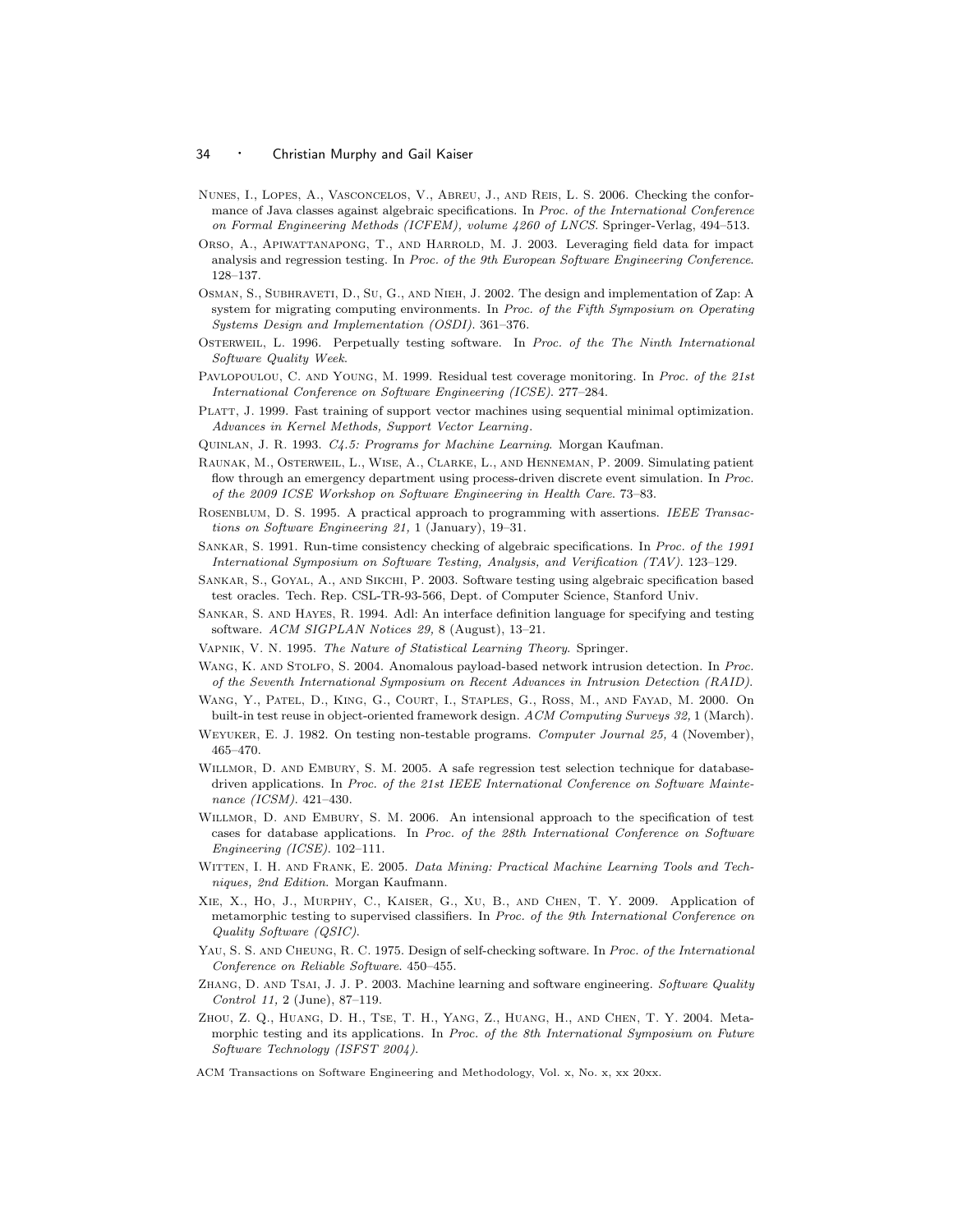- Nunes, I., Lopes, A., Vasconcelos, V., Abreu, J., and Reis, L. S. 2006. Checking the conformance of Java classes against algebraic specifications. In Proc. of the International Conference on Formal Engineering Methods (ICFEM), volume 4260 of LNCS. Springer-Verlag, 494–513.
- Orso, A., APIWATTANAPONG, T., AND HARROLD, M. J. 2003. Leveraging field data for impact analysis and regression testing. In Proc. of the 9th European Software Engineering Conference. 128–137.
- Osman, S., Subhraveti, D., Su, G., and Nieh, J. 2002. The design and implementation of Zap: A system for migrating computing environments. In Proc. of the Fifth Symposium on Operating Systems Design and Implementation (OSDI). 361–376.
- OSTERWEIL, L. 1996. Perpetually testing software. In Proc. of the The Ninth International Software Quality Week.
- PAVLOPOULOU, C. AND YOUNG, M. 1999. Residual test coverage monitoring. In Proc. of the 21st International Conference on Software Engineering (ICSE). 277–284.
- PLATT, J. 1999. Fast training of support vector machines using sequential minimal optimization. Advances in Kernel Methods, Support Vector Learning.
- Quinlan, J. R. 1993. C4.5: Programs for Machine Learning. Morgan Kaufman.
- Raunak, M., Osterweil, L., Wise, A., Clarke, L., and Henneman, P. 2009. Simulating patient flow through an emergency department using process-driven discrete event simulation. In Proc. of the 2009 ICSE Workshop on Software Engineering in Health Care. 73–83.
- ROSENBLUM, D. S. 1995. A practical approach to programming with assertions. IEEE Transactions on Software Engineering 21, 1 (January), 19–31.
- Sankar, S. 1991. Run-time consistency checking of algebraic specifications. In Proc. of the 1991 International Symposium on Software Testing, Analysis, and Verification (TAV). 123–129.
- Sankar, S., Goyal, A., and Sikchi, P. 2003. Software testing using algebraic specification based test oracles. Tech. Rep. CSL-TR-93-566, Dept. of Computer Science, Stanford Univ.
- Sankar, S. and Hayes, R. 1994. Adl: An interface definition language for specifying and testing software. ACM SIGPLAN Notices 29, 8 (August), 13–21.
- VAPNIK, V. N. 1995. The Nature of Statistical Learning Theory. Springer.
- WANG, K. AND STOLFO, S. 2004. Anomalous payload-based network intrusion detection. In Proc. of the Seventh International Symposium on Recent Advances in Intrusion Detection (RAID).
- Wang, Y., Patel, D., King, G., Court, I., Staples, G., Ross, M., and Fayad, M. 2000. On built-in test reuse in object-oriented framework design. ACM Computing Surveys 32, 1 (March).
- Weyuker, E. J. 1982. On testing non-testable programs. Computer Journal 25, 4 (November), 465–470.
- WILLMOR, D. AND EMBURY, S. M. 2005. A safe regression test selection technique for databasedriven applications. In Proc. of the 21st IEEE International Conference on Software Maintenance (ICSM). 421–430.
- WILLMOR, D. AND EMBURY, S. M. 2006. An intensional approach to the specification of test cases for database applications. In Proc. of the 28th International Conference on Software Engineering (ICSE). 102–111.
- WITTEN, I. H. AND FRANK, E. 2005. Data Mining: Practical Machine Learning Tools and Techniques, 2nd Edition. Morgan Kaufmann.
- Xie, X., Ho, J., Murphy, C., Kaiser, G., Xu, B., and Chen, T. Y. 2009. Application of metamorphic testing to supervised classifiers. In Proc. of the 9th International Conference on Quality Software (QSIC).
- YAU, S. S. AND CHEUNG, R. C. 1975. Design of self-checking software. In Proc. of the International Conference on Reliable Software. 450–455.
- ZHANG, D. AND TSAI, J. J. P. 2003. Machine learning and software engineering. Software Quality Control 11, 2 (June), 87–119.
- Zhou, Z. Q., Huang, D. H., Tse, T. H., Yang, Z., Huang, H., and Chen, T. Y. 2004. Metamorphic testing and its applications. In Proc. of the 8th International Symposium on Future Software Technology (ISFST 2004).
- ACM Transactions on Software Engineering and Methodology, Vol. x, No. x, xx 20xx.